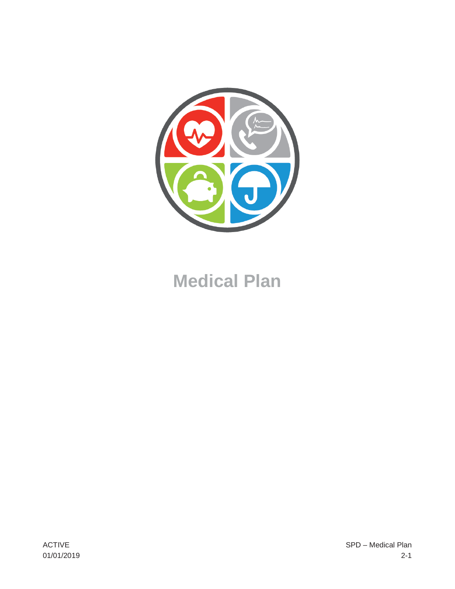

# **Medical Plan**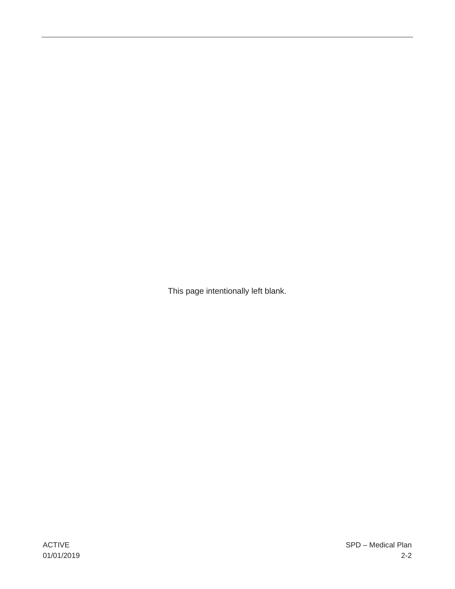This page intentionally left blank.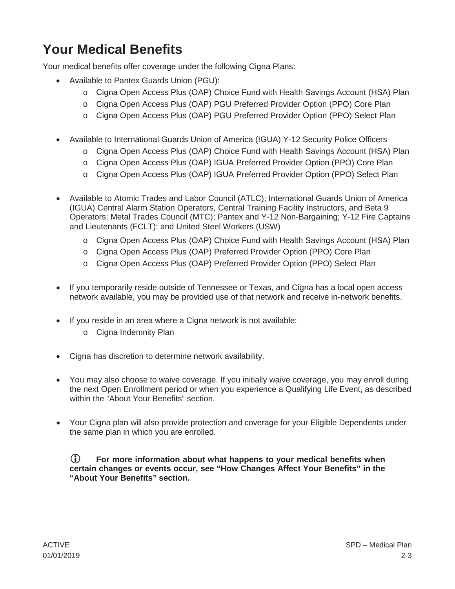### **Your Medical Benefits**

Your medical benefits offer coverage under the following Cigna Plans:

- Available to Pantex Guards Union (PGU):
	- o Cigna Open Access Plus (OAP) Choice Fund with Health Savings Account (HSA) Plan
	- o Cigna Open Access Plus (OAP) PGU Preferred Provider Option (PPO) Core Plan
	- o Cigna Open Access Plus (OAP) PGU Preferred Provider Option (PPO) Select Plan
- Available to International Guards Union of America (IGUA) Y-12 Security Police Officers
	- o Cigna Open Access Plus (OAP) Choice Fund with Health Savings Account (HSA) Plan
	- o Cigna Open Access Plus (OAP) IGUA Preferred Provider Option (PPO) Core Plan
	- o Cigna Open Access Plus (OAP) IGUA Preferred Provider Option (PPO) Select Plan
- Available to Atomic Trades and Labor Council (ATLC); International Guards Union of America (IGUA) Central Alarm Station Operators, Central Training Facility Instructors, and Beta 9 Operators; Metal Trades Council (MTC); Pantex and Y-12 Non-Bargaining; Y-12 Fire Captains and Lieutenants (FCLT); and United Steel Workers (USW)
	- o Cigna Open Access Plus (OAP) Choice Fund with Health Savings Account (HSA) Plan
	- o Cigna Open Access Plus (OAP) Preferred Provider Option (PPO) Core Plan
	- o Cigna Open Access Plus (OAP) Preferred Provider Option (PPO) Select Plan
- If you temporarily reside outside of Tennessee or Texas, and Cigna has a local open access network available, you may be provided use of that network and receive in-network benefits.
- If you reside in an area where a Cigna network is not available:
	- o Cigna Indemnity Plan
- Cigna has discretion to determine network availability.
- You may also choose to waive coverage. If you initially waive coverage, you may enroll during the next Open Enrollment period or when you experience a Qualifying Life Event, as described within the "About Your Benefits" section.
- Your Cigna plan will also provide protection and coverage for your Eligible Dependents under the same plan in which you are enrolled.

#### L **For more information about what happens to your medical benefits when certain changes or events occur, see "How Changes Affect Your Benefits" in the "About Your Benefits" section.**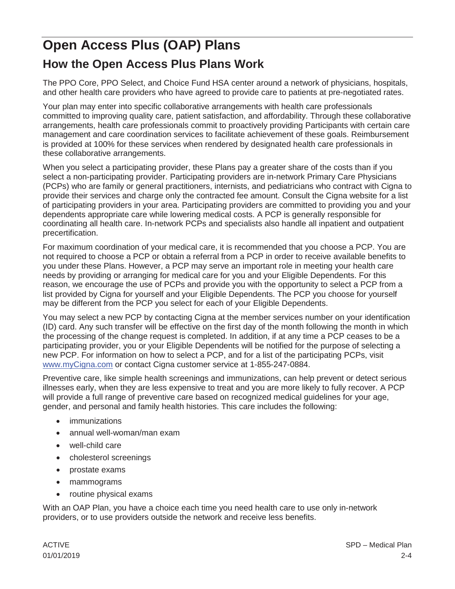## **Open Access Plus (OAP) Plans**

#### **How the Open Access Plus Plans Work**

The PPO Core, PPO Select, and Choice Fund HSA center around a network of physicians, hospitals, and other health care providers who have agreed to provide care to patients at pre-negotiated rates.

Your plan may enter into specific collaborative arrangements with health care professionals committed to improving quality care, patient satisfaction, and affordability. Through these collaborative arrangements, health care professionals commit to proactively providing Participants with certain care management and care coordination services to facilitate achievement of these goals. Reimbursement is provided at 100% for these services when rendered by designated health care professionals in these collaborative arrangements.

When you select a participating provider, these Plans pay a greater share of the costs than if you select a non-participating provider. Participating providers are in-network Primary Care Physicians (PCPs) who are family or general practitioners, internists, and pediatricians who contract with Cigna to provide their services and charge only the contracted fee amount. Consult the Cigna website for a list of participating providers in your area. Participating providers are committed to providing you and your dependents appropriate care while lowering medical costs. A PCP is generally responsible for coordinating all health care. In-network PCPs and specialists also handle all inpatient and outpatient precertification.

For maximum coordination of your medical care, it is recommended that you choose a PCP. You are not required to choose a PCP or obtain a referral from a PCP in order to receive available benefits to you under these Plans. However, a PCP may serve an important role in meeting your health care needs by providing or arranging for medical care for you and your Eligible Dependents. For this reason, we encourage the use of PCPs and provide you with the opportunity to select a PCP from a list provided by Cigna for yourself and your Eligible Dependents. The PCP you choose for yourself may be different from the PCP you select for each of your Eligible Dependents.

You may select a new PCP by contacting Cigna at the member services number on your identification (ID) card. Any such transfer will be effective on the first day of the month following the month in which the processing of the change request is completed. In addition, if at any time a PCP ceases to be a participating provider, you or your Eligible Dependents will be notified for the purpose of selecting a new PCP. For information on how to select a PCP, and for a list of the participating PCPs, visit www.myCigna.com or contact Cigna customer service at 1-855-247-0884.

Preventive care, like simple health screenings and immunizations, can help prevent or detect serious illnesses early, when they are less expensive to treat and you are more likely to fully recover. A PCP will provide a full range of preventive care based on recognized medical guidelines for your age, gender, and personal and family health histories. This care includes the following:

- immunizations
- $\bullet$  annual well-woman/man exam
- $\bullet$  well-child care
- cholesterol screenings
- prostate exams
- mammograms
- routine physical exams

With an OAP Plan, you have a choice each time you need health care to use only in-network providers, or to use providers outside the network and receive less benefits.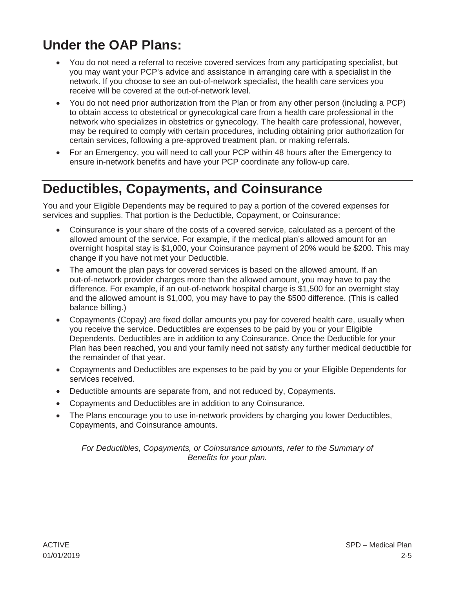### **Under the OAP Plans:**

- You do not need a referral to receive covered services from any participating specialist, but you may want your PCP's advice and assistance in arranging care with a specialist in the network. If you choose to see an out-of-network specialist, the health care services you receive will be covered at the out-of-network level.
- x You do not need prior authorization from the Plan or from any other person (including a PCP) to obtain access to obstetrical or gynecological care from a health care professional in the network who specializes in obstetrics or gynecology. The health care professional, however, may be required to comply with certain procedures, including obtaining prior authorization for certain services, following a pre-approved treatment plan, or making referrals.
- For an Emergency, you will need to call your PCP within 48 hours after the Emergency to ensure in-network benefits and have your PCP coordinate any follow-up care.

### **Deductibles, Copayments, and Coinsurance**

You and your Eligible Dependents may be required to pay a portion of the covered expenses for services and supplies. That portion is the Deductible, Copayment, or Coinsurance:

- Coinsurance is your share of the costs of a covered service, calculated as a percent of the allowed amount of the service. For example, if the medical plan's allowed amount for an overnight hospital stay is \$1,000, your Coinsurance payment of 20% would be \$200. This may change if you have not met your Deductible.
- The amount the plan pays for covered services is based on the allowed amount. If an out-of-network provider charges more than the allowed amount, you may have to pay the difference. For example, if an out-of-network hospital charge is \$1,500 for an overnight stay and the allowed amount is \$1,000, you may have to pay the \$500 difference. (This is called balance billing.)
- Copayments (Copay) are fixed dollar amounts you pay for covered health care, usually when you receive the service. Deductibles are expenses to be paid by you or your Eligible Dependents. Deductibles are in addition to any Coinsurance. Once the Deductible for your Plan has been reached, you and your family need not satisfy any further medical deductible for the remainder of that year.
- Copayments and Deductibles are expenses to be paid by you or your Eligible Dependents for services received.
- Deductible amounts are separate from, and not reduced by, Copayments.
- Copayments and Deductibles are in addition to any Coinsurance.
- The Plans encourage you to use in-network providers by charging you lower Deductibles, Copayments, and Coinsurance amounts.

*For Deductibles, Copayments, or Coinsurance amounts, refer to the Summary of Benefits for your plan.*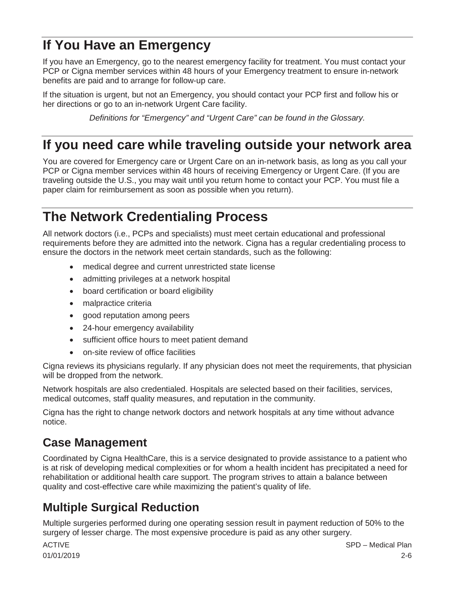### **If You Have an Emergency**

If you have an Emergency, go to the nearest emergency facility for treatment. You must contact your PCP or Cigna member services within 48 hours of your Emergency treatment to ensure in-network benefits are paid and to arrange for follow-up care.

If the situation is urgent, but not an Emergency, you should contact your PCP first and follow his or her directions or go to an in-network Urgent Care facility.

*Definitions for "Emergency" and "Urgent Care" can be found in the Glossary.*

### **If you need care while traveling outside your network area**

You are covered for Emergency care or Urgent Care on an in-network basis, as long as you call your PCP or Cigna member services within 48 hours of receiving Emergency or Urgent Care. (If you are traveling outside the U.S., you may wait until you return home to contact your PCP. You must file a paper claim for reimbursement as soon as possible when you return).

### **The Network Credentialing Process**

All network doctors (i.e., PCPs and specialists) must meet certain educational and professional requirements before they are admitted into the network. Cigna has a regular credentialing process to ensure the doctors in the network meet certain standards, such as the following:

- medical degree and current unrestricted state license
- admitting privileges at a network hospital
- board certification or board eligibility
- malpractice criteria
- good reputation among peers
- 24-hour emergency availability
- sufficient office hours to meet patient demand
- on-site review of office facilities

Cigna reviews its physicians regularly. If any physician does not meet the requirements, that physician will be dropped from the network.

Network hospitals are also credentialed. Hospitals are selected based on their facilities, services, medical outcomes, staff quality measures, and reputation in the community.

Cigna has the right to change network doctors and network hospitals at any time without advance notice.

#### **Case Management**

Coordinated by Cigna HealthCare, this is a service designated to provide assistance to a patient who is at risk of developing medical complexities or for whom a health incident has precipitated a need for rehabilitation or additional health care support. The program strives to attain a balance between quality and cost-effective care while maximizing the patient's quality of life.

### **Multiple Surgical Reduction**

Multiple surgeries performed during one operating session result in payment reduction of 50% to the surgery of lesser charge. The most expensive procedure is paid as any other surgery.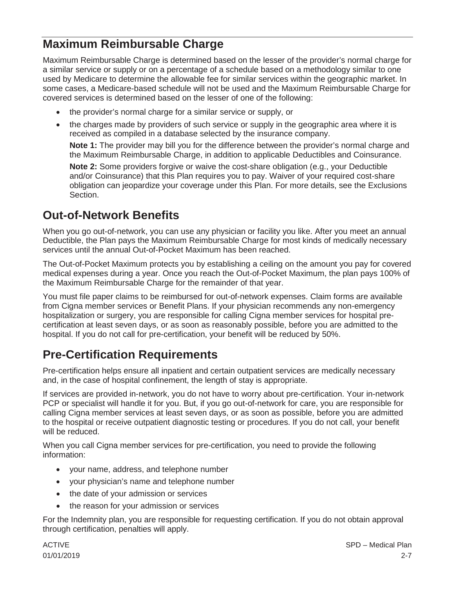#### **Maximum Reimbursable Charge**

Maximum Reimbursable Charge is determined based on the lesser of the provider's normal charge for a similar service or supply or on a percentage of a schedule based on a methodology similar to one used by Medicare to determine the allowable fee for similar services within the geographic market. In some cases, a Medicare-based schedule will not be used and the Maximum Reimbursable Charge for covered services is determined based on the lesser of one of the following:

- the provider's normal charge for a similar service or supply, or
- the charges made by providers of such service or supply in the geographic area where it is received as compiled in a database selected by the insurance company.

**Note 1:** The provider may bill you for the difference between the provider's normal charge and the Maximum Reimbursable Charge, in addition to applicable Deductibles and Coinsurance.

**Note 2:** Some providers forgive or waive the cost-share obligation (e.g., your Deductible and/or Coinsurance) that this Plan requires you to pay. Waiver of your required cost-share obligation can jeopardize your coverage under this Plan. For more details, see the Exclusions Section.

#### **Out-of-Network Benefits**

When you go out-of-network, you can use any physician or facility you like. After you meet an annual Deductible, the Plan pays the Maximum Reimbursable Charge for most kinds of medically necessary services until the annual Out-of-Pocket Maximum has been reached.

The Out-of-Pocket Maximum protects you by establishing a ceiling on the amount you pay for covered medical expenses during a year. Once you reach the Out-of-Pocket Maximum, the plan pays 100% of the Maximum Reimbursable Charge for the remainder of that year.

You must file paper claims to be reimbursed for out-of-network expenses. Claim forms are available from Cigna member services or Benefit Plans. If your physician recommends any non-emergency hospitalization or surgery, you are responsible for calling Cigna member services for hospital precertification at least seven days, or as soon as reasonably possible, before you are admitted to the hospital. If you do not call for pre-certification, your benefit will be reduced by 50%.

#### **Pre-Certification Requirements**

Pre-certification helps ensure all inpatient and certain outpatient services are medically necessary and, in the case of hospital confinement, the length of stay is appropriate.

If services are provided in-network, you do not have to worry about pre-certification. Your in-network PCP or specialist will handle it for you. But, if you go out-of-network for care, you are responsible for calling Cigna member services at least seven days, or as soon as possible, before you are admitted to the hospital or receive outpatient diagnostic testing or procedures. If you do not call, your benefit will be reduced.

When you call Cigna member services for pre-certification, you need to provide the following information:

- your name, address, and telephone number
- your physician's name and telephone number
- the date of your admission or services
- the reason for your admission or services

For the Indemnity plan, you are responsible for requesting certification. If you do not obtain approval through certification, penalties will apply.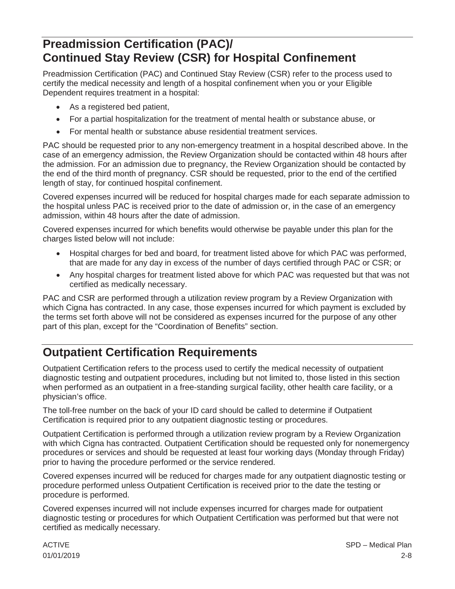#### **Preadmission Certification (PAC)/ Continued Stay Review (CSR) for Hospital Confinement**

Preadmission Certification (PAC) and Continued Stay Review (CSR) refer to the process used to certify the medical necessity and length of a hospital confinement when you or your Eligible Dependent requires treatment in a hospital:

- As a registered bed patient,
- For a partial hospitalization for the treatment of mental health or substance abuse, or
- For mental health or substance abuse residential treatment services.

PAC should be requested prior to any non-emergency treatment in a hospital described above. In the case of an emergency admission, the Review Organization should be contacted within 48 hours after the admission. For an admission due to pregnancy, the Review Organization should be contacted by the end of the third month of pregnancy. CSR should be requested, prior to the end of the certified length of stay, for continued hospital confinement.

Covered expenses incurred will be reduced for hospital charges made for each separate admission to the hospital unless PAC is received prior to the date of admission or, in the case of an emergency admission, within 48 hours after the date of admission.

Covered expenses incurred for which benefits would otherwise be payable under this plan for the charges listed below will not include:

- Hospital charges for bed and board, for treatment listed above for which PAC was performed, that are made for any day in excess of the number of days certified through PAC or CSR; or
- Any hospital charges for treatment listed above for which PAC was requested but that was not certified as medically necessary.

PAC and CSR are performed through a utilization review program by a Review Organization with which Cigna has contracted. In any case, those expenses incurred for which payment is excluded by the terms set forth above will not be considered as expenses incurred for the purpose of any other part of this plan, except for the "Coordination of Benefits" section.

#### **Outpatient Certification Requirements**

Outpatient Certification refers to the process used to certify the medical necessity of outpatient diagnostic testing and outpatient procedures, including but not limited to, those listed in this section when performed as an outpatient in a free-standing surgical facility, other health care facility, or a physician's office.

The toll-free number on the back of your ID card should be called to determine if Outpatient Certification is required prior to any outpatient diagnostic testing or procedures.

Outpatient Certification is performed through a utilization review program by a Review Organization with which Cigna has contracted. Outpatient Certification should be requested only for nonemergency procedures or services and should be requested at least four working days (Monday through Friday) prior to having the procedure performed or the service rendered.

Covered expenses incurred will be reduced for charges made for any outpatient diagnostic testing or procedure performed unless Outpatient Certification is received prior to the date the testing or procedure is performed.

Covered expenses incurred will not include expenses incurred for charges made for outpatient diagnostic testing or procedures for which Outpatient Certification was performed but that were not certified as medically necessary.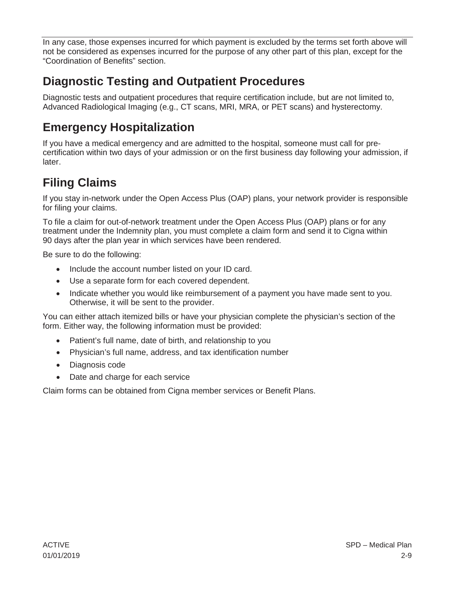In any case, those expenses incurred for which payment is excluded by the terms set forth above will not be considered as expenses incurred for the purpose of any other part of this plan, except for the "Coordination of Benefits" section.

#### **Diagnostic Testing and Outpatient Procedures**

Diagnostic tests and outpatient procedures that require certification include, but are not limited to, Advanced Radiological Imaging (e.g., CT scans, MRI, MRA, or PET scans) and hysterectomy.

#### **Emergency Hospitalization**

If you have a medical emergency and are admitted to the hospital, someone must call for precertification within two days of your admission or on the first business day following your admission, if later.

#### **Filing Claims**

If you stay in-network under the Open Access Plus (OAP) plans, your network provider is responsible for filing your claims.

To file a claim for out-of-network treatment under the Open Access Plus (OAP) plans or for any treatment under the Indemnity plan, you must complete a claim form and send it to Cigna within 90 days after the plan year in which services have been rendered.

Be sure to do the following:

- Include the account number listed on your ID card.
- Use a separate form for each covered dependent.
- Indicate whether you would like reimbursement of a payment you have made sent to you. Otherwise, it will be sent to the provider.

You can either attach itemized bills or have your physician complete the physician's section of the form. Either way, the following information must be provided:

- Patient's full name, date of birth, and relationship to you
- Physician's full name, address, and tax identification number
- Diagnosis code
- Date and charge for each service

Claim forms can be obtained from Cigna member services or Benefit Plans.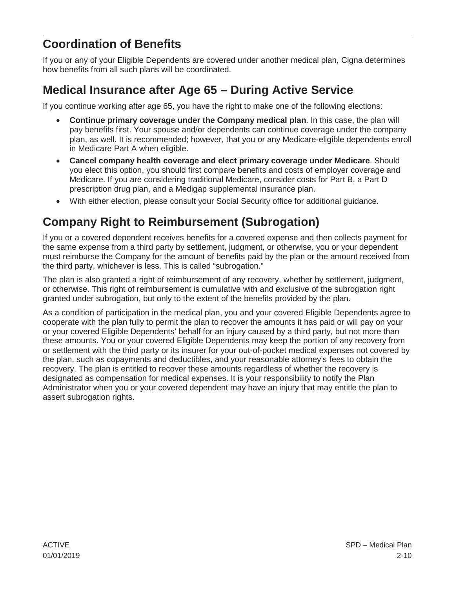#### **Coordination of Benefits**

If you or any of your Eligible Dependents are covered under another medical plan, Cigna determines how benefits from all such plans will be coordinated.

#### **Medical Insurance after Age 65 – During Active Service**

If you continue working after age 65, you have the right to make one of the following elections:

- **Continue primary coverage under the Company medical plan.** In this case, the plan will pay benefits first. Your spouse and/or dependents can continue coverage under the company plan, as well. It is recommended; however, that you or any Medicare-eligible dependents enroll in Medicare Part A when eligible.
- x **Cancel company health coverage and elect primary coverage under Medicare**. Should you elect this option, you should first compare benefits and costs of employer coverage and Medicare. If you are considering traditional Medicare, consider costs for Part B, a Part D prescription drug plan, and a Medigap supplemental insurance plan.
- With either election, please consult your Social Security office for additional guidance.

#### **Company Right to Reimbursement (Subrogation)**

If you or a covered dependent receives benefits for a covered expense and then collects payment for the same expense from a third party by settlement, judgment, or otherwise, you or your dependent must reimburse the Company for the amount of benefits paid by the plan or the amount received from the third party, whichever is less. This is called "subrogation."

The plan is also granted a right of reimbursement of any recovery, whether by settlement, judgment, or otherwise. This right of reimbursement is cumulative with and exclusive of the subrogation right granted under subrogation, but only to the extent of the benefits provided by the plan.

As a condition of participation in the medical plan, you and your covered Eligible Dependents agree to cooperate with the plan fully to permit the plan to recover the amounts it has paid or will pay on your or your covered Eligible Dependents' behalf for an injury caused by a third party, but not more than these amounts. You or your covered Eligible Dependents may keep the portion of any recovery from or settlement with the third party or its insurer for your out-of-pocket medical expenses not covered by the plan, such as copayments and deductibles, and your reasonable attorney's fees to obtain the recovery. The plan is entitled to recover these amounts regardless of whether the recovery is designated as compensation for medical expenses. It is your responsibility to notify the Plan Administrator when you or your covered dependent may have an injury that may entitle the plan to assert subrogation rights.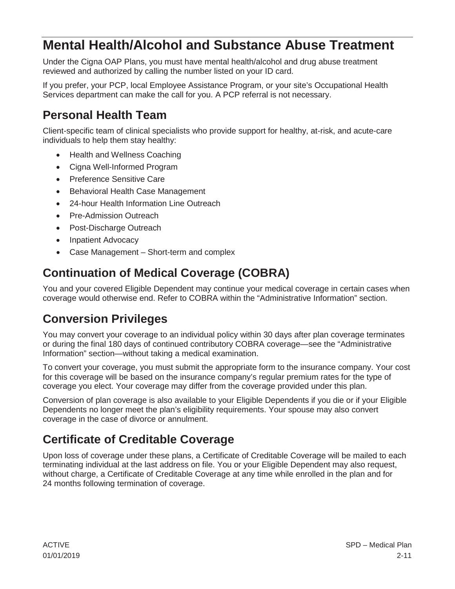### **Mental Health/Alcohol and Substance Abuse Treatment**

Under the Cigna OAP Plans, you must have mental health/alcohol and drug abuse treatment reviewed and authorized by calling the number listed on your ID card.

If you prefer, your PCP, local Employee Assistance Program, or your site's Occupational Health Services department can make the call for you. A PCP referral is not necessary.

#### **Personal Health Team**

Client-specific team of clinical specialists who provide support for healthy, at-risk, and acute-care individuals to help them stay healthy:

- Health and Wellness Coaching
- Cigna Well-Informed Program
- Preference Sensitive Care
- Behavioral Health Case Management
- 24-hour Health Information Line Outreach
- Pre-Admission Outreach
- Post-Discharge Outreach
- Inpatient Advocacy
- $\bullet$  Case Management Short-term and complex

### **Continuation of Medical Coverage (COBRA)**

You and your covered Eligible Dependent may continue your medical coverage in certain cases when coverage would otherwise end. Refer to COBRA within the "Administrative Information" section.

#### **Conversion Privileges**

You may convert your coverage to an individual policy within 30 days after plan coverage terminates or during the final 180 days of continued contributory COBRA coverage—see the "Administrative Information" section—without taking a medical examination.

To convert your coverage, you must submit the appropriate form to the insurance company. Your cost for this coverage will be based on the insurance company's regular premium rates for the type of coverage you elect. Your coverage may differ from the coverage provided under this plan.

Conversion of plan coverage is also available to your Eligible Dependents if you die or if your Eligible Dependents no longer meet the plan's eligibility requirements. Your spouse may also convert coverage in the case of divorce or annulment.

### **Certificate of Creditable Coverage**

Upon loss of coverage under these plans, a Certificate of Creditable Coverage will be mailed to each terminating individual at the last address on file. You or your Eligible Dependent may also request, without charge, a Certificate of Creditable Coverage at any time while enrolled in the plan and for 24 months following termination of coverage.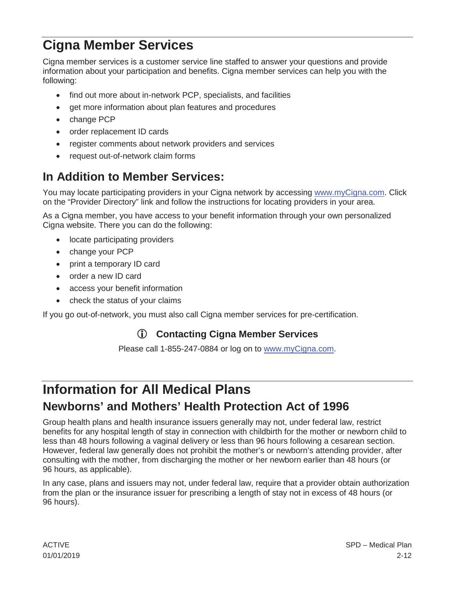### **Cigna Member Services**

Cigna member services is a customer service line staffed to answer your questions and provide information about your participation and benefits. Cigna member services can help you with the following:

- find out more about in-network PCP, specialists, and facilities
- get more information about plan features and procedures
- change PCP
- order replacement ID cards
- register comments about network providers and services
- request out-of-network claim forms

#### **In Addition to Member Services:**

You may locate participating providers in your Cigna network by accessing www.myCigna.com. Click on the "Provider Directory" link and follow the instructions for locating providers in your area.

As a Cigna member, you have access to your benefit information through your own personalized Cigna website. There you can do the following:

- locate participating providers
- $\bullet$  change your PCP
- print a temporary ID card
- order a new ID card
- access your benefit information
- check the status of your claims

If you go out-of-network, you must also call Cigna member services for pre-certification.

#### L **Contacting Cigna Member Services**

Please call 1-855-247-0884 or log on to www.myCigna.com.

### **Information for All Medical Plans Newborns' and Mothers' Health Protection Act of 1996**

Group health plans and health insurance issuers generally may not, under federal law, restrict benefits for any hospital length of stay in connection with childbirth for the mother or newborn child to less than 48 hours following a vaginal delivery or less than 96 hours following a cesarean section. However, federal law generally does not prohibit the mother's or newborn's attending provider, after consulting with the mother, from discharging the mother or her newborn earlier than 48 hours (or 96 hours, as applicable).

In any case, plans and issuers may not, under federal law, require that a provider obtain authorization from the plan or the insurance issuer for prescribing a length of stay not in excess of 48 hours (or 96 hours).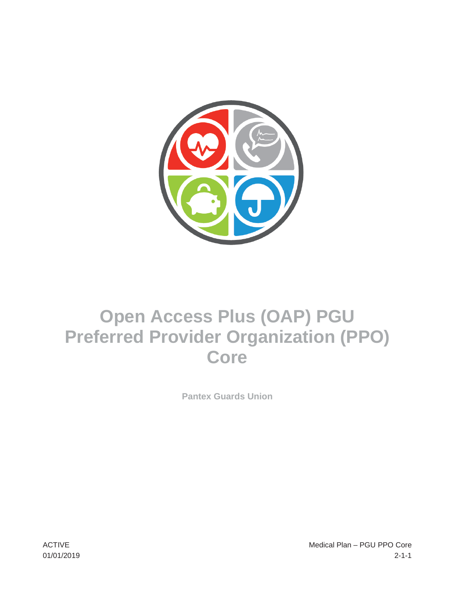

# **Open Access Plus (OAP) PGU Preferred Provider Organization (PPO) Core**

**Pantex Guards Union**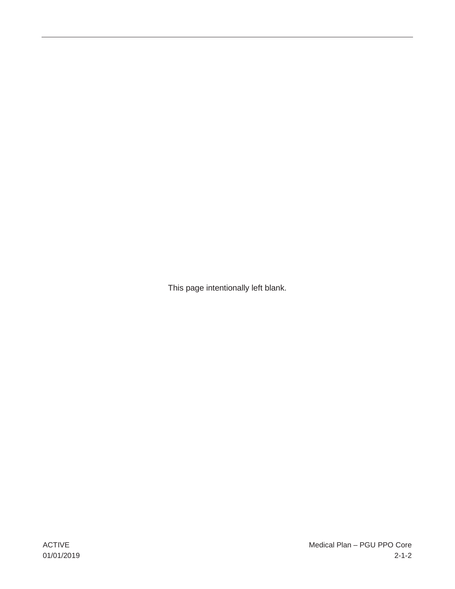This page intentionally left blank.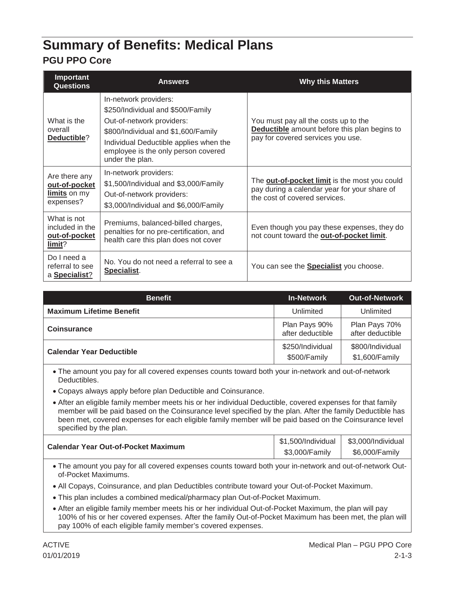#### **PGU PPO Core**

| <b>Important</b><br><b>Questions</b>                        | <b>Answers</b>                                                                                                                                                                                                                     | <b>Why this Matters</b>                                                                                                               |
|-------------------------------------------------------------|------------------------------------------------------------------------------------------------------------------------------------------------------------------------------------------------------------------------------------|---------------------------------------------------------------------------------------------------------------------------------------|
| What is the<br>overall<br>Deductible?                       | In-network providers:<br>\$250/Individual and \$500/Family<br>Out-of-network providers:<br>\$800/Individual and \$1,600/Family<br>Individual Deductible applies when the<br>employee is the only person covered<br>under the plan. | You must pay all the costs up to the<br>Deductible amount before this plan begins to<br>pay for covered services you use.             |
| Are there any<br>out-of-pocket<br>limits on my<br>expenses? | In-network providers:<br>\$1,500/Individual and \$3,000/Family<br>Out-of-network providers:<br>\$3,000/Individual and \$6,000/Family                                                                                               | The <b>out-of-pocket limit</b> is the most you could<br>pay during a calendar year for your share of<br>the cost of covered services. |
| What is not<br>included in the<br>out-of-pocket<br>limit?   | Premiums, balanced-billed charges,<br>penalties for no pre-certification, and<br>health care this plan does not cover                                                                                                              | Even though you pay these expenses, they do<br>not count toward the out-of-pocket limit.                                              |
| Do I need a<br>referral to see<br>a Specialist?             | No. You do not need a referral to see a<br>Specialist.                                                                                                                                                                             | You can see the <b>Specialist</b> you choose.                                                                                         |

| <b>Benefit</b>                  | <b>In-Network</b>                 | Out-of-Network                     |
|---------------------------------|-----------------------------------|------------------------------------|
| <b>Maximum Lifetime Benefit</b> | Unlimited                         | Unlimited                          |
| <b>Coinsurance</b>              | Plan Pays 90%<br>after deductible | Plan Pays 70%<br>after deductible  |
| <b>Calendar Year Deductible</b> | \$250/Individual<br>\$500/Family  | \$800/Individual<br>\$1,600/Family |

• The amount you pay for all covered expenses counts toward both your in-network and out-of-network Deductibles.

• Copays always apply before plan Deductible and Coinsurance.

• After an eligible family member meets his or her individual Deductible, covered expenses for that family member will be paid based on the Coinsurance level specified by the plan. After the family Deductible has been met, covered expenses for each eligible family member will be paid based on the Coinsurance level specified by the plan.

| Calendar Year Out-of-Pocket Maximum | \$1,500/Individual | \$3,000/Individual |
|-------------------------------------|--------------------|--------------------|
|                                     | \$3,000/Family     | \$6,000/Family     |

• The amount you pay for all covered expenses counts toward both your in-network and out-of-network Outof-Pocket Maximums.

• All Copays, Coinsurance, and plan Deductibles contribute toward your Out-of-Pocket Maximum.

• This plan includes a combined medical/pharmacy plan Out-of-Pocket Maximum.

• After an eligible family member meets his or her individual Out-of-Pocket Maximum, the plan will pay 100% of his or her covered expenses. After the family Out-of-Pocket Maximum has been met, the plan will pay 100% of each eligible family member's covered expenses.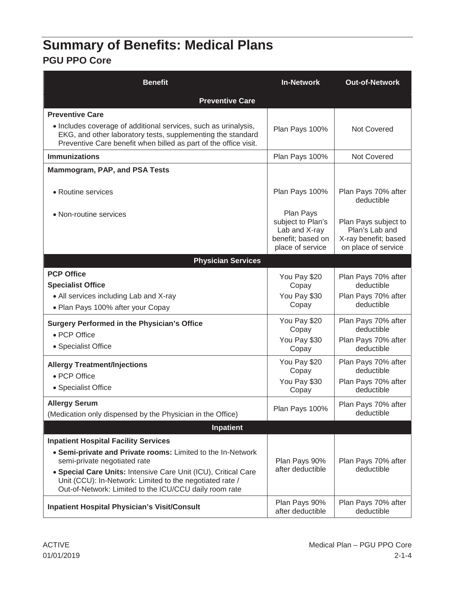#### **Summary of Benefits: Medical Plans PGU PPO Core**

| <b>Benefit</b>                                                                                                                                                                                                                                                                                                                     | <b>In-Network</b>                                                                        | <b>Out-of-Network</b>                                                                 |
|------------------------------------------------------------------------------------------------------------------------------------------------------------------------------------------------------------------------------------------------------------------------------------------------------------------------------------|------------------------------------------------------------------------------------------|---------------------------------------------------------------------------------------|
| <b>Preventive Care</b>                                                                                                                                                                                                                                                                                                             |                                                                                          |                                                                                       |
| <b>Preventive Care</b><br>• Includes coverage of additional services, such as urinalysis,<br>EKG, and other laboratory tests, supplementing the standard<br>Preventive Care benefit when billed as part of the office visit.                                                                                                       | Plan Pays 100%                                                                           | Not Covered                                                                           |
| <b>Immunizations</b>                                                                                                                                                                                                                                                                                                               | Plan Pays 100%                                                                           | Not Covered                                                                           |
| <b>Mammogram, PAP, and PSA Tests</b>                                                                                                                                                                                                                                                                                               |                                                                                          |                                                                                       |
| • Routine services                                                                                                                                                                                                                                                                                                                 | Plan Pays 100%                                                                           | Plan Pays 70% after<br>deductible                                                     |
| • Non-routine services                                                                                                                                                                                                                                                                                                             | Plan Pays<br>subject to Plan's<br>Lab and X-ray<br>benefit; based on<br>place of service | Plan Pays subject to<br>Plan's Lab and<br>X-ray benefit; based<br>on place of service |
| <b>Physician Services</b>                                                                                                                                                                                                                                                                                                          |                                                                                          |                                                                                       |
| <b>PCP Office</b><br><b>Specialist Office</b><br>• All services including Lab and X-ray<br>• Plan Pays 100% after your Copay                                                                                                                                                                                                       | You Pay \$20<br>Copay<br>You Pay \$30<br>Copay                                           | Plan Pays 70% after<br>deductible<br>Plan Pays 70% after<br>deductible                |
| <b>Surgery Performed in the Physician's Office</b><br>• PCP Office<br>• Specialist Office                                                                                                                                                                                                                                          | You Pay \$20<br>Copay<br>You Pay \$30<br>Copay                                           | Plan Pays 70% after<br>deductible<br>Plan Pays 70% after<br>deductible                |
| <b>Allergy Treatment/Injections</b><br>• PCP Office<br>• Specialist Office                                                                                                                                                                                                                                                         | You Pay \$20<br>Copay<br>You Pay \$30<br>Copay                                           | Plan Pays 70% after<br>deductible<br>Plan Pays 70% after<br>deductible                |
| <b>Allergy Serum</b><br>(Medication only dispensed by the Physician in the Office)                                                                                                                                                                                                                                                 | Plan Pays 100%                                                                           | Plan Pays 70% after<br>deductible                                                     |
| Inpatient                                                                                                                                                                                                                                                                                                                          |                                                                                          |                                                                                       |
| <b>Inpatient Hospital Facility Services</b><br>• Semi-private and Private rooms: Limited to the In-Network<br>semi-private negotiated rate<br>· Special Care Units: Intensive Care Unit (ICU), Critical Care<br>Unit (CCU): In-Network: Limited to the negotiated rate /<br>Out-of-Network: Limited to the ICU/CCU daily room rate | Plan Pays 90%<br>after deductible                                                        | Plan Pays 70% after<br>deductible                                                     |
| <b>Inpatient Hospital Physician's Visit/Consult</b>                                                                                                                                                                                                                                                                                | Plan Pays 90%<br>after deductible                                                        | Plan Pays 70% after<br>deductible                                                     |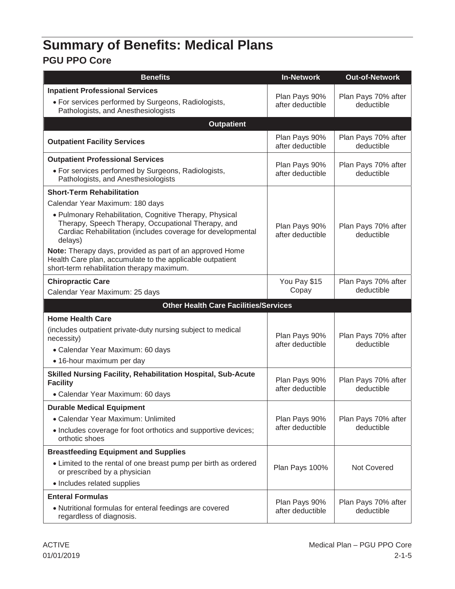| <b>Benefits</b>                                                                                                                                                                         | <b>In-Network</b>                 | Out-of-Network                    |  |
|-----------------------------------------------------------------------------------------------------------------------------------------------------------------------------------------|-----------------------------------|-----------------------------------|--|
| <b>Inpatient Professional Services</b><br>• For services performed by Surgeons, Radiologists,<br>Pathologists, and Anesthesiologists                                                    | Plan Pays 90%<br>after deductible | Plan Pays 70% after<br>deductible |  |
| <b>Outpatient</b>                                                                                                                                                                       |                                   |                                   |  |
| <b>Outpatient Facility Services</b>                                                                                                                                                     | Plan Pays 90%<br>after deductible | Plan Pays 70% after<br>deductible |  |
| <b>Outpatient Professional Services</b>                                                                                                                                                 |                                   |                                   |  |
| • For services performed by Surgeons, Radiologists,<br>Pathologists, and Anesthesiologists                                                                                              | Plan Pays 90%<br>after deductible | Plan Pays 70% after<br>deductible |  |
| <b>Short-Term Rehabilitation</b>                                                                                                                                                        |                                   |                                   |  |
| Calendar Year Maximum: 180 days                                                                                                                                                         |                                   |                                   |  |
| • Pulmonary Rehabilitation, Cognitive Therapy, Physical<br>Therapy, Speech Therapy, Occupational Therapy, and<br>Cardiac Rehabilitation (includes coverage for developmental<br>delays) | Plan Pays 90%<br>after deductible | Plan Pays 70% after<br>deductible |  |
| Note: Therapy days, provided as part of an approved Home<br>Health Care plan, accumulate to the applicable outpatient<br>short-term rehabilitation therapy maximum.                     |                                   |                                   |  |
| <b>Chiropractic Care</b>                                                                                                                                                                | You Pay \$15                      | Plan Pays 70% after               |  |
| Calendar Year Maximum: 25 days                                                                                                                                                          | Copay                             | deductible                        |  |
| <b>Other Health Care Facilities/Services</b>                                                                                                                                            |                                   |                                   |  |
| <b>Home Health Care</b>                                                                                                                                                                 |                                   |                                   |  |
| (includes outpatient private-duty nursing subject to medical<br>necessity)                                                                                                              | Plan Pays 90%<br>after deductible | Plan Pays 70% after<br>deductible |  |
| · Calendar Year Maximum: 60 days                                                                                                                                                        |                                   |                                   |  |
| • 16-hour maximum per day                                                                                                                                                               |                                   |                                   |  |
| <b>Skilled Nursing Facility, Rehabilitation Hospital, Sub-Acute</b><br><b>Facility</b>                                                                                                  | Plan Pays 90%<br>after deductible | Plan Pays 70% after<br>deductible |  |
| • Calendar Year Maximum: 60 days                                                                                                                                                        |                                   |                                   |  |
| <b>Durable Medical Equipment</b>                                                                                                                                                        |                                   |                                   |  |
| • Calendar Year Maximum: Unlimited                                                                                                                                                      | Plan Pays 90%<br>after deductible | Plan Pays 70% after<br>deductible |  |
| • Includes coverage for foot orthotics and supportive devices;<br>orthotic shoes                                                                                                        |                                   |                                   |  |
| <b>Breastfeeding Equipment and Supplies</b>                                                                                                                                             |                                   |                                   |  |
| • Limited to the rental of one breast pump per birth as ordered<br>or prescribed by a physician                                                                                         | Plan Pays 100%                    | <b>Not Covered</b>                |  |
| • Includes related supplies                                                                                                                                                             |                                   |                                   |  |
| <b>Enteral Formulas</b>                                                                                                                                                                 | Plan Pays 90%                     | Plan Pays 70% after               |  |
| • Nutritional formulas for enteral feedings are covered<br>regardless of diagnosis.                                                                                                     | after deductible                  | deductible                        |  |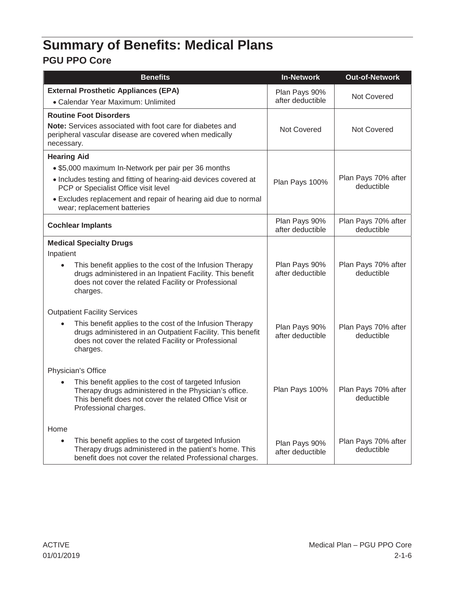| <b>Benefits</b>                                                                                                                                                                                    | <b>In-Network</b>                 | <b>Out-of-Network</b>             |
|----------------------------------------------------------------------------------------------------------------------------------------------------------------------------------------------------|-----------------------------------|-----------------------------------|
| <b>External Prosthetic Appliances (EPA)</b>                                                                                                                                                        | Plan Pays 90%                     | Not Covered                       |
| • Calendar Year Maximum: Unlimited                                                                                                                                                                 | after deductible                  |                                   |
| <b>Routine Foot Disorders</b>                                                                                                                                                                      |                                   |                                   |
| Note: Services associated with foot care for diabetes and<br>peripheral vascular disease are covered when medically<br>necessary.                                                                  | Not Covered                       | <b>Not Covered</b>                |
| <b>Hearing Aid</b>                                                                                                                                                                                 |                                   |                                   |
| • \$5,000 maximum In-Network per pair per 36 months                                                                                                                                                |                                   |                                   |
| • Includes testing and fitting of hearing-aid devices covered at<br>PCP or Specialist Office visit level                                                                                           | Plan Pays 100%                    | Plan Pays 70% after<br>deductible |
| • Excludes replacement and repair of hearing aid due to normal<br>wear; replacement batteries                                                                                                      |                                   |                                   |
| <b>Cochlear Implants</b>                                                                                                                                                                           | Plan Pays 90%<br>after deductible | Plan Pays 70% after<br>deductible |
| <b>Medical Specialty Drugs</b>                                                                                                                                                                     |                                   |                                   |
| Inpatient                                                                                                                                                                                          |                                   |                                   |
| This benefit applies to the cost of the Infusion Therapy<br>drugs administered in an Inpatient Facility. This benefit<br>does not cover the related Facility or Professional<br>charges.           | Plan Pays 90%<br>after deductible | Plan Pays 70% after<br>deductible |
| <b>Outpatient Facility Services</b>                                                                                                                                                                |                                   |                                   |
| This benefit applies to the cost of the Infusion Therapy<br>drugs administered in an Outpatient Facility. This benefit<br>does not cover the related Facility or Professional<br>charges.          | Plan Pays 90%<br>after deductible | Plan Pays 70% after<br>deductible |
| Physician's Office                                                                                                                                                                                 |                                   |                                   |
| This benefit applies to the cost of targeted Infusion<br>Therapy drugs administered in the Physician's office.<br>This benefit does not cover the related Office Visit or<br>Professional charges. | Plan Pays 100%                    | Plan Pays 70% after<br>deductible |
| Home                                                                                                                                                                                               |                                   |                                   |
| This benefit applies to the cost of targeted Infusion<br>$\bullet$<br>Therapy drugs administered in the patient's home. This<br>benefit does not cover the related Professional charges.           | Plan Pays 90%<br>after deductible | Plan Pays 70% after<br>deductible |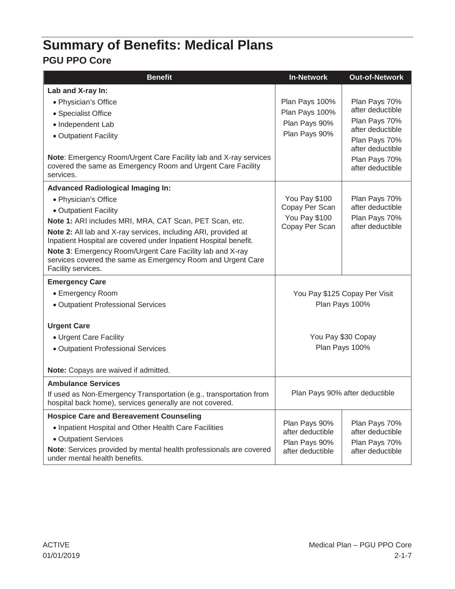| <b>Benefit</b>                                                                                                                                                                                                                                                                                                                                                                                                                               | <b>In-Network</b>                                                                       | <b>Out-of-Network</b>                                                                                                                            |
|----------------------------------------------------------------------------------------------------------------------------------------------------------------------------------------------------------------------------------------------------------------------------------------------------------------------------------------------------------------------------------------------------------------------------------------------|-----------------------------------------------------------------------------------------|--------------------------------------------------------------------------------------------------------------------------------------------------|
| Lab and X-ray In:<br>· Physician's Office<br>• Specialist Office<br>• Independent Lab<br>• Outpatient Facility<br>Note: Emergency Room/Urgent Care Facility lab and X-ray services<br>covered the same as Emergency Room and Urgent Care Facility<br>services.                                                                                                                                                                               | Plan Pays 100%<br>Plan Pays 100%<br>Plan Pays 90%<br>Plan Pays 90%                      | Plan Pays 70%<br>after deductible<br>Plan Pays 70%<br>after deductible<br>Plan Pays 70%<br>after deductible<br>Plan Pays 70%<br>after deductible |
| <b>Advanced Radiological Imaging In:</b><br>• Physician's Office<br>• Outpatient Facility<br>Note 1: ARI includes MRI, MRA, CAT Scan, PET Scan, etc.<br>Note 2: All lab and X-ray services, including ARI, provided at<br>Inpatient Hospital are covered under Inpatient Hospital benefit.<br>Note 3: Emergency Room/Urgent Care Facility lab and X-ray<br>services covered the same as Emergency Room and Urgent Care<br>Facility services. | You Pay \$100<br>Copay Per Scan<br>You Pay \$100<br>Copay Per Scan                      | Plan Pays 70%<br>after deductible<br>Plan Pays 70%<br>after deductible                                                                           |
| <b>Emergency Care</b><br>• Emergency Room<br>· Outpatient Professional Services<br><b>Urgent Care</b><br>• Urgent Care Facility<br>· Outpatient Professional Services<br>Note: Copays are waived if admitted.                                                                                                                                                                                                                                | You Pay \$125 Copay Per Visit<br>Plan Pays 100%<br>You Pay \$30 Copay<br>Plan Pays 100% |                                                                                                                                                  |
| <b>Ambulance Services</b><br>If used as Non-Emergency Transportation (e.g., transportation from<br>hospital back home), services generally are not covered.                                                                                                                                                                                                                                                                                  |                                                                                         | Plan Pays 90% after deductible                                                                                                                   |
| <b>Hospice Care and Bereavement Counseling</b><br>• Inpatient Hospital and Other Health Care Facilities<br>• Outpatient Services<br>Note: Services provided by mental health professionals are covered<br>under mental health benefits.                                                                                                                                                                                                      | Plan Pays 90%<br>after deductible<br>Plan Pays 90%<br>after deductible                  | Plan Pays 70%<br>after deductible<br>Plan Pays 70%<br>after deductible                                                                           |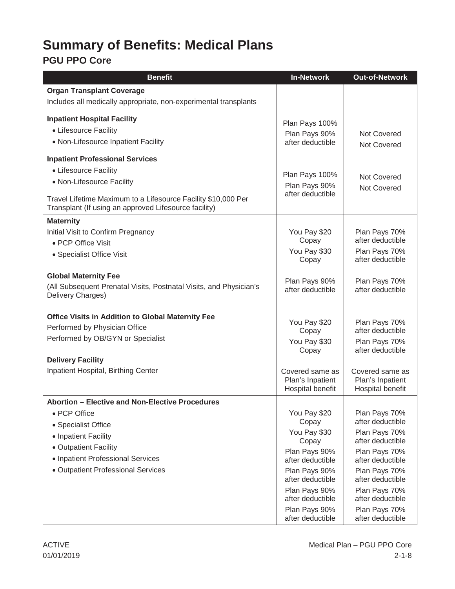| <b>Benefit</b>                                                     | <b>In-Network</b>                 | <b>Out-of-Network</b>             |
|--------------------------------------------------------------------|-----------------------------------|-----------------------------------|
| <b>Organ Transplant Coverage</b>                                   |                                   |                                   |
| Includes all medically appropriate, non-experimental transplants   |                                   |                                   |
| <b>Inpatient Hospital Facility</b>                                 |                                   |                                   |
| • Lifesource Facility                                              | Plan Pays 100%                    |                                   |
| • Non-Lifesource Inpatient Facility                                | Plan Pays 90%<br>after deductible | <b>Not Covered</b>                |
|                                                                    |                                   | Not Covered                       |
| <b>Inpatient Professional Services</b>                             |                                   |                                   |
| • Lifesource Facility                                              | Plan Pays 100%                    | Not Covered                       |
| • Non-Lifesource Facility                                          | Plan Pays 90%                     | <b>Not Covered</b>                |
| Travel Lifetime Maximum to a Lifesource Facility \$10,000 Per      | after deductible                  |                                   |
| Transplant (If using an approved Lifesource facility)              |                                   |                                   |
| <b>Maternity</b>                                                   |                                   |                                   |
| Initial Visit to Confirm Pregnancy                                 | You Pay \$20                      | Plan Pays 70%                     |
| • PCP Office Visit                                                 | Copay                             | after deductible                  |
| • Specialist Office Visit                                          | You Pay \$30                      | Plan Pays 70%<br>after deductible |
|                                                                    | Copay                             |                                   |
| <b>Global Maternity Fee</b>                                        | Plan Pays 90%                     | Plan Pays 70%                     |
| (All Subsequent Prenatal Visits, Postnatal Visits, and Physician's | after deductible                  | after deductible                  |
| Delivery Charges)                                                  |                                   |                                   |
| Office Visits in Addition to Global Maternity Fee                  |                                   |                                   |
| Performed by Physician Office                                      | You Pay \$20                      | Plan Pays 70%                     |
| Performed by OB/GYN or Specialist                                  | Copay                             | after deductible                  |
|                                                                    | You Pay \$30<br>Copay             | Plan Pays 70%<br>after deductible |
| <b>Delivery Facility</b>                                           |                                   |                                   |
| Inpatient Hospital, Birthing Center                                | Covered same as                   | Covered same as                   |
|                                                                    | Plan's Inpatient                  | Plan's Inpatient                  |
|                                                                    | Hospital benefit                  | Hospital benefit                  |
| Abortion – Elective and Non-Elective Procedures                    |                                   |                                   |
| • PCP Office                                                       | You Pay \$20                      | Plan Pays 70%                     |
| • Specialist Office                                                | Copay                             | after deductible                  |
| • Inpatient Facility                                               | You Pay \$30<br>Copay             | Plan Pays 70%<br>after deductible |
| • Outpatient Facility                                              | Plan Pays 90%                     | Plan Pays 70%                     |
| • Inpatient Professional Services                                  | after deductible                  | after deductible                  |
| • Outpatient Professional Services                                 | Plan Pays 90%                     | Plan Pays 70%                     |
|                                                                    | after deductible                  | after deductible                  |
|                                                                    | Plan Pays 90%<br>after deductible | Plan Pays 70%<br>after deductible |
|                                                                    | Plan Pays 90%                     | Plan Pays 70%                     |
|                                                                    | after deductible                  | after deductible                  |
|                                                                    |                                   |                                   |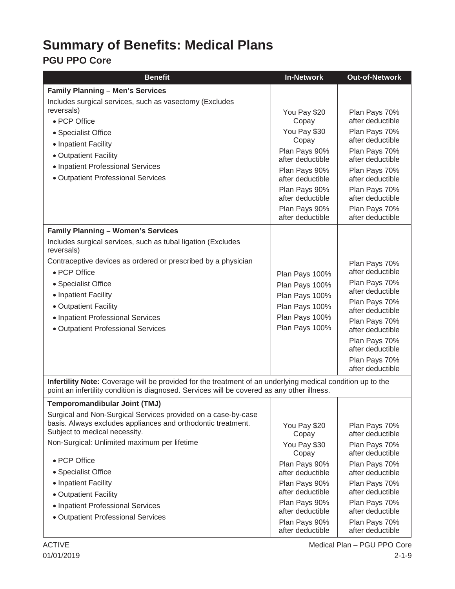| <b>Benefit</b>                                                                                                                                                                                            | <b>In-Network</b>                 | <b>Out-of-Network</b>             |
|-----------------------------------------------------------------------------------------------------------------------------------------------------------------------------------------------------------|-----------------------------------|-----------------------------------|
| <b>Family Planning - Men's Services</b>                                                                                                                                                                   |                                   |                                   |
| Includes surgical services, such as vasectomy (Excludes                                                                                                                                                   |                                   |                                   |
| reversals)                                                                                                                                                                                                | You Pay \$20                      | Plan Pays 70%                     |
| • PCP Office                                                                                                                                                                                              | Copay                             | after deductible                  |
| • Specialist Office                                                                                                                                                                                       | You Pay \$30<br>Copay             | Plan Pays 70%<br>after deductible |
| • Inpatient Facility                                                                                                                                                                                      | Plan Pays 90%                     | Plan Pays 70%                     |
| • Outpatient Facility                                                                                                                                                                                     | after deductible                  | after deductible                  |
| • Inpatient Professional Services                                                                                                                                                                         | Plan Pays 90%                     | Plan Pays 70%                     |
| • Outpatient Professional Services                                                                                                                                                                        | after deductible                  | after deductible<br>Plan Pays 70% |
|                                                                                                                                                                                                           | Plan Pays 90%<br>after deductible | after deductible                  |
|                                                                                                                                                                                                           | Plan Pays 90%                     | Plan Pays 70%                     |
|                                                                                                                                                                                                           | after deductible                  | after deductible                  |
| <b>Family Planning - Women's Services</b>                                                                                                                                                                 |                                   |                                   |
| Includes surgical services, such as tubal ligation (Excludes<br>reversals)                                                                                                                                |                                   |                                   |
| Contraceptive devices as ordered or prescribed by a physician                                                                                                                                             |                                   | Plan Pays 70%                     |
| • PCP Office                                                                                                                                                                                              | Plan Pays 100%                    | after deductible                  |
| • Specialist Office                                                                                                                                                                                       | Plan Pays 100%                    | Plan Pays 70%                     |
| • Inpatient Facility                                                                                                                                                                                      | Plan Pays 100%                    | after deductible<br>Plan Pays 70% |
| • Outpatient Facility                                                                                                                                                                                     | Plan Pays 100%                    | after deductible                  |
| • Inpatient Professional Services                                                                                                                                                                         | Plan Pays 100%                    | Plan Pays 70%                     |
| • Outpatient Professional Services                                                                                                                                                                        | Plan Pays 100%                    | after deductible                  |
|                                                                                                                                                                                                           |                                   | Plan Pays 70%<br>after deductible |
|                                                                                                                                                                                                           |                                   | Plan Pays 70%                     |
|                                                                                                                                                                                                           |                                   | after deductible                  |
| Infertility Note: Coverage will be provided for the treatment of an underlying medical condition up to the<br>point an infertility condition is diagnosed. Services will be covered as any other illness. |                                   |                                   |
| Temporomandibular Joint (TMJ)                                                                                                                                                                             |                                   |                                   |
| Surgical and Non-Surgical Services provided on a case-by-case                                                                                                                                             |                                   |                                   |
| basis. Always excludes appliances and orthodontic treatment.                                                                                                                                              | You Pay \$20                      | Plan Pays 70%                     |
| Subject to medical necessity.<br>Non-Surgical: Unlimited maximum per lifetime                                                                                                                             | Copay                             | after deductible                  |
| • PCP Office                                                                                                                                                                                              | You Pay \$30<br>Copay             | Plan Pays 70%<br>after deductible |
| • Specialist Office                                                                                                                                                                                       | Plan Pays 90%<br>after deductible | Plan Pays 70%                     |
| • Inpatient Facility                                                                                                                                                                                      | Plan Pays 90%                     | after deductible<br>Plan Pays 70% |
| • Outpatient Facility                                                                                                                                                                                     | after deductible                  | after deductible                  |
| • Inpatient Professional Services                                                                                                                                                                         | Plan Pays 90%                     | Plan Pays 70%                     |
| • Outpatient Professional Services                                                                                                                                                                        | after deductible                  | after deductible                  |
|                                                                                                                                                                                                           | Plan Pays 90%<br>after deductible | Plan Pays 70%<br>after deductible |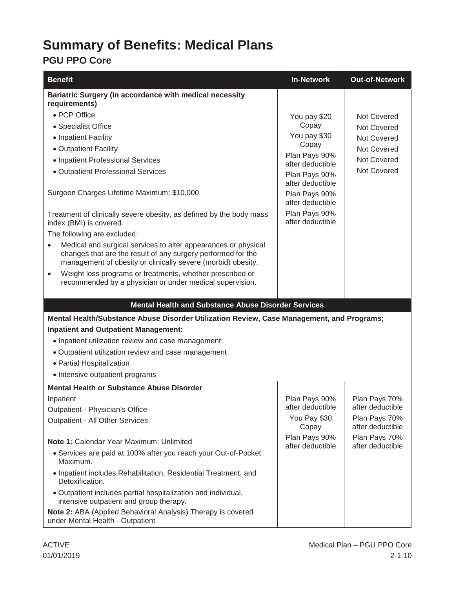| <b>Benefit</b>                                                                                                                                                                                              | <b>In-Network</b>                 | <b>Out-of-Network</b>             |
|-------------------------------------------------------------------------------------------------------------------------------------------------------------------------------------------------------------|-----------------------------------|-----------------------------------|
| Bariatric Surgery (in accordance with medical necessity<br>requirements)                                                                                                                                    |                                   |                                   |
| • PCP Office                                                                                                                                                                                                | You pay \$20                      | <b>Not Covered</b>                |
| • Specialist Office                                                                                                                                                                                         | Copay                             | Not Covered                       |
| • Inpatient Facility                                                                                                                                                                                        | You pay \$30                      | Not Covered                       |
| • Outpatient Facility                                                                                                                                                                                       | Copay                             | <b>Not Covered</b>                |
| • Inpatient Professional Services                                                                                                                                                                           | Plan Pays 90%<br>after deductible | Not Covered                       |
| • Outpatient Professional Services                                                                                                                                                                          | Plan Pays 90%<br>after deductible | Not Covered                       |
| Surgeon Charges Lifetime Maximum: \$10,000                                                                                                                                                                  | Plan Pays 90%<br>after deductible |                                   |
| Treatment of clinically severe obesity, as defined by the body mass<br>index (BMI) is covered.                                                                                                              | Plan Pays 90%<br>after deductible |                                   |
| The following are excluded:                                                                                                                                                                                 |                                   |                                   |
| Medical and surgical services to alter appearances or physical<br>$\bullet$<br>changes that are the result of any surgery performed for the<br>management of obesity or clinically severe (morbid) obesity. |                                   |                                   |
| Weight loss programs or treatments, whether prescribed or<br>$\bullet$<br>recommended by a physician or under medical supervision.                                                                          |                                   |                                   |
| <b>Mental Health and Substance Abuse Disorder Services</b>                                                                                                                                                  |                                   |                                   |
|                                                                                                                                                                                                             |                                   |                                   |
| Mental Health/Substance Abuse Disorder Utilization Review, Case Management, and Programs;<br><b>Inpatient and Outpatient Management:</b>                                                                    |                                   |                                   |
| • Inpatient utilization review and case management                                                                                                                                                          |                                   |                                   |
| • Outpatient utilization review and case management                                                                                                                                                         |                                   |                                   |
| • Partial Hospitalization                                                                                                                                                                                   |                                   |                                   |
| • Intensive outpatient programs                                                                                                                                                                             |                                   |                                   |
| <b>Mental Health or Substance Abuse Disorder</b>                                                                                                                                                            |                                   |                                   |
| Inpatient                                                                                                                                                                                                   | Plan Pays 90%                     | Plan Pays 70%                     |
| Outpatient - Physician's Office                                                                                                                                                                             | after deductible                  | after deductible                  |
| Outpatient - All Other Services                                                                                                                                                                             | You Pay \$30<br>Copay             | Plan Pays 70%<br>after deductible |
| Note 1: Calendar Year Maximum: Unlimited                                                                                                                                                                    | Plan Pays 90%                     | Plan Pays 70%                     |
| • Services are paid at 100% after you reach your Out-of-Pocket<br>Maximum.                                                                                                                                  | after deductible                  | after deductible                  |
| • Inpatient includes Rehabilitation, Residential Treatment, and<br>Detoxification.                                                                                                                          |                                   |                                   |
| . Outpatient includes partial hospitalization and individual,<br>intensive outpatient and group therapy.                                                                                                    |                                   |                                   |
| Note 2: ABA (Applied Behavioral Analysis) Therapy is covered<br>under Mental Health - Outpatient                                                                                                            |                                   |                                   |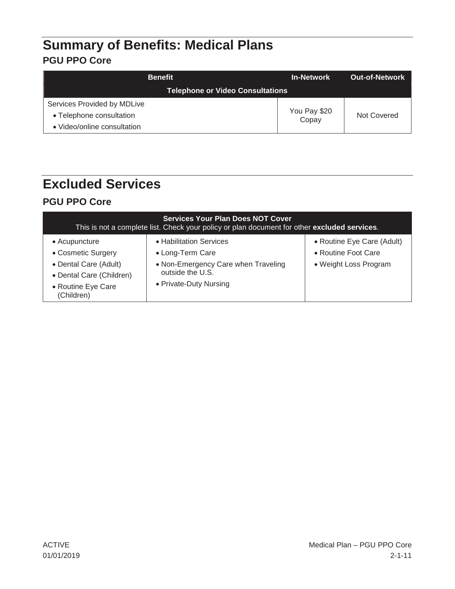#### **Summary of Benefits: Medical Plans PGU PPO Core**

| <b>Benefit</b>                          | <b>In-Network</b>     | <b>Out-of-Network</b> |
|-----------------------------------------|-----------------------|-----------------------|
| <b>Telephone or Video Consultations</b> |                       |                       |
| Services Provided by MDLive             |                       |                       |
| • Telephone consultation                | You Pay \$20<br>Copay | Not Covered           |
| • Video/online consultation             |                       |                       |

### **Excluded Services**

| <b>Services Your Plan Does NOT Cover</b><br>This is not a complete list. Check your policy or plan document for other excluded services. |                                                                                                                                  |                                                                            |  |  |
|------------------------------------------------------------------------------------------------------------------------------------------|----------------------------------------------------------------------------------------------------------------------------------|----------------------------------------------------------------------------|--|--|
| • Acupuncture<br>• Cosmetic Surgery<br>• Dental Care (Adult)<br>• Dental Care (Children)<br>• Routine Eye Care<br>(Children)             | • Habilitation Services<br>• Long-Term Care<br>• Non-Emergency Care when Traveling<br>outside the U.S.<br>• Private-Duty Nursing | • Routine Eye Care (Adult)<br>• Routine Foot Care<br>• Weight Loss Program |  |  |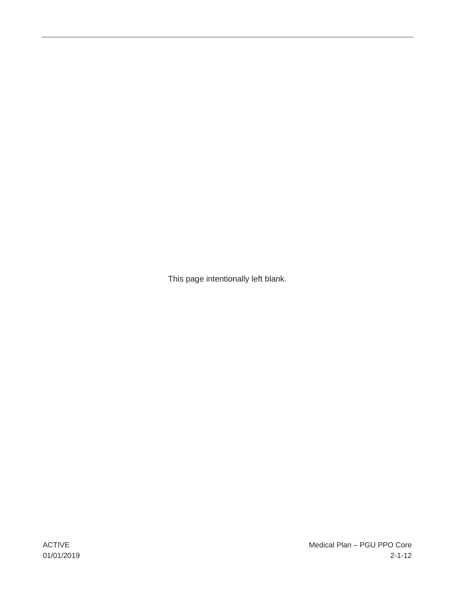This page intentionally left blank.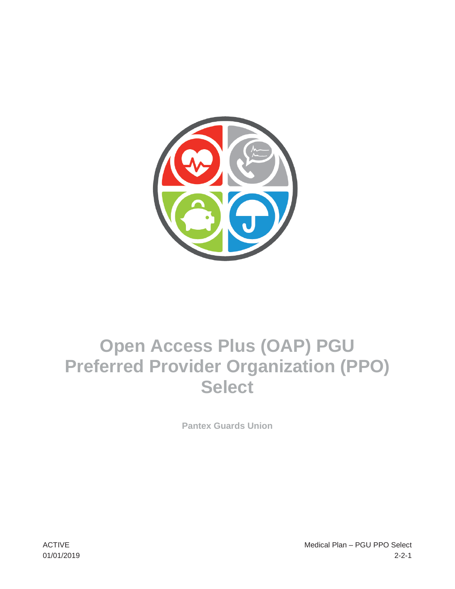

# **Open Access Plus (OAP) PGU Preferred Provider Organization (PPO) Select**

**Pantex Guards Union**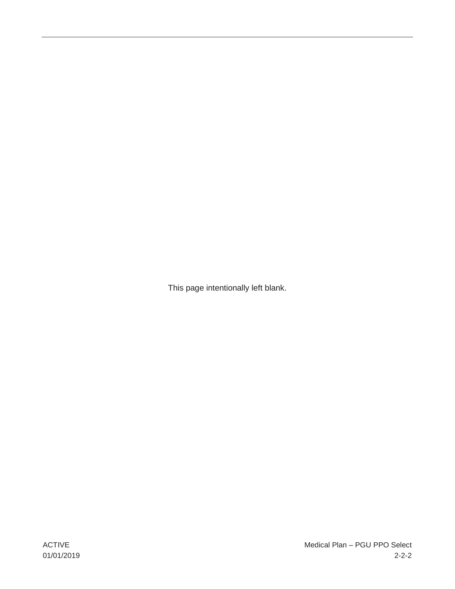This page intentionally left blank.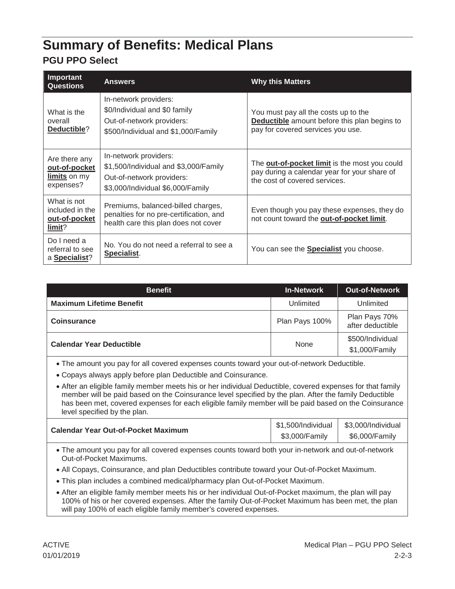#### **PGU PPO Select**

| Important<br><b>Questions</b>                               | <b>Answers</b>                                                                                                                   | <b>Why this Matters</b>                                                                                                               |
|-------------------------------------------------------------|----------------------------------------------------------------------------------------------------------------------------------|---------------------------------------------------------------------------------------------------------------------------------------|
| What is the<br>overall<br>Deductible?                       | In-network providers:<br>\$0/Individual and \$0 family<br>Out-of-network providers:<br>\$500/Individual and \$1,000/Family       | You must pay all the costs up to the<br>Deductible amount before this plan begins to<br>pay for covered services you use.             |
| Are there any<br>out-of-pocket<br>limits on my<br>expenses? | In-network providers:<br>\$1,500/Individual and \$3,000/Family<br>Out-of-network providers:<br>\$3,000/Individual \$6,000/Family | The <b>out-of-pocket limit</b> is the most you could<br>pay during a calendar year for your share of<br>the cost of covered services. |
| What is not<br>included in the<br>out-of-pocket<br>limit?   | Premiums, balanced-billed charges,<br>penalties for no pre-certification, and<br>health care this plan does not cover            | Even though you pay these expenses, they do<br>not count toward the out-of-pocket limit.                                              |
| Do I need a<br>referral to see<br>a Specialist?             | No. You do not need a referral to see a<br>Specialist.                                                                           | You can see the <b>Specialist</b> you choose.                                                                                         |

| <b>Benefit</b>                  | <b>In-Network</b> | Out-of-Network                     |
|---------------------------------|-------------------|------------------------------------|
| <b>Maximum Lifetime Benefit</b> | Unlimited         | Unlimited                          |
| <b>Coinsurance</b>              | Plan Pays 100%    | Plan Pays 70%<br>after deductible  |
| <b>Calendar Year Deductible</b> | None              | \$500/Individual<br>\$1,000/Family |

• The amount you pay for all covered expenses counts toward your out-of-network Deductible.

• Copays always apply before plan Deductible and Coinsurance.

• After an eligible family member meets his or her individual Deductible, covered expenses for that family member will be paid based on the Coinsurance level specified by the plan. After the family Deductible has been met, covered expenses for each eligible family member will be paid based on the Coinsurance level specified by the plan.

|                                     | $\frac{1}{2}$ \$1,500/Individual $\frac{1}{2}$ \$3,000/Individual |                |
|-------------------------------------|-------------------------------------------------------------------|----------------|
| Calendar Year Out-of-Pocket Maximum | \$3,000/Family                                                    | \$6,000/Family |

- The amount you pay for all covered expenses counts toward both your in-network and out-of-network Out-of-Pocket Maximums.
- All Copays, Coinsurance, and plan Deductibles contribute toward your Out-of-Pocket Maximum.
- This plan includes a combined medical/pharmacy plan Out-of-Pocket Maximum.
- After an eligible family member meets his or her individual Out-of-Pocket maximum, the plan will pay 100% of his or her covered expenses. After the family Out-of-Pocket Maximum has been met, the plan will pay 100% of each eligible family member's covered expenses.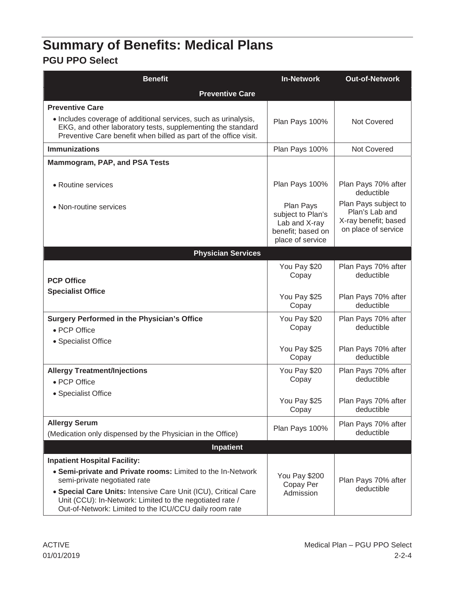| <b>Benefit</b>                                                                                                                                                                                     | <b>In-Network</b>                                                                        | <b>Out-of-Network</b>                                                                 |
|----------------------------------------------------------------------------------------------------------------------------------------------------------------------------------------------------|------------------------------------------------------------------------------------------|---------------------------------------------------------------------------------------|
| <b>Preventive Care</b>                                                                                                                                                                             |                                                                                          |                                                                                       |
| <b>Preventive Care</b>                                                                                                                                                                             |                                                                                          |                                                                                       |
| • Includes coverage of additional services, such as urinalysis,<br>EKG, and other laboratory tests, supplementing the standard<br>Preventive Care benefit when billed as part of the office visit. | Plan Pays 100%                                                                           | <b>Not Covered</b>                                                                    |
| <b>Immunizations</b>                                                                                                                                                                               | Plan Pays 100%                                                                           | Not Covered                                                                           |
| Mammogram, PAP, and PSA Tests                                                                                                                                                                      |                                                                                          |                                                                                       |
| • Routine services                                                                                                                                                                                 | Plan Pays 100%                                                                           | Plan Pays 70% after<br>deductible                                                     |
| • Non-routine services                                                                                                                                                                             | Plan Pays<br>subject to Plan's<br>Lab and X-ray<br>benefit; based on<br>place of service | Plan Pays subject to<br>Plan's Lab and<br>X-ray benefit; based<br>on place of service |
| <b>Physician Services</b>                                                                                                                                                                          |                                                                                          |                                                                                       |
| <b>PCP Office</b>                                                                                                                                                                                  | You Pay \$20<br>Copay                                                                    | Plan Pays 70% after<br>deductible                                                     |
| <b>Specialist Office</b>                                                                                                                                                                           |                                                                                          |                                                                                       |
|                                                                                                                                                                                                    | You Pay \$25<br>Copay                                                                    | Plan Pays 70% after<br>deductible                                                     |
| <b>Surgery Performed in the Physician's Office</b>                                                                                                                                                 | You Pay \$20                                                                             | Plan Pays 70% after                                                                   |
| • PCP Office                                                                                                                                                                                       | Copay                                                                                    | deductible                                                                            |
| • Specialist Office                                                                                                                                                                                | You Pay \$25<br>Copay                                                                    | Plan Pays 70% after<br>deductible                                                     |
| <b>Allergy Treatment/Injections</b><br>• PCP Office                                                                                                                                                | You Pay \$20<br>Copay                                                                    | Plan Pays 70% after<br>deductible                                                     |
| • Specialist Office                                                                                                                                                                                | You Pay \$25<br>Copay                                                                    | Plan Pays 70% after<br>deductible                                                     |
| <b>Allergy Serum</b>                                                                                                                                                                               | Plan Pays 100%                                                                           | Plan Pays 70% after                                                                   |
| (Medication only dispensed by the Physician in the Office)                                                                                                                                         |                                                                                          | deductible                                                                            |
| Inpatient                                                                                                                                                                                          |                                                                                          |                                                                                       |
| <b>Inpatient Hospital Facility:</b>                                                                                                                                                                |                                                                                          |                                                                                       |
| • Semi-private and Private rooms: Limited to the In-Network<br>semi-private negotiated rate                                                                                                        | You Pay \$200<br>Copay Per                                                               | Plan Pays 70% after                                                                   |
| • Special Care Units: Intensive Care Unit (ICU), Critical Care<br>Unit (CCU): In-Network: Limited to the negotiated rate /<br>Out-of-Network: Limited to the ICU/CCU daily room rate               | deductible<br>Admission                                                                  |                                                                                       |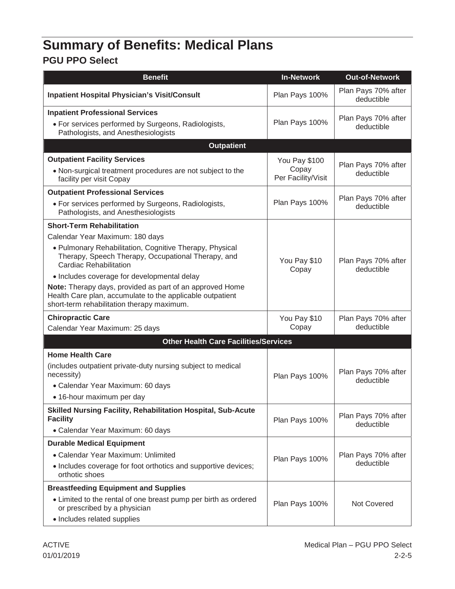| <b>Benefit</b>                                                                                                                                                      | <b>In-Network</b>           | <b>Out-of-Network</b>             |  |
|---------------------------------------------------------------------------------------------------------------------------------------------------------------------|-----------------------------|-----------------------------------|--|
| <b>Inpatient Hospital Physician's Visit/Consult</b>                                                                                                                 | Plan Pays 100%              | Plan Pays 70% after<br>deductible |  |
| <b>Inpatient Professional Services</b><br>• For services performed by Surgeons, Radiologists,<br>Pathologists, and Anesthesiologists                                | Plan Pays 100%              | Plan Pays 70% after<br>deductible |  |
| <b>Outpatient</b>                                                                                                                                                   |                             |                                   |  |
| <b>Outpatient Facility Services</b>                                                                                                                                 | You Pay \$100               | Plan Pays 70% after               |  |
| . Non-surgical treatment procedures are not subject to the<br>facility per visit Copay                                                                              | Copay<br>Per Facility/Visit | deductible                        |  |
| <b>Outpatient Professional Services</b>                                                                                                                             |                             | Plan Pays 70% after               |  |
| • For services performed by Surgeons, Radiologists,<br>Pathologists, and Anesthesiologists                                                                          | Plan Pays 100%              | deductible                        |  |
| <b>Short-Term Rehabilitation</b>                                                                                                                                    |                             |                                   |  |
| Calendar Year Maximum: 180 days                                                                                                                                     |                             | Plan Pays 70% after<br>deductible |  |
| • Pulmonary Rehabilitation, Cognitive Therapy, Physical<br>Therapy, Speech Therapy, Occupational Therapy, and<br><b>Cardiac Rehabilitation</b>                      | You Pay \$10<br>Copay       |                                   |  |
| • Includes coverage for developmental delay                                                                                                                         |                             |                                   |  |
| Note: Therapy days, provided as part of an approved Home<br>Health Care plan, accumulate to the applicable outpatient<br>short-term rehabilitation therapy maximum. |                             |                                   |  |
| <b>Chiropractic Care</b>                                                                                                                                            | You Pay \$10                | Plan Pays 70% after               |  |
| Calendar Year Maximum: 25 days                                                                                                                                      | Copay                       | deductible                        |  |
| <b>Other Health Care Facilities/Services</b>                                                                                                                        |                             |                                   |  |
| <b>Home Health Care</b>                                                                                                                                             |                             |                                   |  |
| (includes outpatient private-duty nursing subject to medical<br>necessity)                                                                                          |                             | Plan Pays 70% after<br>deductible |  |
| • Calendar Year Maximum: 60 days                                                                                                                                    | Plan Pays 100%              |                                   |  |
| • 16-hour maximum per day                                                                                                                                           |                             |                                   |  |
| <b>Skilled Nursing Facility, Rehabilitation Hospital, Sub-Acute</b>                                                                                                 |                             |                                   |  |
| <b>Facility</b>                                                                                                                                                     | Plan Pays 100%              | Plan Pays 70% after<br>deductible |  |
| • Calendar Year Maximum: 60 days                                                                                                                                    |                             |                                   |  |
| <b>Durable Medical Equipment</b>                                                                                                                                    |                             |                                   |  |
| • Calendar Year Maximum: Unlimited                                                                                                                                  | Plan Pays 100%              | Plan Pays 70% after               |  |
| • Includes coverage for foot orthotics and supportive devices;<br>orthotic shoes                                                                                    |                             | deductible                        |  |
| <b>Breastfeeding Equipment and Supplies</b>                                                                                                                         |                             |                                   |  |
| • Limited to the rental of one breast pump per birth as ordered<br>or prescribed by a physician                                                                     | Plan Pays 100%              | <b>Not Covered</b>                |  |
| • Includes related supplies                                                                                                                                         |                             |                                   |  |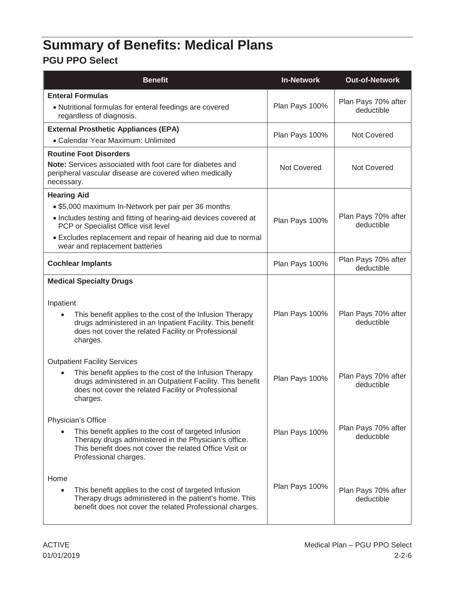| <b>Benefit</b>                                                                                                                                                                                                                                                                            | <b>In-Network</b>  | <b>Out-of-Network</b>             |
|-------------------------------------------------------------------------------------------------------------------------------------------------------------------------------------------------------------------------------------------------------------------------------------------|--------------------|-----------------------------------|
| <b>Enteral Formulas</b><br>• Nutritional formulas for enteral feedings are covered<br>regardless of diagnosis.                                                                                                                                                                            | Plan Pays 100%     | Plan Pays 70% after<br>deductible |
| <b>External Prosthetic Appliances (EPA)</b><br>• Calendar Year Maximum: Unlimited                                                                                                                                                                                                         | Plan Pays 100%     | Not Covered                       |
| <b>Routine Foot Disorders</b><br><b>Note:</b> Services associated with foot care for diabetes and<br>peripheral vascular disease are covered when medically<br>necessary.                                                                                                                 | <b>Not Covered</b> | <b>Not Covered</b>                |
| <b>Hearing Aid</b><br>• \$5,000 maximum In-Network per pair per 36 months<br>• Includes testing and fitting of hearing-aid devices covered at<br>PCP or Specialist Office visit level<br>• Excludes replacement and repair of hearing aid due to normal<br>wear and replacement batteries | Plan Pays 100%     | Plan Pays 70% after<br>deductible |
| <b>Cochlear Implants</b>                                                                                                                                                                                                                                                                  | Plan Pays 100%     | Plan Pays 70% after<br>deductible |
| <b>Medical Specialty Drugs</b><br>Inpatient<br>This benefit applies to the cost of the Infusion Therapy<br>drugs administered in an Inpatient Facility. This benefit<br>does not cover the related Facility or Professional<br>charges.                                                   | Plan Pays 100%     | Plan Pays 70% after<br>deductible |
| <b>Outpatient Facility Services</b><br>This benefit applies to the cost of the Infusion Therapy<br>drugs administered in an Outpatient Facility. This benefit<br>does not cover the related Facility or Professional<br>charges.                                                          | Plan Pays 100%     | Plan Pays 70% after<br>deductible |
| Physician's Office<br>This benefit applies to the cost of targeted Infusion<br>Therapy drugs administered in the Physician's office.<br>This benefit does not cover the related Office Visit or<br>Professional charges.                                                                  | Plan Pays 100%     | Plan Pays 70% after<br>deductible |
| Home<br>This benefit applies to the cost of targeted Infusion<br>Therapy drugs administered in the patient's home. This<br>benefit does not cover the related Professional charges.                                                                                                       | Plan Pays 100%     | Plan Pays 70% after<br>deductible |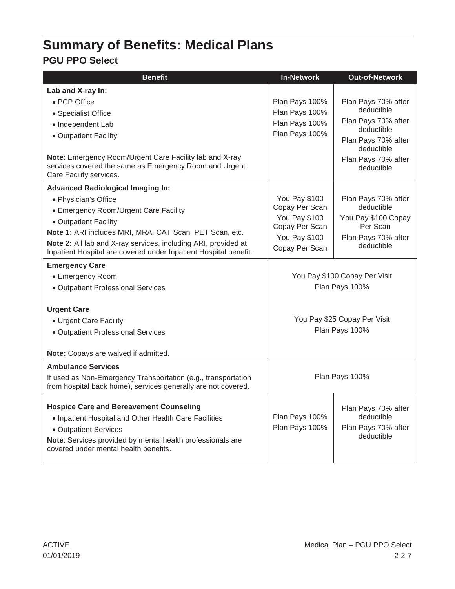| <b>Benefit</b>                                                                                                                                                                                                                                                                                                                      | <b>In-Network</b>                                                                                     | <b>Out-of-Network</b>                                                                                                                            |
|-------------------------------------------------------------------------------------------------------------------------------------------------------------------------------------------------------------------------------------------------------------------------------------------------------------------------------------|-------------------------------------------------------------------------------------------------------|--------------------------------------------------------------------------------------------------------------------------------------------------|
| Lab and X-ray In:<br>• PCP Office<br>• Specialist Office<br>• Independent Lab<br>• Outpatient Facility<br>Note: Emergency Room/Urgent Care Facility lab and X-ray<br>services covered the same as Emergency Room and Urgent<br>Care Facility services.                                                                              | Plan Pays 100%<br>Plan Pays 100%<br>Plan Pays 100%<br>Plan Pays 100%                                  | Plan Pays 70% after<br>deductible<br>Plan Pays 70% after<br>deductible<br>Plan Pays 70% after<br>deductible<br>Plan Pays 70% after<br>deductible |
| <b>Advanced Radiological Imaging In:</b><br>• Physician's Office<br>• Emergency Room/Urgent Care Facility<br>• Outpatient Facility<br>Note 1: ARI includes MRI, MRA, CAT Scan, PET Scan, etc.<br>Note 2: All lab and X-ray services, including ARI, provided at<br>Inpatient Hospital are covered under Inpatient Hospital benefit. | You Pay \$100<br>Copay Per Scan<br>You Pay \$100<br>Copay Per Scan<br>You Pay \$100<br>Copay Per Scan | Plan Pays 70% after<br>deductible<br>You Pay \$100 Copay<br>Per Scan<br>Plan Pays 70% after<br>deductible                                        |
| <b>Emergency Care</b><br>• Emergency Room<br>• Outpatient Professional Services<br><b>Urgent Care</b><br>• Urgent Care Facility<br>• Outpatient Professional Services<br>Note: Copays are waived if admitted.                                                                                                                       | You Pay \$100 Copay Per Visit<br>Plan Pays 100%<br>You Pay \$25 Copay Per Visit<br>Plan Pays 100%     |                                                                                                                                                  |
| <b>Ambulance Services</b><br>If used as Non-Emergency Transportation (e.g., transportation<br>from hospital back home), services generally are not covered.                                                                                                                                                                         | Plan Pays 100%                                                                                        |                                                                                                                                                  |
| <b>Hospice Care and Bereavement Counseling</b><br>• Inpatient Hospital and Other Health Care Facilities<br>• Outpatient Services<br>Note: Services provided by mental health professionals are<br>covered under mental health benefits.                                                                                             | Plan Pays 100%<br>Plan Pays 100%                                                                      | Plan Pays 70% after<br>deductible<br>Plan Pays 70% after<br>deductible                                                                           |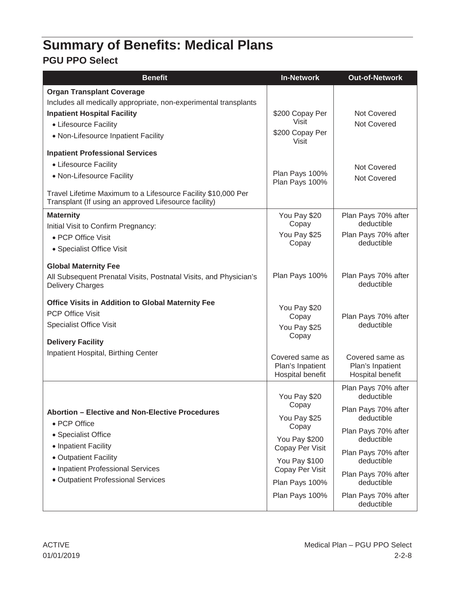| <b>Benefit</b>                                                                                                                                                                                                            | <b>In-Network</b>                                                                                                                                          | <b>Out-of-Network</b>                                                                                                                                                                                                      |
|---------------------------------------------------------------------------------------------------------------------------------------------------------------------------------------------------------------------------|------------------------------------------------------------------------------------------------------------------------------------------------------------|----------------------------------------------------------------------------------------------------------------------------------------------------------------------------------------------------------------------------|
| <b>Organ Transplant Coverage</b><br>Includes all medically appropriate, non-experimental transplants<br><b>Inpatient Hospital Facility</b><br>• Lifesource Facility<br>• Non-Lifesource Inpatient Facility                | \$200 Copay Per<br>Visit<br>\$200 Copay Per<br>Visit                                                                                                       | <b>Not Covered</b><br>Not Covered                                                                                                                                                                                          |
| <b>Inpatient Professional Services</b><br>• Lifesource Facility<br>• Non-Lifesource Facility<br>Travel Lifetime Maximum to a Lifesource Facility \$10,000 Per<br>Transplant (If using an approved Lifesource facility)    | Plan Pays 100%<br>Plan Pays 100%                                                                                                                           | <b>Not Covered</b><br><b>Not Covered</b>                                                                                                                                                                                   |
| <b>Maternity</b><br>Initial Visit to Confirm Pregnancy:<br>• PCP Office Visit<br>• Specialist Office Visit                                                                                                                | You Pay \$20<br>Copay<br>You Pay \$25<br>Copay                                                                                                             | Plan Pays 70% after<br>deductible<br>Plan Pays 70% after<br>deductible                                                                                                                                                     |
| <b>Global Maternity Fee</b><br>All Subsequent Prenatal Visits, Postnatal Visits, and Physician's<br><b>Delivery Charges</b>                                                                                               | Plan Pays 100%                                                                                                                                             | Plan Pays 70% after<br>deductible                                                                                                                                                                                          |
| <b>Office Visits in Addition to Global Maternity Fee</b><br><b>PCP Office Visit</b><br><b>Specialist Office Visit</b><br><b>Delivery Facility</b>                                                                         | You Pay \$20<br>Copay<br>You Pay \$25<br>Copay                                                                                                             | Plan Pays 70% after<br>deductible                                                                                                                                                                                          |
| Inpatient Hospital, Birthing Center                                                                                                                                                                                       | Covered same as<br>Plan's Inpatient<br>Hospital benefit                                                                                                    | Covered same as<br>Plan's Inpatient<br>Hospital benefit                                                                                                                                                                    |
| <b>Abortion - Elective and Non-Elective Procedures</b><br>• PCP Office<br>• Specialist Office<br>• Inpatient Facility<br>• Outpatient Facility<br>• Inpatient Professional Services<br>• Outpatient Professional Services | You Pay \$20<br>Copay<br>You Pay \$25<br>Copay<br>You Pay \$200<br>Copay Per Visit<br>You Pay \$100<br>Copay Per Visit<br>Plan Pays 100%<br>Plan Pays 100% | Plan Pays 70% after<br>deductible<br>Plan Pays 70% after<br>deductible<br>Plan Pays 70% after<br>deductible<br>Plan Pays 70% after<br>deductible<br>Plan Pays 70% after<br>deductible<br>Plan Pays 70% after<br>deductible |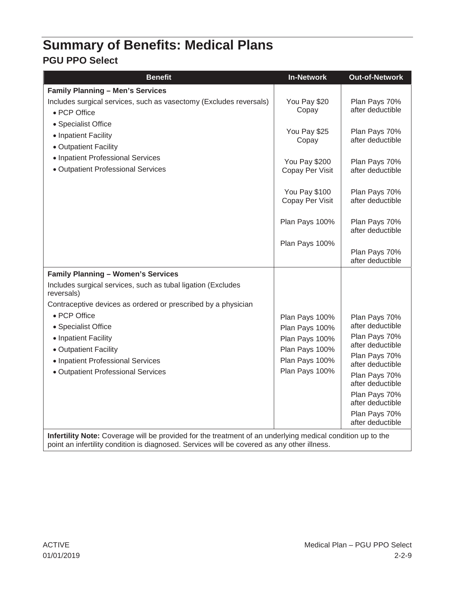| <b>Benefit</b>                                                                                                                                                                                            | <b>In-Network</b>                | <b>Out-of-Network</b>             |
|-----------------------------------------------------------------------------------------------------------------------------------------------------------------------------------------------------------|----------------------------------|-----------------------------------|
| <b>Family Planning - Men's Services</b>                                                                                                                                                                   |                                  |                                   |
| Includes surgical services, such as vasectomy (Excludes reversals)<br>• PCP Office                                                                                                                        | You Pay \$20<br>Copay            | Plan Pays 70%<br>after deductible |
| • Specialist Office<br>• Inpatient Facility<br>• Outpatient Facility                                                                                                                                      | You Pay \$25<br>Copay            | Plan Pays 70%<br>after deductible |
| • Inpatient Professional Services<br>• Outpatient Professional Services                                                                                                                                   | You Pay \$200<br>Copay Per Visit | Plan Pays 70%<br>after deductible |
|                                                                                                                                                                                                           | You Pay \$100<br>Copay Per Visit | Plan Pays 70%<br>after deductible |
|                                                                                                                                                                                                           | Plan Pays 100%                   | Plan Pays 70%<br>after deductible |
|                                                                                                                                                                                                           | Plan Pays 100%                   | Plan Pays 70%<br>after deductible |
| <b>Family Planning - Women's Services</b>                                                                                                                                                                 |                                  |                                   |
| Includes surgical services, such as tubal ligation (Excludes<br>reversals)                                                                                                                                |                                  |                                   |
| Contraceptive devices as ordered or prescribed by a physician                                                                                                                                             |                                  |                                   |
| • PCP Office                                                                                                                                                                                              | Plan Pays 100%                   | Plan Pays 70%                     |
| • Specialist Office                                                                                                                                                                                       | Plan Pays 100%                   | after deductible                  |
| • Inpatient Facility                                                                                                                                                                                      | Plan Pays 100%                   | Plan Pays 70%<br>after deductible |
| • Outpatient Facility                                                                                                                                                                                     | Plan Pays 100%                   | Plan Pays 70%                     |
| • Inpatient Professional Services                                                                                                                                                                         | Plan Pays 100%                   | after deductible                  |
| • Outpatient Professional Services                                                                                                                                                                        | Plan Pays 100%                   | Plan Pays 70%<br>after deductible |
|                                                                                                                                                                                                           |                                  | Plan Pays 70%<br>after deductible |
|                                                                                                                                                                                                           |                                  | Plan Pays 70%<br>after deductible |
| Infertility Note: Coverage will be provided for the treatment of an underlying medical condition up to the<br>point an infertility condition is diagnosed. Services will be covered as any other illness. |                                  |                                   |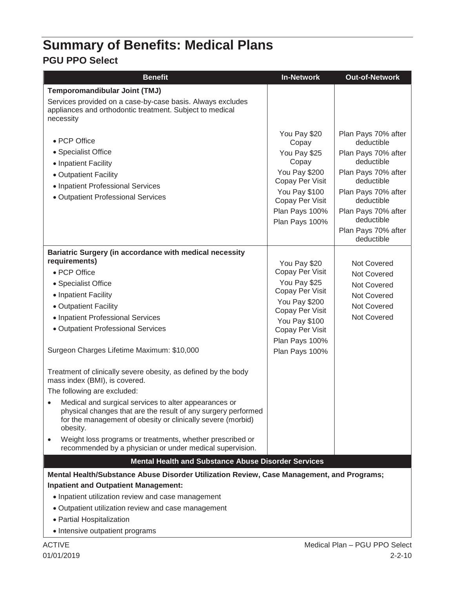| <b>Benefit</b>                                                                                                                                                                                                                                                                                                                                                         | <b>In-Network</b>                                                                                                                                          | <b>Out-of-Network</b>                                                                                                                                                                                                      |
|------------------------------------------------------------------------------------------------------------------------------------------------------------------------------------------------------------------------------------------------------------------------------------------------------------------------------------------------------------------------|------------------------------------------------------------------------------------------------------------------------------------------------------------|----------------------------------------------------------------------------------------------------------------------------------------------------------------------------------------------------------------------------|
| Temporomandibular Joint (TMJ)                                                                                                                                                                                                                                                                                                                                          |                                                                                                                                                            |                                                                                                                                                                                                                            |
| Services provided on a case-by-case basis. Always excludes<br>appliances and orthodontic treatment. Subject to medical<br>necessity                                                                                                                                                                                                                                    |                                                                                                                                                            |                                                                                                                                                                                                                            |
| • PCP Office<br>• Specialist Office<br>• Inpatient Facility<br>• Outpatient Facility<br>• Inpatient Professional Services<br>• Outpatient Professional Services                                                                                                                                                                                                        | You Pay \$20<br>Copay<br>You Pay \$25<br>Copay<br>You Pay \$200<br>Copay Per Visit<br>You Pay \$100<br>Copay Per Visit<br>Plan Pays 100%<br>Plan Pays 100% | Plan Pays 70% after<br>deductible<br>Plan Pays 70% after<br>deductible<br>Plan Pays 70% after<br>deductible<br>Plan Pays 70% after<br>deductible<br>Plan Pays 70% after<br>deductible<br>Plan Pays 70% after<br>deductible |
| Bariatric Surgery (in accordance with medical necessity<br>requirements)<br>• PCP Office<br>• Specialist Office                                                                                                                                                                                                                                                        | You Pay \$20<br>Copay Per Visit<br>You Pay \$25                                                                                                            | Not Covered<br>Not Covered<br>Not Covered                                                                                                                                                                                  |
| • Inpatient Facility<br>• Outpatient Facility<br>• Inpatient Professional Services                                                                                                                                                                                                                                                                                     | Copay Per Visit<br>You Pay \$200<br>Copay Per Visit                                                                                                        | Not Covered<br>Not Covered<br>Not Covered                                                                                                                                                                                  |
| • Outpatient Professional Services                                                                                                                                                                                                                                                                                                                                     | You Pay \$100<br>Copay Per Visit<br>Plan Pays 100%                                                                                                         |                                                                                                                                                                                                                            |
| Surgeon Charges Lifetime Maximum: \$10,000                                                                                                                                                                                                                                                                                                                             | Plan Pays 100%                                                                                                                                             |                                                                                                                                                                                                                            |
| Treatment of clinically severe obesity, as defined by the body<br>mass index (BMI), is covered.                                                                                                                                                                                                                                                                        |                                                                                                                                                            |                                                                                                                                                                                                                            |
| The following are excluded:<br>Medical and surgical services to alter appearances or<br>physical changes that are the result of any surgery performed<br>for the management of obesity or clinically severe (morbid)<br>obesity.<br>Weight loss programs or treatments, whether prescribed or<br>$\bullet$<br>recommended by a physician or under medical supervision. |                                                                                                                                                            |                                                                                                                                                                                                                            |
| <b>Mental Health and Substance Abuse Disorder Services</b>                                                                                                                                                                                                                                                                                                             |                                                                                                                                                            |                                                                                                                                                                                                                            |
| Mental Health/Substance Abuse Disorder Utilization Review, Case Management, and Programs;                                                                                                                                                                                                                                                                              |                                                                                                                                                            |                                                                                                                                                                                                                            |
| <b>Inpatient and Outpatient Management:</b>                                                                                                                                                                                                                                                                                                                            |                                                                                                                                                            |                                                                                                                                                                                                                            |
| • Inpatient utilization review and case management                                                                                                                                                                                                                                                                                                                     |                                                                                                                                                            |                                                                                                                                                                                                                            |
| • Outpatient utilization review and case management                                                                                                                                                                                                                                                                                                                    |                                                                                                                                                            |                                                                                                                                                                                                                            |
| • Partial Hospitalization                                                                                                                                                                                                                                                                                                                                              |                                                                                                                                                            |                                                                                                                                                                                                                            |
| • Intensive outpatient programs                                                                                                                                                                                                                                                                                                                                        |                                                                                                                                                            |                                                                                                                                                                                                                            |
| <b>ACTIVE</b>                                                                                                                                                                                                                                                                                                                                                          |                                                                                                                                                            | Medical Plan - PGU PPO Select                                                                                                                                                                                              |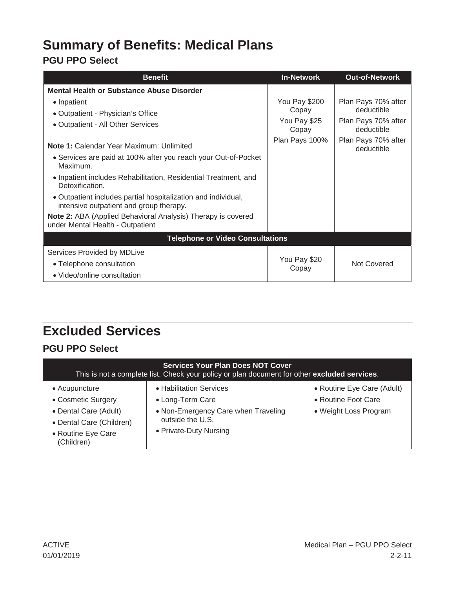#### **PGU PPO Select**

| <b>Benefit</b>                                                                                           | <b>In-Network</b>                               | <b>Out-of-Network</b>                                                  |  |
|----------------------------------------------------------------------------------------------------------|-------------------------------------------------|------------------------------------------------------------------------|--|
| <b>Mental Health or Substance Abuse Disorder</b>                                                         |                                                 |                                                                        |  |
| • Inpatient<br>• Outpatient - Physician's Office<br>• Outpatient - All Other Services                    | You Pay \$200<br>Copay<br>You Pay \$25<br>Copay | Plan Pays 70% after<br>deductible<br>Plan Pays 70% after<br>deductible |  |
| <b>Note 1: Calendar Year Maximum: Unlimited</b>                                                          | Plan Pays 100%                                  | Plan Pays 70% after<br>deductible                                      |  |
| • Services are paid at 100% after you reach your Out-of-Pocket<br>Maximum.                               |                                                 |                                                                        |  |
| • Inpatient includes Rehabilitation, Residential Treatment, and<br>Detoxification.                       |                                                 |                                                                        |  |
| • Outpatient includes partial hospitalization and individual,<br>intensive outpatient and group therapy. |                                                 |                                                                        |  |
| Note 2: ABA (Applied Behavioral Analysis) Therapy is covered<br>under Mental Health - Outpatient         |                                                 |                                                                        |  |
| <b>Telephone or Video Consultations</b>                                                                  |                                                 |                                                                        |  |
| Services Provided by MDLive<br>• Telephone consultation<br>• Video/online consultation                   | You Pay \$20<br>Copay                           | Not Covered                                                            |  |

### **Excluded Services**

| <b>Services Your Plan Does NOT Cover</b><br>This is not a complete list. Check your policy or plan document for other excluded services. |                                                                                   |                                                   |  |
|------------------------------------------------------------------------------------------------------------------------------------------|-----------------------------------------------------------------------------------|---------------------------------------------------|--|
| • Acupuncture<br>• Cosmetic Surgery                                                                                                      | • Habilitation Services<br>• Long-Term Care                                       | • Routine Eye Care (Adult)<br>• Routine Foot Care |  |
| • Dental Care (Adult)<br>• Dental Care (Children)<br>• Routine Eye Care<br>(Children)                                                    | . Non-Emergency Care when Traveling<br>outside the U.S.<br>• Private-Duty Nursing | • Weight Loss Program                             |  |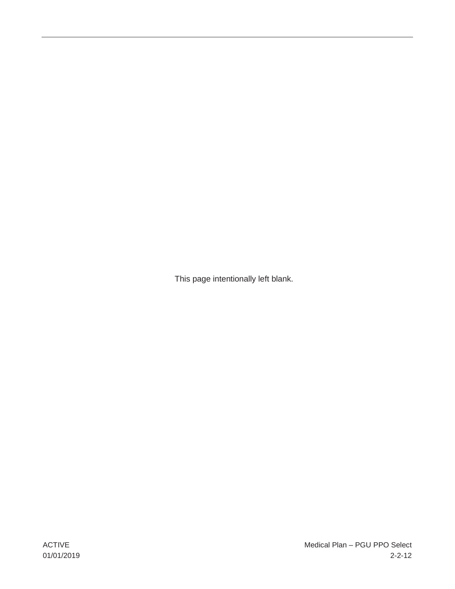This page intentionally left blank.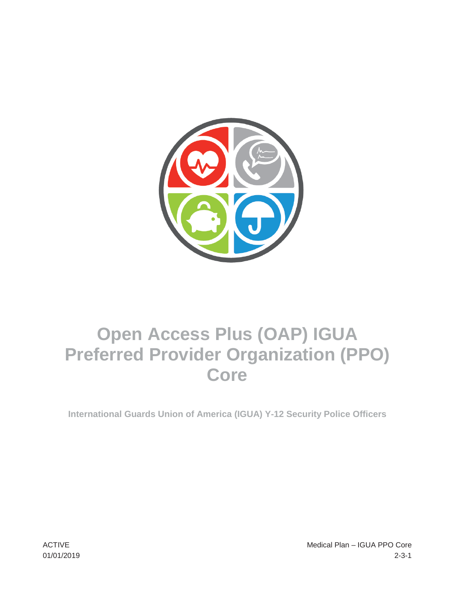

# **Open Access Plus (OAP) IGUA Preferred Provider Organization (PPO) Core**

**International Guards Union of America (IGUA) Y-12 Security Police Officers**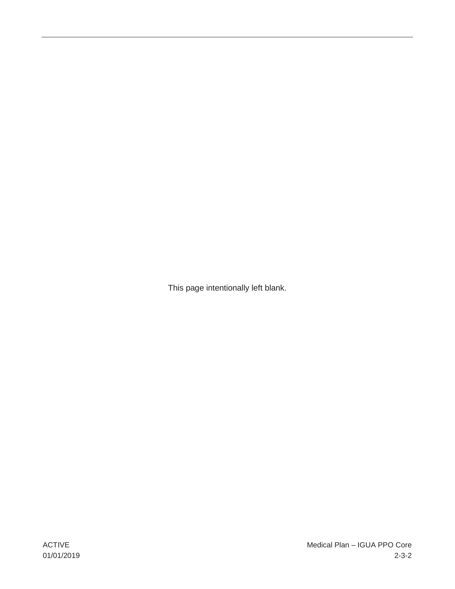This page intentionally left blank.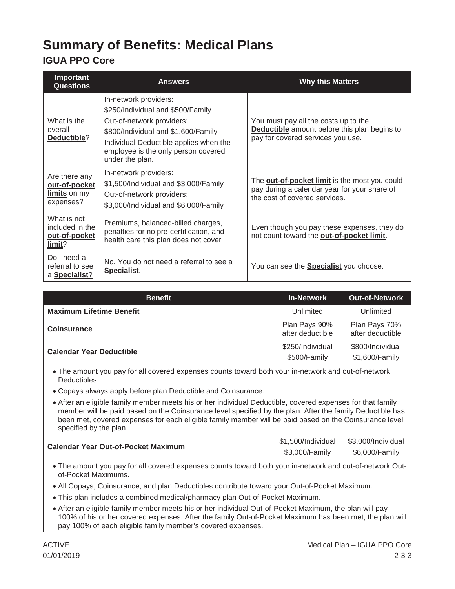#### **IGUA PPO Core**

| <b>Important</b><br><b>Questions</b>                        | <b>Answers</b>                                                                                                                                                                                                                     | <b>Why this Matters</b>                                                                                                               |
|-------------------------------------------------------------|------------------------------------------------------------------------------------------------------------------------------------------------------------------------------------------------------------------------------------|---------------------------------------------------------------------------------------------------------------------------------------|
| What is the<br>overall<br>Deductible?                       | In-network providers:<br>\$250/Individual and \$500/Family<br>Out-of-network providers:<br>\$800/Individual and \$1,600/Family<br>Individual Deductible applies when the<br>employee is the only person covered<br>under the plan. | You must pay all the costs up to the<br>Deductible amount before this plan begins to<br>pay for covered services you use.             |
| Are there any<br>out-of-pocket<br>limits on my<br>expenses? | In-network providers:<br>\$1,500/Individual and \$3,000/Family<br>Out-of-network providers:<br>\$3,000/Individual and \$6,000/Family                                                                                               | The <b>out-of-pocket limit</b> is the most you could<br>pay during a calendar year for your share of<br>the cost of covered services. |
| What is not<br>included in the<br>out-of-pocket<br>limit?   | Premiums, balanced-billed charges,<br>penalties for no pre-certification, and<br>health care this plan does not cover                                                                                                              | Even though you pay these expenses, they do<br>not count toward the out-of-pocket limit.                                              |
| Do I need a<br>referral to see<br>a Specialist?             | No. You do not need a referral to see a<br>Specialist.                                                                                                                                                                             | You can see the <b>Specialist</b> you choose.                                                                                         |

| <b>Benefit</b>                  | <b>In-Network</b>                 | Out-of-Network                     |
|---------------------------------|-----------------------------------|------------------------------------|
| <b>Maximum Lifetime Benefit</b> | Unlimited                         | Unlimited                          |
| <b>Coinsurance</b>              | Plan Pays 90%<br>after deductible | Plan Pays 70%<br>after deductible  |
| <b>Calendar Year Deductible</b> | \$250/Individual<br>\$500/Family  | \$800/Individual<br>\$1,600/Family |

• The amount you pay for all covered expenses counts toward both your in-network and out-of-network Deductibles.

• Copays always apply before plan Deductible and Coinsurance.

• After an eligible family member meets his or her individual Deductible, covered expenses for that family member will be paid based on the Coinsurance level specified by the plan. After the family Deductible has been met, covered expenses for each eligible family member will be paid based on the Coinsurance level specified by the plan.

| <b>Calendar Year Out-of-Pocket Maximum</b> | \$1,500/Individual | \$3,000/Individual |
|--------------------------------------------|--------------------|--------------------|
|                                            | \$3,000/Family     | \$6,000/Family     |

• The amount you pay for all covered expenses counts toward both your in-network and out-of-network Outof-Pocket Maximums.

• All Copays, Coinsurance, and plan Deductibles contribute toward your Out-of-Pocket Maximum.

• This plan includes a combined medical/pharmacy plan Out-of-Pocket Maximum.

• After an eligible family member meets his or her individual Out-of-Pocket Maximum, the plan will pay 100% of his or her covered expenses. After the family Out-of-Pocket Maximum has been met, the plan will pay 100% of each eligible family member's covered expenses.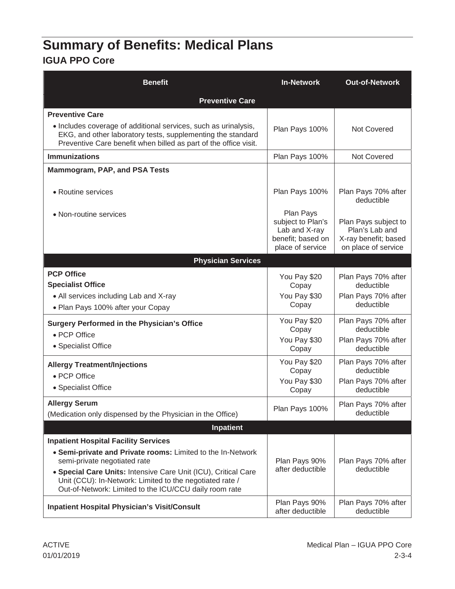### **Summary of Benefits: Medical Plans IGUA PPO Core**

| <b>Benefit</b>                                                                                                                                                                                                                                                                                                                     | <b>In-Network</b>                                                                        | <b>Out-of-Network</b>                                                                 |
|------------------------------------------------------------------------------------------------------------------------------------------------------------------------------------------------------------------------------------------------------------------------------------------------------------------------------------|------------------------------------------------------------------------------------------|---------------------------------------------------------------------------------------|
| <b>Preventive Care</b>                                                                                                                                                                                                                                                                                                             |                                                                                          |                                                                                       |
| <b>Preventive Care</b><br>• Includes coverage of additional services, such as urinalysis,<br>EKG, and other laboratory tests, supplementing the standard<br>Preventive Care benefit when billed as part of the office visit.                                                                                                       | Plan Pays 100%                                                                           | Not Covered                                                                           |
| <b>Immunizations</b>                                                                                                                                                                                                                                                                                                               | Plan Pays 100%                                                                           | Not Covered                                                                           |
| Mammogram, PAP, and PSA Tests                                                                                                                                                                                                                                                                                                      |                                                                                          |                                                                                       |
| • Routine services                                                                                                                                                                                                                                                                                                                 | Plan Pays 100%                                                                           | Plan Pays 70% after<br>deductible                                                     |
| • Non-routine services                                                                                                                                                                                                                                                                                                             | Plan Pays<br>subject to Plan's<br>Lab and X-ray<br>benefit; based on<br>place of service | Plan Pays subject to<br>Plan's Lab and<br>X-ray benefit; based<br>on place of service |
| <b>Physician Services</b>                                                                                                                                                                                                                                                                                                          |                                                                                          |                                                                                       |
| <b>PCP Office</b><br><b>Specialist Office</b><br>• All services including Lab and X-ray<br>• Plan Pays 100% after your Copay                                                                                                                                                                                                       | You Pay \$20<br>Copay<br>You Pay \$30<br>Copay                                           | Plan Pays 70% after<br>deductible<br>Plan Pays 70% after<br>deductible                |
| <b>Surgery Performed in the Physician's Office</b><br>• PCP Office<br>• Specialist Office                                                                                                                                                                                                                                          | You Pay \$20<br>Copay<br>You Pay \$30<br>Copay                                           | Plan Pays 70% after<br>deductible<br>Plan Pays 70% after<br>deductible                |
| <b>Allergy Treatment/Injections</b><br>• PCP Office<br>• Specialist Office                                                                                                                                                                                                                                                         | You Pay \$20<br>Copay<br>You Pay \$30<br>Copay                                           | Plan Pays 70% after<br>deductible<br>Plan Pays 70% after<br>deductible                |
| <b>Allergy Serum</b><br>(Medication only dispensed by the Physician in the Office)                                                                                                                                                                                                                                                 | Plan Pays 100%                                                                           | Plan Pays 70% after<br>deductible                                                     |
| <b>Inpatient</b>                                                                                                                                                                                                                                                                                                                   |                                                                                          |                                                                                       |
| <b>Inpatient Hospital Facility Services</b><br>• Semi-private and Private rooms: Limited to the In-Network<br>semi-private negotiated rate<br>• Special Care Units: Intensive Care Unit (ICU), Critical Care<br>Unit (CCU): In-Network: Limited to the negotiated rate /<br>Out-of-Network: Limited to the ICU/CCU daily room rate | Plan Pays 90%<br>after deductible                                                        | Plan Pays 70% after<br>deductible                                                     |
| <b>Inpatient Hospital Physician's Visit/Consult</b>                                                                                                                                                                                                                                                                                | Plan Pays 90%<br>after deductible                                                        | Plan Pays 70% after<br>deductible                                                     |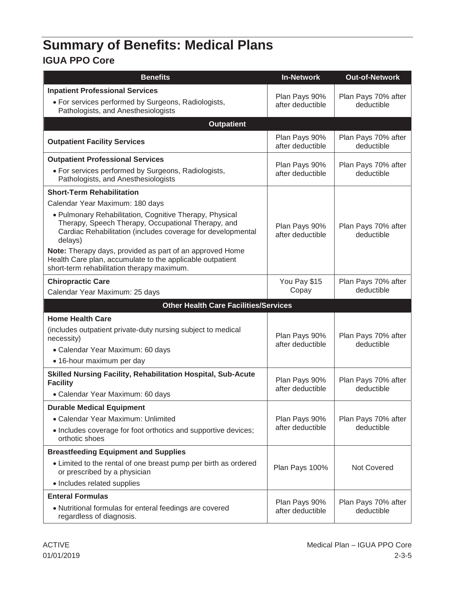| <b>Benefits</b>                                                                                                                                                                         | <b>In-Network</b>                 | <b>Out-of-Network</b>             |  |
|-----------------------------------------------------------------------------------------------------------------------------------------------------------------------------------------|-----------------------------------|-----------------------------------|--|
| <b>Inpatient Professional Services</b><br>• For services performed by Surgeons, Radiologists,<br>Pathologists, and Anesthesiologists                                                    | Plan Pays 90%<br>after deductible | Plan Pays 70% after<br>deductible |  |
| <b>Outpatient</b>                                                                                                                                                                       |                                   |                                   |  |
| <b>Outpatient Facility Services</b>                                                                                                                                                     | Plan Pays 90%<br>after deductible | Plan Pays 70% after<br>deductible |  |
| <b>Outpatient Professional Services</b><br>• For services performed by Surgeons, Radiologists,<br>Pathologists, and Anesthesiologists                                                   | Plan Pays 90%<br>after deductible | Plan Pays 70% after<br>deductible |  |
| <b>Short-Term Rehabilitation</b>                                                                                                                                                        |                                   |                                   |  |
| Calendar Year Maximum: 180 days                                                                                                                                                         |                                   |                                   |  |
| • Pulmonary Rehabilitation, Cognitive Therapy, Physical<br>Therapy, Speech Therapy, Occupational Therapy, and<br>Cardiac Rehabilitation (includes coverage for developmental<br>delays) | Plan Pays 90%<br>after deductible | Plan Pays 70% after<br>deductible |  |
| Note: Therapy days, provided as part of an approved Home<br>Health Care plan, accumulate to the applicable outpatient<br>short-term rehabilitation therapy maximum.                     |                                   |                                   |  |
| <b>Chiropractic Care</b>                                                                                                                                                                | You Pay \$15                      | Plan Pays 70% after               |  |
| Calendar Year Maximum: 25 days                                                                                                                                                          | Copay                             | deductible                        |  |
| <b>Other Health Care Facilities/Services</b>                                                                                                                                            |                                   |                                   |  |
| <b>Home Health Care</b>                                                                                                                                                                 |                                   |                                   |  |
| (includes outpatient private-duty nursing subject to medical<br>necessity)                                                                                                              | Plan Pays 90%<br>after deductible | Plan Pays 70% after<br>deductible |  |
| • Calendar Year Maximum: 60 days                                                                                                                                                        |                                   |                                   |  |
| • 16-hour maximum per day                                                                                                                                                               |                                   |                                   |  |
| Skilled Nursing Facility, Rehabilitation Hospital, Sub-Acute<br><b>Facility</b>                                                                                                         | Plan Pays 90%<br>after deductible | Plan Pays 70% after<br>deductible |  |
| • Calendar Year Maximum: 60 days                                                                                                                                                        |                                   |                                   |  |
| <b>Durable Medical Equipment</b>                                                                                                                                                        |                                   |                                   |  |
| • Calendar Year Maximum: Unlimited                                                                                                                                                      | Plan Pays 90%<br>after deductible | Plan Pays 70% after<br>deductible |  |
| • Includes coverage for foot orthotics and supportive devices;<br>orthotic shoes                                                                                                        |                                   |                                   |  |
| <b>Breastfeeding Equipment and Supplies</b>                                                                                                                                             |                                   |                                   |  |
| • Limited to the rental of one breast pump per birth as ordered<br>or prescribed by a physician                                                                                         | Plan Pays 100%                    | Not Covered                       |  |
| • Includes related supplies                                                                                                                                                             |                                   |                                   |  |
| <b>Enteral Formulas</b>                                                                                                                                                                 | Plan Pays 90%                     |                                   |  |
| • Nutritional formulas for enteral feedings are covered                                                                                                                                 |                                   | Plan Pays 70% after               |  |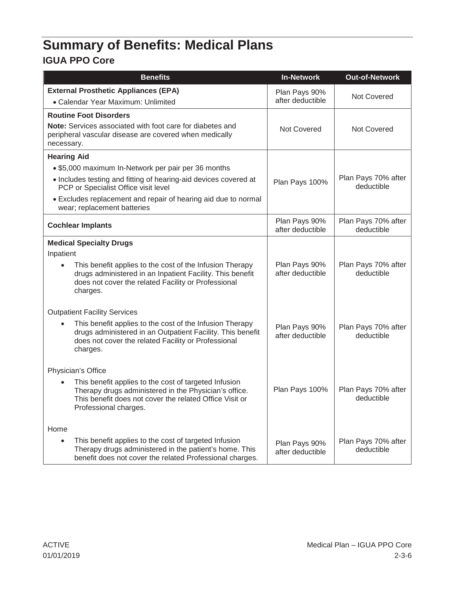| <b>Benefits</b>                                                                                                                                                                                                                | <b>In-Network</b>                 | <b>Out-of-Network</b>             |
|--------------------------------------------------------------------------------------------------------------------------------------------------------------------------------------------------------------------------------|-----------------------------------|-----------------------------------|
| <b>External Prosthetic Appliances (EPA)</b>                                                                                                                                                                                    | Plan Pays 90%                     | Not Covered                       |
| • Calendar Year Maximum: Unlimited                                                                                                                                                                                             | after deductible                  |                                   |
| <b>Routine Foot Disorders</b>                                                                                                                                                                                                  |                                   |                                   |
| Note: Services associated with foot care for diabetes and<br>peripheral vascular disease are covered when medically<br>necessary.                                                                                              | Not Covered                       | <b>Not Covered</b>                |
| <b>Hearing Aid</b>                                                                                                                                                                                                             |                                   |                                   |
| • \$5,000 maximum In-Network per pair per 36 months                                                                                                                                                                            |                                   |                                   |
| • Includes testing and fitting of hearing-aid devices covered at<br>PCP or Specialist Office visit level                                                                                                                       | Plan Pays 100%                    | Plan Pays 70% after<br>deductible |
| • Excludes replacement and repair of hearing aid due to normal<br>wear; replacement batteries                                                                                                                                  |                                   |                                   |
| <b>Cochlear Implants</b>                                                                                                                                                                                                       | Plan Pays 90%<br>after deductible | Plan Pays 70% after<br>deductible |
| <b>Medical Specialty Drugs</b>                                                                                                                                                                                                 |                                   |                                   |
| Inpatient                                                                                                                                                                                                                      |                                   |                                   |
| This benefit applies to the cost of the Infusion Therapy<br>drugs administered in an Inpatient Facility. This benefit<br>does not cover the related Facility or Professional<br>charges.                                       | Plan Pays 90%<br>after deductible | Plan Pays 70% after<br>deductible |
| <b>Outpatient Facility Services</b>                                                                                                                                                                                            |                                   |                                   |
| This benefit applies to the cost of the Infusion Therapy<br>Plan Pays 90%<br>drugs administered in an Outpatient Facility. This benefit<br>after deductible<br>does not cover the related Facility or Professional<br>charges. |                                   | Plan Pays 70% after<br>deductible |
| Physician's Office                                                                                                                                                                                                             |                                   |                                   |
| This benefit applies to the cost of targeted Infusion<br>Therapy drugs administered in the Physician's office.<br>This benefit does not cover the related Office Visit or<br>Professional charges.                             | Plan Pays 100%                    | Plan Pays 70% after<br>deductible |
| Home                                                                                                                                                                                                                           |                                   |                                   |
| This benefit applies to the cost of targeted Infusion<br>$\bullet$<br>Therapy drugs administered in the patient's home. This<br>benefit does not cover the related Professional charges.                                       | Plan Pays 90%<br>after deductible | Plan Pays 70% after<br>deductible |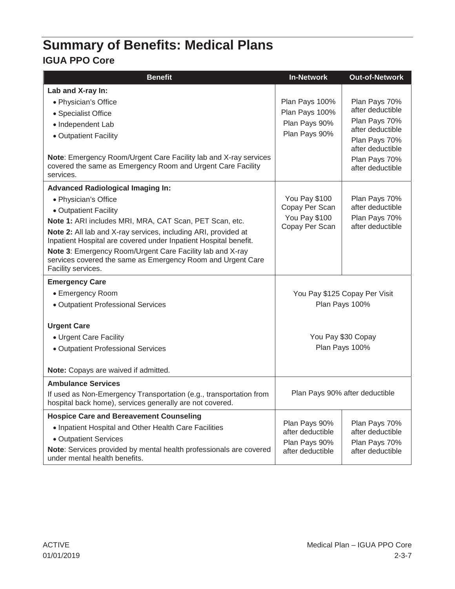| <b>Benefit</b>                                                                                                                                                                                                                                                                                                                                                                                                                               | <b>In-Network</b>                                                                       | <b>Out-of-Network</b>                                                                                                                            |
|----------------------------------------------------------------------------------------------------------------------------------------------------------------------------------------------------------------------------------------------------------------------------------------------------------------------------------------------------------------------------------------------------------------------------------------------|-----------------------------------------------------------------------------------------|--------------------------------------------------------------------------------------------------------------------------------------------------|
| Lab and X-ray In:<br>• Physician's Office<br>• Specialist Office<br>• Independent Lab<br>• Outpatient Facility<br>Note: Emergency Room/Urgent Care Facility lab and X-ray services<br>covered the same as Emergency Room and Urgent Care Facility<br>services.                                                                                                                                                                               | Plan Pays 100%<br>Plan Pays 100%<br>Plan Pays 90%<br>Plan Pays 90%                      | Plan Pays 70%<br>after deductible<br>Plan Pays 70%<br>after deductible<br>Plan Pays 70%<br>after deductible<br>Plan Pays 70%<br>after deductible |
| <b>Advanced Radiological Imaging In:</b><br>• Physician's Office<br>• Outpatient Facility<br>Note 1: ARI includes MRI, MRA, CAT Scan, PET Scan, etc.<br>Note 2: All lab and X-ray services, including ARI, provided at<br>Inpatient Hospital are covered under Inpatient Hospital benefit.<br>Note 3: Emergency Room/Urgent Care Facility lab and X-ray<br>services covered the same as Emergency Room and Urgent Care<br>Facility services. | You Pay \$100<br>Copay Per Scan<br>You Pay \$100<br>Copay Per Scan                      | Plan Pays 70%<br>after deductible<br>Plan Pays 70%<br>after deductible                                                                           |
| <b>Emergency Care</b><br>• Emergency Room<br>• Outpatient Professional Services<br><b>Urgent Care</b><br>• Urgent Care Facility<br>• Outpatient Professional Services<br>Note: Copays are waived if admitted.                                                                                                                                                                                                                                | You Pay \$125 Copay Per Visit<br>Plan Pays 100%<br>You Pay \$30 Copay<br>Plan Pays 100% |                                                                                                                                                  |
| <b>Ambulance Services</b><br>If used as Non-Emergency Transportation (e.g., transportation from<br>hospital back home), services generally are not covered.                                                                                                                                                                                                                                                                                  | Plan Pays 90% after deductible                                                          |                                                                                                                                                  |
| <b>Hospice Care and Bereavement Counseling</b><br>• Inpatient Hospital and Other Health Care Facilities<br>• Outpatient Services<br>Note: Services provided by mental health professionals are covered<br>under mental health benefits.                                                                                                                                                                                                      | Plan Pays 90%<br>after deductible<br>Plan Pays 90%<br>after deductible                  | Plan Pays 70%<br>after deductible<br>Plan Pays 70%<br>after deductible                                                                           |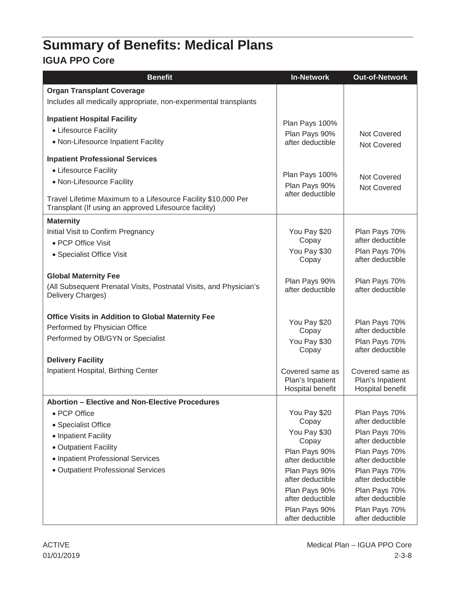| <b>Benefit</b>                                                     | <b>In-Network</b>                 | <b>Out-of-Network</b>             |
|--------------------------------------------------------------------|-----------------------------------|-----------------------------------|
| <b>Organ Transplant Coverage</b>                                   |                                   |                                   |
| Includes all medically appropriate, non-experimental transplants   |                                   |                                   |
| <b>Inpatient Hospital Facility</b>                                 |                                   |                                   |
| • Lifesource Facility                                              | Plan Pays 100%                    |                                   |
| • Non-Lifesource Inpatient Facility                                | Plan Pays 90%<br>after deductible | <b>Not Covered</b>                |
|                                                                    |                                   | Not Covered                       |
| <b>Inpatient Professional Services</b>                             |                                   |                                   |
| • Lifesource Facility                                              | Plan Pays 100%                    | Not Covered                       |
| • Non-Lifesource Facility                                          | Plan Pays 90%                     | Not Covered                       |
| Travel Lifetime Maximum to a Lifesource Facility \$10,000 Per      | after deductible                  |                                   |
| Transplant (If using an approved Lifesource facility)              |                                   |                                   |
| <b>Maternity</b>                                                   |                                   |                                   |
| Initial Visit to Confirm Pregnancy                                 | You Pay \$20                      | Plan Pays 70%                     |
| • PCP Office Visit                                                 | Copay                             | after deductible                  |
| • Specialist Office Visit                                          | You Pay \$30                      | Plan Pays 70%                     |
|                                                                    | Copay                             | after deductible                  |
| <b>Global Maternity Fee</b>                                        | Plan Pays 90%                     | Plan Pays 70%                     |
| (All Subsequent Prenatal Visits, Postnatal Visits, and Physician's | after deductible                  | after deductible                  |
| Delivery Charges)                                                  |                                   |                                   |
| <b>Office Visits in Addition to Global Maternity Fee</b>           |                                   |                                   |
| Performed by Physician Office                                      | You Pay \$20                      | Plan Pays 70%                     |
| Performed by OB/GYN or Specialist                                  | Copay                             | after deductible                  |
|                                                                    | You Pay \$30<br>Copay             | Plan Pays 70%<br>after deductible |
| <b>Delivery Facility</b>                                           |                                   |                                   |
| Inpatient Hospital, Birthing Center                                | Covered same as                   | Covered same as                   |
|                                                                    | Plan's Inpatient                  | Plan's Inpatient                  |
|                                                                    | Hospital benefit                  | Hospital benefit                  |
| Abortion – Elective and Non-Elective Procedures                    |                                   |                                   |
| • PCP Office                                                       | You Pay \$20                      | Plan Pays 70%                     |
| • Specialist Office                                                | Copay                             | after deductible                  |
| • Inpatient Facility                                               | You Pay \$30<br>Copay             | Plan Pays 70%<br>after deductible |
| • Outpatient Facility                                              | Plan Pays 90%                     | Plan Pays 70%                     |
| • Inpatient Professional Services                                  | after deductible                  | after deductible                  |
| • Outpatient Professional Services                                 | Plan Pays 90%                     | Plan Pays 70%                     |
|                                                                    | after deductible                  | after deductible                  |
|                                                                    | Plan Pays 90%                     | Plan Pays 70%                     |
|                                                                    | after deductible<br>Plan Pays 90% | after deductible<br>Plan Pays 70% |
|                                                                    | after deductible                  | after deductible                  |
|                                                                    |                                   |                                   |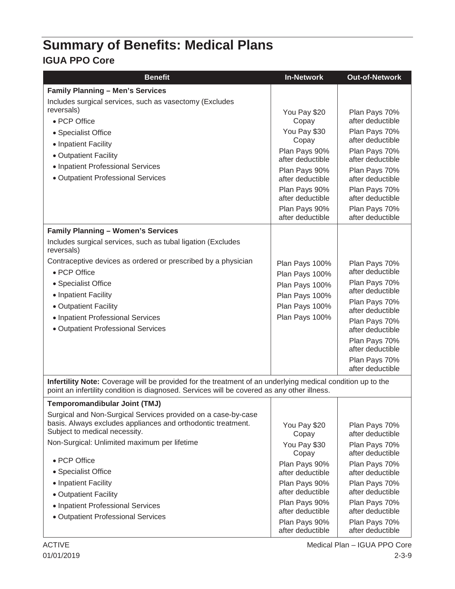| <b>Benefit</b>                                                                                                                                                                                            | <b>In-Network</b>                 | <b>Out-of-Network</b>             |
|-----------------------------------------------------------------------------------------------------------------------------------------------------------------------------------------------------------|-----------------------------------|-----------------------------------|
| <b>Family Planning - Men's Services</b>                                                                                                                                                                   |                                   |                                   |
| Includes surgical services, such as vasectomy (Excludes                                                                                                                                                   |                                   |                                   |
| reversals)                                                                                                                                                                                                | You Pay \$20                      | Plan Pays 70%                     |
| • PCP Office                                                                                                                                                                                              | Copay                             | after deductible                  |
| • Specialist Office                                                                                                                                                                                       | You Pay \$30                      | Plan Pays 70%                     |
| • Inpatient Facility                                                                                                                                                                                      | Copay                             | after deductible                  |
| • Outpatient Facility                                                                                                                                                                                     | Plan Pays 90%<br>after deductible | Plan Pays 70%<br>after deductible |
| • Inpatient Professional Services                                                                                                                                                                         | Plan Pays 90%                     | Plan Pays 70%                     |
| • Outpatient Professional Services                                                                                                                                                                        | after deductible                  | after deductible                  |
|                                                                                                                                                                                                           | Plan Pays 90%                     | Plan Pays 70%                     |
|                                                                                                                                                                                                           | after deductible                  | after deductible                  |
|                                                                                                                                                                                                           | Plan Pays 90%<br>after deductible | Plan Pays 70%                     |
|                                                                                                                                                                                                           |                                   | after deductible                  |
| <b>Family Planning - Women's Services</b>                                                                                                                                                                 |                                   |                                   |
| Includes surgical services, such as tubal ligation (Excludes<br>reversals)                                                                                                                                |                                   |                                   |
| Contraceptive devices as ordered or prescribed by a physician                                                                                                                                             | Plan Pays 100%                    | Plan Pays 70%                     |
| • PCP Office                                                                                                                                                                                              | Plan Pays 100%                    | after deductible                  |
| • Specialist Office                                                                                                                                                                                       | Plan Pays 100%                    | Plan Pays 70%                     |
| • Inpatient Facility                                                                                                                                                                                      | Plan Pays 100%                    | after deductible                  |
| • Outpatient Facility                                                                                                                                                                                     | Plan Pays 100%                    | Plan Pays 70%<br>after deductible |
| • Inpatient Professional Services                                                                                                                                                                         | Plan Pays 100%                    | Plan Pays 70%                     |
| • Outpatient Professional Services                                                                                                                                                                        |                                   | after deductible                  |
|                                                                                                                                                                                                           |                                   | Plan Pays 70%                     |
|                                                                                                                                                                                                           |                                   | after deductible                  |
|                                                                                                                                                                                                           |                                   | Plan Pays 70%<br>after deductible |
|                                                                                                                                                                                                           |                                   |                                   |
| Infertility Note: Coverage will be provided for the treatment of an underlying medical condition up to the<br>point an infertility condition is diagnosed. Services will be covered as any other illness. |                                   |                                   |
| Temporomandibular Joint (TMJ)                                                                                                                                                                             |                                   |                                   |
| Surgical and Non-Surgical Services provided on a case-by-case                                                                                                                                             |                                   |                                   |
| basis. Always excludes appliances and orthodontic treatment.                                                                                                                                              | You Pay \$20                      | Plan Pays 70%                     |
| Subject to medical necessity.                                                                                                                                                                             | Copay                             | after deductible                  |
| Non-Surgical: Unlimited maximum per lifetime                                                                                                                                                              | You Pay \$30                      | Plan Pays 70%                     |
| • PCP Office                                                                                                                                                                                              | Copay<br>Plan Pays 90%            | after deductible                  |
| • Specialist Office                                                                                                                                                                                       | after deductible                  | Plan Pays 70%<br>after deductible |
| • Inpatient Facility                                                                                                                                                                                      | Plan Pays 90%                     | Plan Pays 70%                     |
| • Outpatient Facility                                                                                                                                                                                     | after deductible                  | after deductible                  |
| • Inpatient Professional Services                                                                                                                                                                         | Plan Pays 90%                     | Plan Pays 70%                     |
| • Outpatient Professional Services                                                                                                                                                                        | after deductible                  | after deductible                  |
|                                                                                                                                                                                                           | Plan Pays 90%<br>after deductible | Plan Pays 70%<br>after deductible |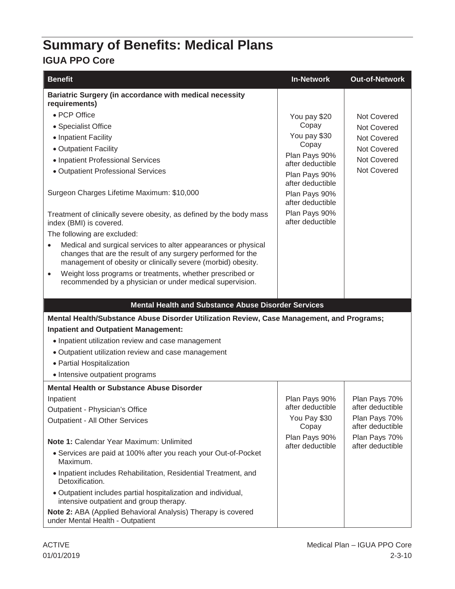| <b>Benefit</b>                                                                                                                                                                                              | <b>In-Network</b>                 | <b>Out-of-Network</b>             |
|-------------------------------------------------------------------------------------------------------------------------------------------------------------------------------------------------------------|-----------------------------------|-----------------------------------|
| Bariatric Surgery (in accordance with medical necessity<br>requirements)                                                                                                                                    |                                   |                                   |
| • PCP Office                                                                                                                                                                                                | You pay \$20                      | <b>Not Covered</b>                |
| • Specialist Office                                                                                                                                                                                         | Copay                             | Not Covered                       |
| • Inpatient Facility                                                                                                                                                                                        | You pay \$30                      | Not Covered                       |
| • Outpatient Facility                                                                                                                                                                                       | Copay                             | <b>Not Covered</b>                |
| • Inpatient Professional Services                                                                                                                                                                           | Plan Pays 90%<br>after deductible | <b>Not Covered</b>                |
| • Outpatient Professional Services                                                                                                                                                                          | Plan Pays 90%<br>after deductible | Not Covered                       |
| Surgeon Charges Lifetime Maximum: \$10,000                                                                                                                                                                  | Plan Pays 90%<br>after deductible |                                   |
| Treatment of clinically severe obesity, as defined by the body mass<br>index (BMI) is covered.                                                                                                              | Plan Pays 90%<br>after deductible |                                   |
| The following are excluded:                                                                                                                                                                                 |                                   |                                   |
| Medical and surgical services to alter appearances or physical<br>$\bullet$<br>changes that are the result of any surgery performed for the<br>management of obesity or clinically severe (morbid) obesity. |                                   |                                   |
| Weight loss programs or treatments, whether prescribed or<br>$\bullet$<br>recommended by a physician or under medical supervision.                                                                          |                                   |                                   |
| <b>Mental Health and Substance Abuse Disorder Services</b>                                                                                                                                                  |                                   |                                   |
| Mental Health/Substance Abuse Disorder Utilization Review, Case Management, and Programs;                                                                                                                   |                                   |                                   |
| <b>Inpatient and Outpatient Management:</b>                                                                                                                                                                 |                                   |                                   |
| • Inpatient utilization review and case management                                                                                                                                                          |                                   |                                   |
| • Outpatient utilization review and case management                                                                                                                                                         |                                   |                                   |
| • Partial Hospitalization                                                                                                                                                                                   |                                   |                                   |
| • Intensive outpatient programs                                                                                                                                                                             |                                   |                                   |
| <b>Mental Health or Substance Abuse Disorder</b>                                                                                                                                                            |                                   |                                   |
| Inpatient                                                                                                                                                                                                   | Plan Pays 90%                     | Plan Pays 70%                     |
| Outpatient - Physician's Office                                                                                                                                                                             | after deductible                  | after deductible                  |
| Outpatient - All Other Services                                                                                                                                                                             | You Pay \$30<br>Copay             | Plan Pays 70%<br>after deductible |
| Note 1: Calendar Year Maximum: Unlimited                                                                                                                                                                    | Plan Pays 90%<br>after deductible | Plan Pays 70%<br>after deductible |
| • Services are paid at 100% after you reach your Out-of-Pocket<br>Maximum.                                                                                                                                  |                                   |                                   |
| • Inpatient includes Rehabilitation, Residential Treatment, and<br>Detoxification.                                                                                                                          |                                   |                                   |
| . Outpatient includes partial hospitalization and individual,<br>intensive outpatient and group therapy.                                                                                                    |                                   |                                   |
| Note 2: ABA (Applied Behavioral Analysis) Therapy is covered<br>under Mental Health - Outpatient                                                                                                            |                                   |                                   |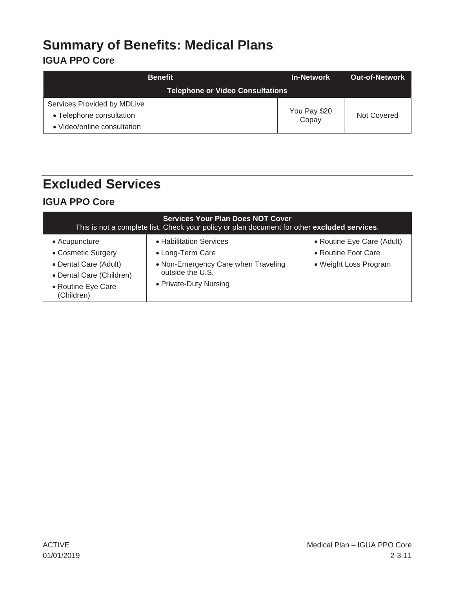### **Summary of Benefits: Medical Plans IGUA PPO Core**

| <b>Benefit</b>                                          | <b>In-Network</b>     | <b>Out-of-Network</b> |
|---------------------------------------------------------|-----------------------|-----------------------|
| <b>Telephone or Video Consultations</b>                 |                       |                       |
| Services Provided by MDLive<br>• Telephone consultation | You Pay \$20<br>Copay | Not Covered           |
| • Video/online consultation                             |                       |                       |

### **Excluded Services**

| <b>Services Your Plan Does NOT Cover</b><br>This is not a complete list. Check your policy or plan document for other excluded services. |                                                                                                                                  |                                                                            |  |  |
|------------------------------------------------------------------------------------------------------------------------------------------|----------------------------------------------------------------------------------------------------------------------------------|----------------------------------------------------------------------------|--|--|
| • Acupuncture<br>• Cosmetic Surgery<br>• Dental Care (Adult)<br>• Dental Care (Children)<br>• Routine Eye Care<br>(Children)             | • Habilitation Services<br>• Long-Term Care<br>• Non-Emergency Care when Traveling<br>outside the U.S.<br>• Private-Duty Nursing | • Routine Eye Care (Adult)<br>• Routine Foot Care<br>• Weight Loss Program |  |  |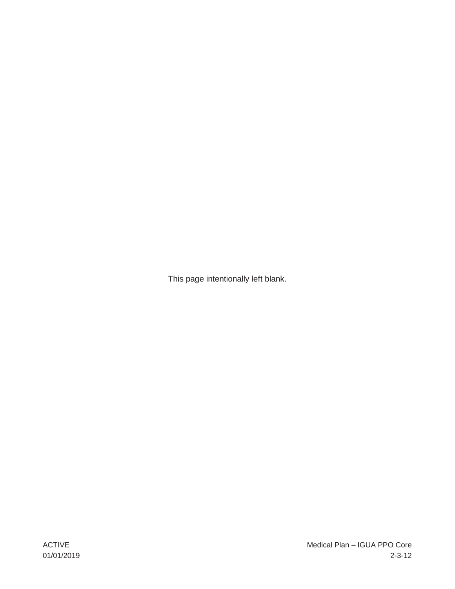This page intentionally left blank.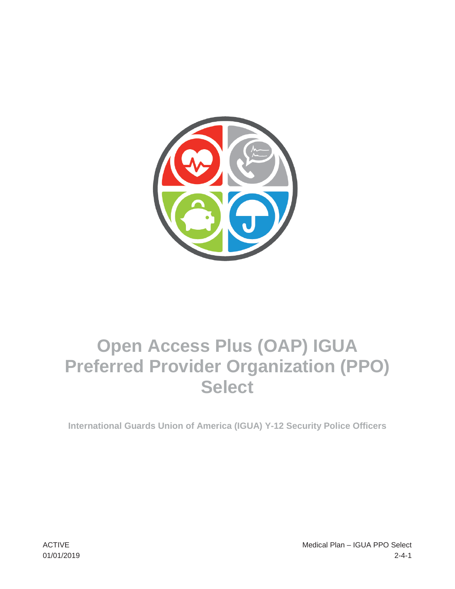

# **Open Access Plus (OAP) IGUA Preferred Provider Organization (PPO) Select**

**International Guards Union of America (IGUA) Y-12 Security Police Officers**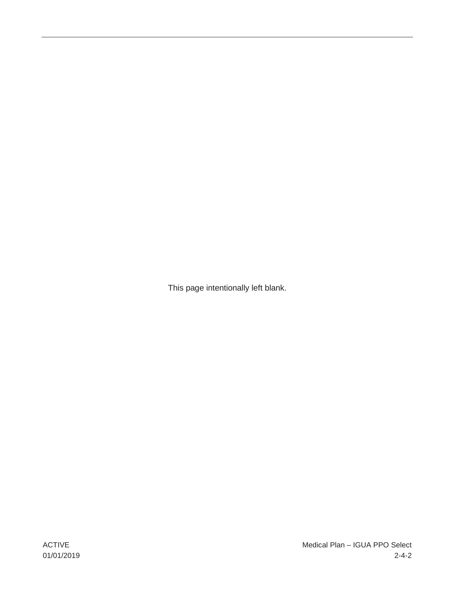This page intentionally left blank.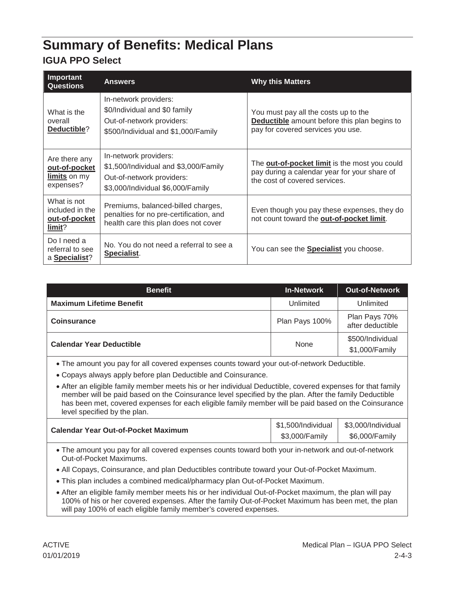#### **IGUA PPO Select**

| Important<br><b>Questions</b>                               | <b>Answers</b>                                                                                                                   | <b>Why this Matters</b>                                                                                                               |
|-------------------------------------------------------------|----------------------------------------------------------------------------------------------------------------------------------|---------------------------------------------------------------------------------------------------------------------------------------|
| What is the<br>overall<br>Deductible?                       | In-network providers:<br>\$0/Individual and \$0 family<br>Out-of-network providers:<br>\$500/Individual and \$1,000/Family       | You must pay all the costs up to the<br>Deductible amount before this plan begins to<br>pay for covered services you use.             |
| Are there any<br>out-of-pocket<br>limits on my<br>expenses? | In-network providers:<br>\$1,500/Individual and \$3,000/Family<br>Out-of-network providers:<br>\$3,000/Individual \$6,000/Family | The <b>out-of-pocket limit</b> is the most you could<br>pay during a calendar year for your share of<br>the cost of covered services. |
| What is not<br>included in the<br>out-of-pocket<br>limit?   | Premiums, balanced-billed charges,<br>penalties for no pre-certification, and<br>health care this plan does not cover            | Even though you pay these expenses, they do<br>not count toward the out-of-pocket limit.                                              |
| Do I need a<br>referral to see<br>a Specialist?             | No. You do not need a referral to see a<br>Specialist.                                                                           | You can see the <b>Specialist</b> you choose.                                                                                         |

| <b>Benefit</b>                  | <b>In-Network</b> | Out-of-Network                     |
|---------------------------------|-------------------|------------------------------------|
| <b>Maximum Lifetime Benefit</b> | Unlimited         | Unlimited                          |
| <b>Coinsurance</b>              | Plan Pays 100%    | Plan Pays 70%<br>after deductible  |
| <b>Calendar Year Deductible</b> | None              | \$500/Individual<br>\$1,000/Family |

• The amount you pay for all covered expenses counts toward your out-of-network Deductible.

• Copays always apply before plan Deductible and Coinsurance.

• After an eligible family member meets his or her individual Deductible, covered expenses for that family member will be paid based on the Coinsurance level specified by the plan. After the family Deductible has been met, covered expenses for each eligible family member will be paid based on the Coinsurance level specified by the plan.

|                                            | $\frac{1}{2}$ \$1,500/Individual $\frac{1}{2}$ \$3,000/Individual |                |
|--------------------------------------------|-------------------------------------------------------------------|----------------|
| <b>Calendar Year Out-of-Pocket Maximum</b> | \$3,000/Family                                                    | \$6,000/Family |

• The amount you pay for all covered expenses counts toward both your in-network and out-of-network Out-of-Pocket Maximums.

• All Copays, Coinsurance, and plan Deductibles contribute toward your Out-of-Pocket Maximum.

- This plan includes a combined medical/pharmacy plan Out-of-Pocket Maximum.
- After an eligible family member meets his or her individual Out-of-Pocket maximum, the plan will pay 100% of his or her covered expenses. After the family Out-of-Pocket Maximum has been met, the plan will pay 100% of each eligible family member's covered expenses.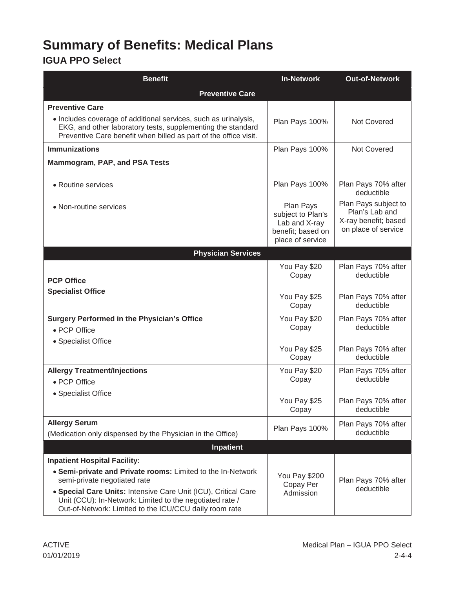| <b>Benefit</b>                                                                                                                                                                                     | <b>In-Network</b>                                                                        | <b>Out-of-Network</b>                                                                 |
|----------------------------------------------------------------------------------------------------------------------------------------------------------------------------------------------------|------------------------------------------------------------------------------------------|---------------------------------------------------------------------------------------|
| <b>Preventive Care</b>                                                                                                                                                                             |                                                                                          |                                                                                       |
| <b>Preventive Care</b>                                                                                                                                                                             |                                                                                          |                                                                                       |
| • Includes coverage of additional services, such as urinalysis,<br>EKG, and other laboratory tests, supplementing the standard<br>Preventive Care benefit when billed as part of the office visit. | Plan Pays 100%                                                                           | <b>Not Covered</b>                                                                    |
| <b>Immunizations</b>                                                                                                                                                                               | Plan Pays 100%                                                                           | Not Covered                                                                           |
| Mammogram, PAP, and PSA Tests                                                                                                                                                                      |                                                                                          |                                                                                       |
| • Routine services                                                                                                                                                                                 | Plan Pays 100%                                                                           | Plan Pays 70% after<br>deductible                                                     |
| • Non-routine services                                                                                                                                                                             | Plan Pays<br>subject to Plan's<br>Lab and X-ray<br>benefit; based on<br>place of service | Plan Pays subject to<br>Plan's Lab and<br>X-ray benefit; based<br>on place of service |
| <b>Physician Services</b>                                                                                                                                                                          |                                                                                          |                                                                                       |
| <b>PCP Office</b>                                                                                                                                                                                  | You Pay \$20<br>Copay                                                                    | Plan Pays 70% after<br>deductible                                                     |
| <b>Specialist Office</b>                                                                                                                                                                           |                                                                                          |                                                                                       |
|                                                                                                                                                                                                    | You Pay \$25<br>Copay                                                                    | Plan Pays 70% after<br>deductible                                                     |
| <b>Surgery Performed in the Physician's Office</b>                                                                                                                                                 | You Pay \$20                                                                             | Plan Pays 70% after                                                                   |
| • PCP Office                                                                                                                                                                                       | Copay                                                                                    | deductible                                                                            |
| • Specialist Office                                                                                                                                                                                | You Pay \$25<br>Copay                                                                    | Plan Pays 70% after<br>deductible                                                     |
| <b>Allergy Treatment/Injections</b>                                                                                                                                                                | You Pay \$20                                                                             | Plan Pays 70% after                                                                   |
| • PCP Office                                                                                                                                                                                       | Copay                                                                                    | deductible                                                                            |
| • Specialist Office                                                                                                                                                                                | You Pay \$25<br>Copay                                                                    | Plan Pays 70% after<br>deductible                                                     |
| <b>Allergy Serum</b>                                                                                                                                                                               | Plan Pays 100%                                                                           | Plan Pays 70% after                                                                   |
| (Medication only dispensed by the Physician in the Office)                                                                                                                                         |                                                                                          | deductible                                                                            |
| Inpatient                                                                                                                                                                                          |                                                                                          |                                                                                       |
| <b>Inpatient Hospital Facility:</b>                                                                                                                                                                |                                                                                          |                                                                                       |
| • Semi-private and Private rooms: Limited to the In-Network<br>semi-private negotiated rate                                                                                                        | You Pay \$200<br>Copay Per                                                               | Plan Pays 70% after                                                                   |
| • Special Care Units: Intensive Care Unit (ICU), Critical Care<br>Unit (CCU): In-Network: Limited to the negotiated rate /<br>Out-of-Network: Limited to the ICU/CCU daily room rate               | deductible<br>Admission                                                                  |                                                                                       |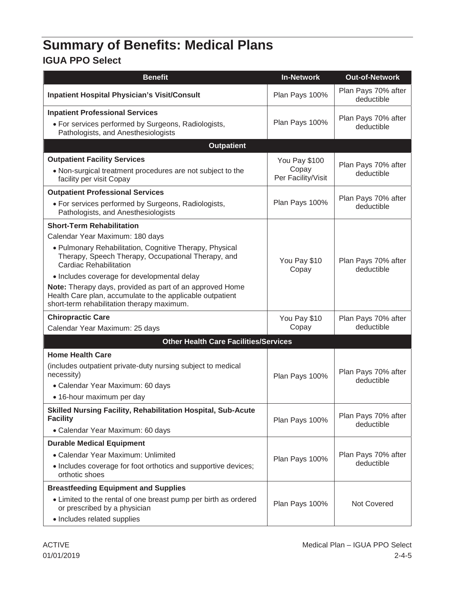| <b>Benefit</b>                                                                                                                                                      | <b>In-Network</b>           | <b>Out-of-Network</b>             |  |
|---------------------------------------------------------------------------------------------------------------------------------------------------------------------|-----------------------------|-----------------------------------|--|
| <b>Inpatient Hospital Physician's Visit/Consult</b>                                                                                                                 | Plan Pays 100%              | Plan Pays 70% after<br>deductible |  |
| <b>Inpatient Professional Services</b><br>• For services performed by Surgeons, Radiologists,<br>Pathologists, and Anesthesiologists                                | Plan Pays 100%              | Plan Pays 70% after<br>deductible |  |
| <b>Outpatient</b>                                                                                                                                                   |                             |                                   |  |
| <b>Outpatient Facility Services</b>                                                                                                                                 | You Pay \$100               |                                   |  |
| . Non-surgical treatment procedures are not subject to the<br>facility per visit Copay                                                                              | Copay<br>Per Facility/Visit | Plan Pays 70% after<br>deductible |  |
| <b>Outpatient Professional Services</b>                                                                                                                             |                             |                                   |  |
| • For services performed by Surgeons, Radiologists,<br>Pathologists, and Anesthesiologists                                                                          | Plan Pays 100%              | Plan Pays 70% after<br>deductible |  |
| <b>Short-Term Rehabilitation</b>                                                                                                                                    |                             |                                   |  |
| Calendar Year Maximum: 180 days                                                                                                                                     |                             |                                   |  |
| • Pulmonary Rehabilitation, Cognitive Therapy, Physical<br>Therapy, Speech Therapy, Occupational Therapy, and<br>You Pay \$10<br>Cardiac Rehabilitation<br>Copay    |                             | Plan Pays 70% after<br>deductible |  |
| • Includes coverage for developmental delay                                                                                                                         |                             |                                   |  |
| Note: Therapy days, provided as part of an approved Home<br>Health Care plan, accumulate to the applicable outpatient<br>short-term rehabilitation therapy maximum. |                             |                                   |  |
| <b>Chiropractic Care</b>                                                                                                                                            | You Pay \$10                | Plan Pays 70% after               |  |
| Calendar Year Maximum: 25 days                                                                                                                                      | Copay                       | deductible                        |  |
| <b>Other Health Care Facilities/Services</b>                                                                                                                        |                             |                                   |  |
| <b>Home Health Care</b>                                                                                                                                             |                             |                                   |  |
| (includes outpatient private-duty nursing subject to medical<br>necessity)                                                                                          |                             | Plan Pays 70% after<br>deductible |  |
| · Calendar Year Maximum: 60 days                                                                                                                                    | Plan Pays 100%              |                                   |  |
| • 16-hour maximum per day                                                                                                                                           |                             |                                   |  |
| Skilled Nursing Facility, Rehabilitation Hospital, Sub-Acute                                                                                                        |                             |                                   |  |
| <b>Facility</b>                                                                                                                                                     | Plan Pays 100%              | Plan Pays 70% after<br>deductible |  |
| • Calendar Year Maximum: 60 days                                                                                                                                    |                             |                                   |  |
| <b>Durable Medical Equipment</b>                                                                                                                                    |                             |                                   |  |
| • Calendar Year Maximum: Unlimited                                                                                                                                  | Plan Pays 100%              | Plan Pays 70% after               |  |
| • Includes coverage for foot orthotics and supportive devices;<br>orthotic shoes                                                                                    |                             | deductible                        |  |
| <b>Breastfeeding Equipment and Supplies</b>                                                                                                                         |                             |                                   |  |
| • Limited to the rental of one breast pump per birth as ordered<br>or prescribed by a physician                                                                     | Plan Pays 100%              | Not Covered                       |  |
| • Includes related supplies                                                                                                                                         |                             |                                   |  |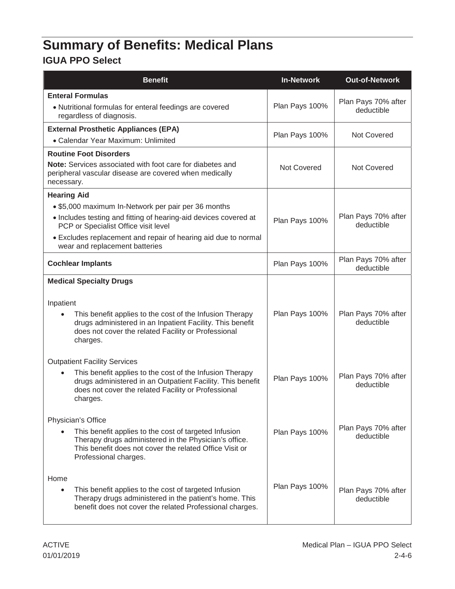| <b>Benefit</b>                                                                                                                                                                                        | <b>In-Network</b> | <b>Out-of-Network</b>             |
|-------------------------------------------------------------------------------------------------------------------------------------------------------------------------------------------------------|-------------------|-----------------------------------|
| <b>Enteral Formulas</b><br>• Nutritional formulas for enteral feedings are covered<br>regardless of diagnosis.                                                                                        | Plan Pays 100%    | Plan Pays 70% after<br>deductible |
| <b>External Prosthetic Appliances (EPA)</b>                                                                                                                                                           | Plan Pays 100%    | <b>Not Covered</b>                |
| • Calendar Year Maximum: Unlimited                                                                                                                                                                    |                   |                                   |
| <b>Routine Foot Disorders</b><br>Note: Services associated with foot care for diabetes and<br>peripheral vascular disease are covered when medically<br>necessary.                                    | Not Covered       | <b>Not Covered</b>                |
| <b>Hearing Aid</b>                                                                                                                                                                                    |                   |                                   |
| • \$5,000 maximum In-Network per pair per 36 months                                                                                                                                                   |                   |                                   |
| • Includes testing and fitting of hearing-aid devices covered at<br>PCP or Specialist Office visit level                                                                                              | Plan Pays 100%    | Plan Pays 70% after<br>deductible |
| • Excludes replacement and repair of hearing aid due to normal<br>wear and replacement batteries                                                                                                      |                   |                                   |
| <b>Cochlear Implants</b>                                                                                                                                                                              | Plan Pays 100%    | Plan Pays 70% after<br>deductible |
| <b>Medical Specialty Drugs</b>                                                                                                                                                                        |                   |                                   |
| Inpatient<br>This benefit applies to the cost of the Infusion Therapy<br>drugs administered in an Inpatient Facility. This benefit<br>does not cover the related Facility or Professional<br>charges. | Plan Pays 100%    | Plan Pays 70% after<br>deductible |
| <b>Outpatient Facility Services</b>                                                                                                                                                                   |                   |                                   |
| This benefit applies to the cost of the Infusion Therapy<br>drugs administered in an Outpatient Facility. This benefit<br>does not cover the related Facility or Professional<br>charges.             | Plan Pays 100%    | Plan Pays 70% after<br>deductible |
| Physician's Office                                                                                                                                                                                    |                   |                                   |
| This benefit applies to the cost of targeted Infusion<br>Therapy drugs administered in the Physician's office.<br>This benefit does not cover the related Office Visit or<br>Professional charges.    | Plan Pays 100%    | Plan Pays 70% after<br>deductible |
| Home<br>This benefit applies to the cost of targeted Infusion<br>$\bullet$<br>Therapy drugs administered in the patient's home. This<br>benefit does not cover the related Professional charges.      | Plan Pays 100%    | Plan Pays 70% after<br>deductible |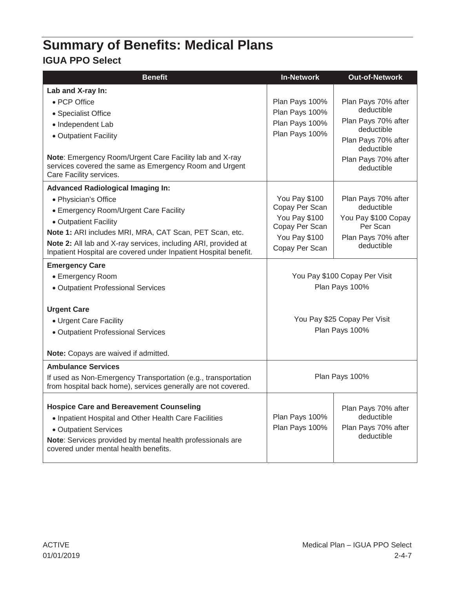| <b>Benefit</b>                                                                                                                                                                                                                                                                                                                      | <b>In-Network</b>                                                                                     | <b>Out-of-Network</b>                                                                                                                            |
|-------------------------------------------------------------------------------------------------------------------------------------------------------------------------------------------------------------------------------------------------------------------------------------------------------------------------------------|-------------------------------------------------------------------------------------------------------|--------------------------------------------------------------------------------------------------------------------------------------------------|
| Lab and X-ray In:<br>• PCP Office<br>• Specialist Office<br>• Independent Lab<br>• Outpatient Facility<br>Note: Emergency Room/Urgent Care Facility lab and X-ray<br>services covered the same as Emergency Room and Urgent<br>Care Facility services.                                                                              | Plan Pays 100%<br>Plan Pays 100%<br>Plan Pays 100%<br>Plan Pays 100%                                  | Plan Pays 70% after<br>deductible<br>Plan Pays 70% after<br>deductible<br>Plan Pays 70% after<br>deductible<br>Plan Pays 70% after<br>deductible |
| <b>Advanced Radiological Imaging In:</b><br>• Physician's Office<br>• Emergency Room/Urgent Care Facility<br>• Outpatient Facility<br>Note 1: ARI includes MRI, MRA, CAT Scan, PET Scan, etc.<br>Note 2: All lab and X-ray services, including ARI, provided at<br>Inpatient Hospital are covered under Inpatient Hospital benefit. | You Pay \$100<br>Copay Per Scan<br>You Pay \$100<br>Copay Per Scan<br>You Pay \$100<br>Copay Per Scan | Plan Pays 70% after<br>deductible<br>You Pay \$100 Copay<br>Per Scan<br>Plan Pays 70% after<br>deductible                                        |
| <b>Emergency Care</b><br>• Emergency Room<br>• Outpatient Professional Services<br><b>Urgent Care</b><br>• Urgent Care Facility<br>• Outpatient Professional Services<br>Note: Copays are waived if admitted.                                                                                                                       | You Pay \$100 Copay Per Visit<br>Plan Pays 100%<br>You Pay \$25 Copay Per Visit<br>Plan Pays 100%     |                                                                                                                                                  |
| <b>Ambulance Services</b><br>If used as Non-Emergency Transportation (e.g., transportation<br>from hospital back home), services generally are not covered.                                                                                                                                                                         | Plan Pays 100%                                                                                        |                                                                                                                                                  |
| <b>Hospice Care and Bereavement Counseling</b><br>• Inpatient Hospital and Other Health Care Facilities<br>• Outpatient Services<br>Note: Services provided by mental health professionals are<br>covered under mental health benefits.                                                                                             | Plan Pays 100%<br>Plan Pays 100%                                                                      | Plan Pays 70% after<br>deductible<br>Plan Pays 70% after<br>deductible                                                                           |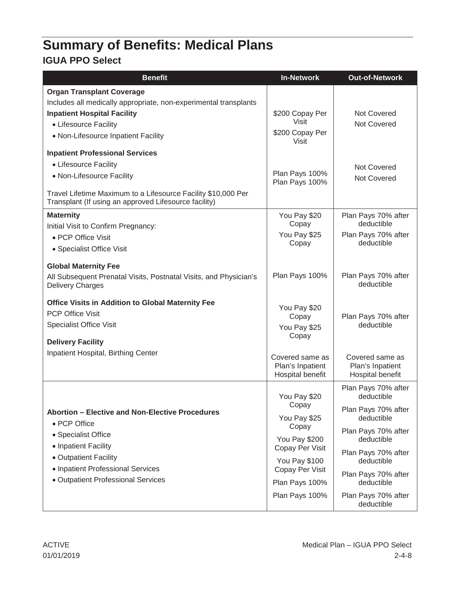| <b>Benefit</b>                                                                                                                                                                                                            | <b>In-Network</b>                                                                                                                                          | <b>Out-of-Network</b>                                                                                                                                                                                        |
|---------------------------------------------------------------------------------------------------------------------------------------------------------------------------------------------------------------------------|------------------------------------------------------------------------------------------------------------------------------------------------------------|--------------------------------------------------------------------------------------------------------------------------------------------------------------------------------------------------------------|
| <b>Organ Transplant Coverage</b><br>Includes all medically appropriate, non-experimental transplants                                                                                                                      |                                                                                                                                                            |                                                                                                                                                                                                              |
| <b>Inpatient Hospital Facility</b><br>• Lifesource Facility<br>• Non-Lifesource Inpatient Facility                                                                                                                        | \$200 Copay Per<br>Visit<br>\$200 Copay Per                                                                                                                | <b>Not Covered</b><br>Not Covered                                                                                                                                                                            |
| <b>Inpatient Professional Services</b><br>• Lifesource Facility<br>• Non-Lifesource Facility<br>Travel Lifetime Maximum to a Lifesource Facility \$10,000 Per<br>Transplant (If using an approved Lifesource facility)    | Visit<br>Plan Pays 100%<br>Plan Pays 100%                                                                                                                  | Not Covered<br>Not Covered                                                                                                                                                                                   |
| <b>Maternity</b><br>Initial Visit to Confirm Pregnancy:<br>• PCP Office Visit<br>• Specialist Office Visit                                                                                                                | You Pay \$20<br>Copay<br>You Pay \$25<br>Copay                                                                                                             | Plan Pays 70% after<br>deductible<br>Plan Pays 70% after<br>deductible                                                                                                                                       |
| <b>Global Maternity Fee</b><br>All Subsequent Prenatal Visits, Postnatal Visits, and Physician's<br><b>Delivery Charges</b>                                                                                               | Plan Pays 100%                                                                                                                                             | Plan Pays 70% after<br>deductible                                                                                                                                                                            |
| <b>Office Visits in Addition to Global Maternity Fee</b><br><b>PCP Office Visit</b><br><b>Specialist Office Visit</b><br><b>Delivery Facility</b>                                                                         | You Pay \$20<br>Copay<br>You Pay \$25<br>Copay                                                                                                             | Plan Pays 70% after<br>deductible                                                                                                                                                                            |
| Inpatient Hospital, Birthing Center                                                                                                                                                                                       | Covered same as<br>Plan's Inpatient<br>Hospital benefit                                                                                                    | Covered same as<br>Plan's Inpatient<br>Hospital benefit                                                                                                                                                      |
| <b>Abortion - Elective and Non-Elective Procedures</b><br>• PCP Office<br>• Specialist Office<br>• Inpatient Facility<br>• Outpatient Facility<br>• Inpatient Professional Services<br>• Outpatient Professional Services | You Pay \$20<br>Copay<br>You Pay \$25<br>Copay<br>You Pay \$200<br>Copay Per Visit<br>You Pay \$100<br>Copay Per Visit<br>Plan Pays 100%<br>Plan Pays 100% | Plan Pays 70% after<br>deductible<br>Plan Pays 70% after<br>deductible<br>Plan Pays 70% after<br>deductible<br>Plan Pays 70% after<br>deductible<br>Plan Pays 70% after<br>deductible<br>Plan Pays 70% after |
|                                                                                                                                                                                                                           |                                                                                                                                                            | deductible                                                                                                                                                                                                   |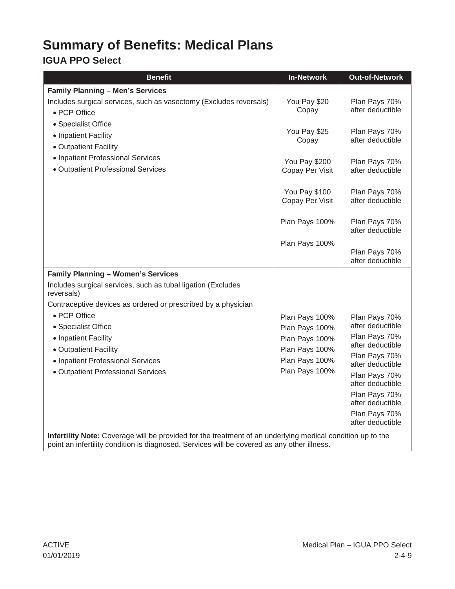| <b>Benefit</b>                                                                                                                                                                                            | <b>In-Network</b>                | <b>Out-of-Network</b>             |
|-----------------------------------------------------------------------------------------------------------------------------------------------------------------------------------------------------------|----------------------------------|-----------------------------------|
| <b>Family Planning - Men's Services</b>                                                                                                                                                                   |                                  |                                   |
| Includes surgical services, such as vasectomy (Excludes reversals)<br>• PCP Office                                                                                                                        | You Pay \$20<br>Copay            | Plan Pays 70%<br>after deductible |
| • Specialist Office<br>• Inpatient Facility<br>• Outpatient Facility                                                                                                                                      | You Pay \$25<br>Copay            | Plan Pays 70%<br>after deductible |
| • Inpatient Professional Services<br>• Outpatient Professional Services                                                                                                                                   | You Pay \$200<br>Copay Per Visit | Plan Pays 70%<br>after deductible |
|                                                                                                                                                                                                           | You Pay \$100<br>Copay Per Visit | Plan Pays 70%<br>after deductible |
|                                                                                                                                                                                                           | Plan Pays 100%                   | Plan Pays 70%<br>after deductible |
|                                                                                                                                                                                                           | Plan Pays 100%                   | Plan Pays 70%<br>after deductible |
| <b>Family Planning - Women's Services</b>                                                                                                                                                                 |                                  |                                   |
| Includes surgical services, such as tubal ligation (Excludes<br>reversals)                                                                                                                                |                                  |                                   |
| Contraceptive devices as ordered or prescribed by a physician                                                                                                                                             |                                  |                                   |
| • PCP Office                                                                                                                                                                                              | Plan Pays 100%                   | Plan Pays 70%                     |
| • Specialist Office                                                                                                                                                                                       | Plan Pays 100%                   | after deductible                  |
| • Inpatient Facility                                                                                                                                                                                      | Plan Pays 100%                   | Plan Pays 70%<br>after deductible |
| • Outpatient Facility                                                                                                                                                                                     | Plan Pays 100%                   | Plan Pays 70%                     |
| • Inpatient Professional Services                                                                                                                                                                         | Plan Pays 100%                   | after deductible                  |
| • Outpatient Professional Services                                                                                                                                                                        | Plan Pays 100%                   | Plan Pays 70%<br>after deductible |
|                                                                                                                                                                                                           |                                  | Plan Pays 70%<br>after deductible |
|                                                                                                                                                                                                           |                                  | Plan Pays 70%<br>after deductible |
| Infertility Note: Coverage will be provided for the treatment of an underlying medical condition up to the<br>point an infertility condition is diagnosed. Services will be covered as any other illness. |                                  |                                   |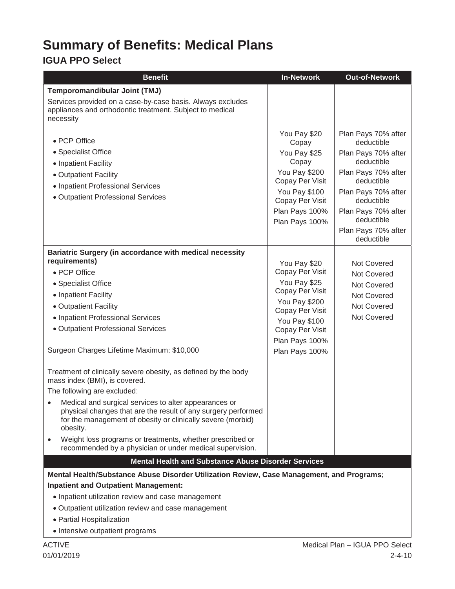| <b>Benefit</b>                                                                                                                                                                                                                                                                                                                                                                                                                                                                                                                                                                                                                                                                                                                                                         | <b>In-Network</b>                                                                                                                                                              | <b>Out-of-Network</b>                                                                                                                                                                                        |
|------------------------------------------------------------------------------------------------------------------------------------------------------------------------------------------------------------------------------------------------------------------------------------------------------------------------------------------------------------------------------------------------------------------------------------------------------------------------------------------------------------------------------------------------------------------------------------------------------------------------------------------------------------------------------------------------------------------------------------------------------------------------|--------------------------------------------------------------------------------------------------------------------------------------------------------------------------------|--------------------------------------------------------------------------------------------------------------------------------------------------------------------------------------------------------------|
| Temporomandibular Joint (TMJ)                                                                                                                                                                                                                                                                                                                                                                                                                                                                                                                                                                                                                                                                                                                                          |                                                                                                                                                                                |                                                                                                                                                                                                              |
| Services provided on a case-by-case basis. Always excludes<br>appliances and orthodontic treatment. Subject to medical<br>necessity                                                                                                                                                                                                                                                                                                                                                                                                                                                                                                                                                                                                                                    |                                                                                                                                                                                |                                                                                                                                                                                                              |
| • PCP Office<br>• Specialist Office<br>• Inpatient Facility<br>• Outpatient Facility<br>• Inpatient Professional Services<br>• Outpatient Professional Services                                                                                                                                                                                                                                                                                                                                                                                                                                                                                                                                                                                                        | You Pay \$20<br>Copay<br>You Pay \$25<br>Copay<br>You Pay \$200<br>Copay Per Visit<br>You Pay \$100<br>Copay Per Visit<br>Plan Pays 100%<br>Plan Pays 100%                     | Plan Pays 70% after<br>deductible<br>Plan Pays 70% after<br>deductible<br>Plan Pays 70% after<br>deductible<br>Plan Pays 70% after<br>deductible<br>Plan Pays 70% after<br>deductible<br>Plan Pays 70% after |
|                                                                                                                                                                                                                                                                                                                                                                                                                                                                                                                                                                                                                                                                                                                                                                        |                                                                                                                                                                                | deductible                                                                                                                                                                                                   |
| Bariatric Surgery (in accordance with medical necessity<br>requirements)<br>• PCP Office<br>• Specialist Office<br>• Inpatient Facility<br>• Outpatient Facility<br>• Inpatient Professional Services<br>• Outpatient Professional Services<br>Surgeon Charges Lifetime Maximum: \$10,000<br>Treatment of clinically severe obesity, as defined by the body<br>mass index (BMI), is covered.<br>The following are excluded:<br>Medical and surgical services to alter appearances or<br>physical changes that are the result of any surgery performed<br>for the management of obesity or clinically severe (morbid)<br>obesity.<br>Weight loss programs or treatments, whether prescribed or<br>$\bullet$<br>recommended by a physician or under medical supervision. | You Pay \$20<br>Copay Per Visit<br>You Pay \$25<br>Copay Per Visit<br>You Pay \$200<br>Copay Per Visit<br>You Pay \$100<br>Copay Per Visit<br>Plan Pays 100%<br>Plan Pays 100% | Not Covered<br>Not Covered<br>Not Covered<br>Not Covered<br>Not Covered<br>Not Covered                                                                                                                       |
| <b>Mental Health and Substance Abuse Disorder Services</b>                                                                                                                                                                                                                                                                                                                                                                                                                                                                                                                                                                                                                                                                                                             |                                                                                                                                                                                |                                                                                                                                                                                                              |
| Mental Health/Substance Abuse Disorder Utilization Review, Case Management, and Programs;                                                                                                                                                                                                                                                                                                                                                                                                                                                                                                                                                                                                                                                                              |                                                                                                                                                                                |                                                                                                                                                                                                              |
| <b>Inpatient and Outpatient Management:</b>                                                                                                                                                                                                                                                                                                                                                                                                                                                                                                                                                                                                                                                                                                                            |                                                                                                                                                                                |                                                                                                                                                                                                              |
| • Inpatient utilization review and case management                                                                                                                                                                                                                                                                                                                                                                                                                                                                                                                                                                                                                                                                                                                     |                                                                                                                                                                                |                                                                                                                                                                                                              |
| • Outpatient utilization review and case management                                                                                                                                                                                                                                                                                                                                                                                                                                                                                                                                                                                                                                                                                                                    |                                                                                                                                                                                |                                                                                                                                                                                                              |
| • Partial Hospitalization                                                                                                                                                                                                                                                                                                                                                                                                                                                                                                                                                                                                                                                                                                                                              |                                                                                                                                                                                |                                                                                                                                                                                                              |
| • Intensive outpatient programs                                                                                                                                                                                                                                                                                                                                                                                                                                                                                                                                                                                                                                                                                                                                        |                                                                                                                                                                                |                                                                                                                                                                                                              |
| <b>ACTIVE</b>                                                                                                                                                                                                                                                                                                                                                                                                                                                                                                                                                                                                                                                                                                                                                          |                                                                                                                                                                                | Medical Plan - IGUA PPO Select                                                                                                                                                                               |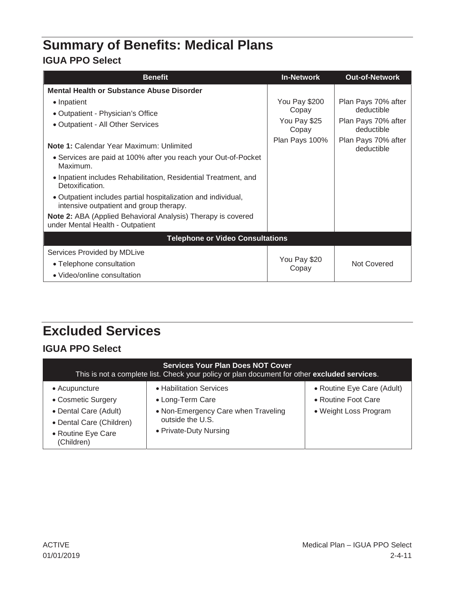#### **IGUA PPO Select**

| <b>Benefit</b>                                                                                           | <b>In-Network</b>                               | <b>Out-of-Network</b>                                                  |  |
|----------------------------------------------------------------------------------------------------------|-------------------------------------------------|------------------------------------------------------------------------|--|
| <b>Mental Health or Substance Abuse Disorder</b>                                                         |                                                 |                                                                        |  |
| • Inpatient<br>• Outpatient - Physician's Office<br>• Outpatient - All Other Services                    | You Pay \$200<br>Copay<br>You Pay \$25<br>Copay | Plan Pays 70% after<br>deductible<br>Plan Pays 70% after<br>deductible |  |
| Note 1: Calendar Year Maximum: Unlimited                                                                 | Plan Pays 100%                                  | Plan Pays 70% after<br>deductible                                      |  |
| • Services are paid at 100% after you reach your Out-of-Pocket<br>Maximum.                               |                                                 |                                                                        |  |
| • Inpatient includes Rehabilitation, Residential Treatment, and<br>Detoxification.                       |                                                 |                                                                        |  |
| • Outpatient includes partial hospitalization and individual,<br>intensive outpatient and group therapy. |                                                 |                                                                        |  |
| Note 2: ABA (Applied Behavioral Analysis) Therapy is covered<br>under Mental Health - Outpatient         |                                                 |                                                                        |  |
| <b>Telephone or Video Consultations</b>                                                                  |                                                 |                                                                        |  |
| Services Provided by MDLive<br>• Telephone consultation<br>• Video/online consultation                   | You Pay \$20<br>Copay                           | Not Covered                                                            |  |

### **Excluded Services**

| <b>Services Your Plan Does NOT Cover</b><br>This is not a complete list. Check your policy or plan document for other excluded services. |                                                                                                                                  |                                                                            |  |
|------------------------------------------------------------------------------------------------------------------------------------------|----------------------------------------------------------------------------------------------------------------------------------|----------------------------------------------------------------------------|--|
| • Acupuncture<br>• Cosmetic Surgery<br>• Dental Care (Adult)<br>• Dental Care (Children)<br>• Routine Eye Care                           | • Habilitation Services<br>• Long-Term Care<br>• Non-Emergency Care when Traveling<br>outside the U.S.<br>• Private-Duty Nursing | • Routine Eye Care (Adult)<br>• Routine Foot Care<br>• Weight Loss Program |  |
| (Children)                                                                                                                               |                                                                                                                                  |                                                                            |  |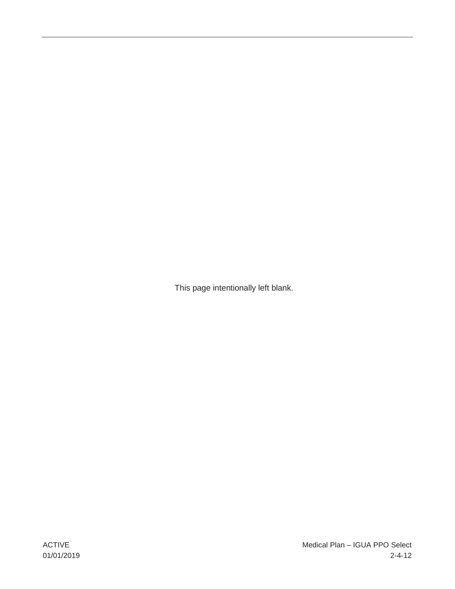This page intentionally left blank.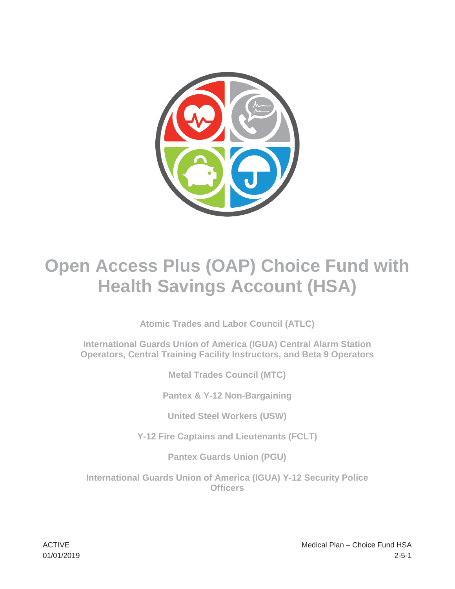

# **Open Access Plus (OAP) Choice Fund with Health Savings Account (HSA)**

**Atomic Trades and Labor Council (ATLC)**

**International Guards Union of America (IGUA) Central Alarm Station Operators, Central Training Facility Instructors, and Beta 9 Operators**

**Metal Trades Council (MTC)**

**Pantex & Y-12 Non-Bargaining**

**United Steel Workers (USW)**

**Y-12 Fire Captains and Lieutenants (FCLT)**

**Pantex Guards Union (PGU)**

**International Guards Union of America (IGUA) Y-12 Security Police Officers**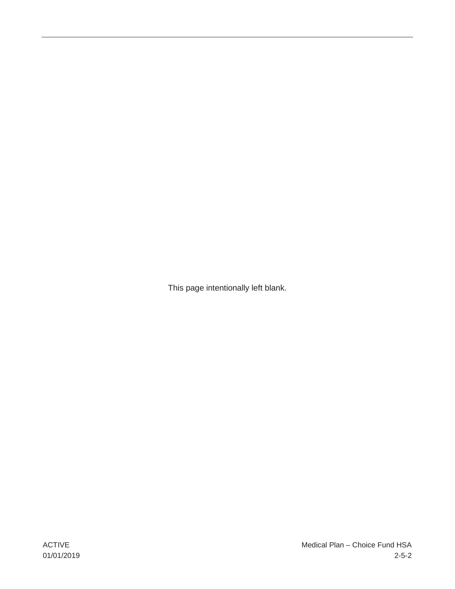This page intentionally left blank.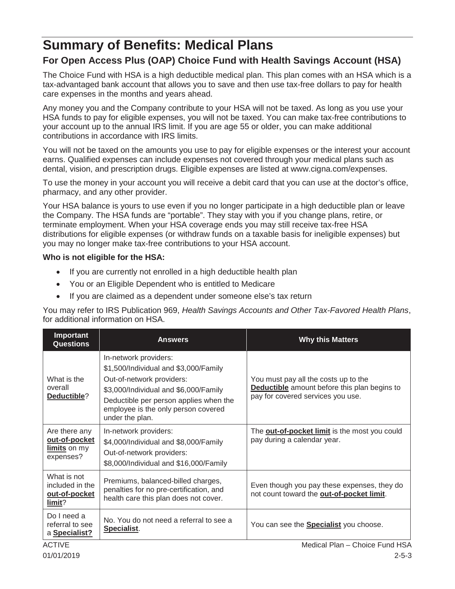#### **For Open Access Plus (OAP) Choice Fund with Health Savings Account (HSA)**

The Choice Fund with HSA is a high deductible medical plan. This plan comes with an HSA which is a tax-advantaged bank account that allows you to save and then use tax-free dollars to pay for health care expenses in the months and years ahead.

Any money you and the Company contribute to your HSA will not be taxed. As long as you use your HSA funds to pay for eligible expenses, you will not be taxed. You can make tax-free contributions to your account up to the annual IRS limit. If you are age 55 or older, you can make additional contributions in accordance with IRS limits.

You will not be taxed on the amounts you use to pay for eligible expenses or the interest your account earns. Qualified expenses can include expenses not covered through your medical plans such as dental, vision, and prescription drugs. Eligible expenses are listed at www.cigna.com/expenses.

To use the money in your account you will receive a debit card that you can use at the doctor's office, pharmacy, and any other provider.

Your HSA balance is yours to use even if you no longer participate in a high deductible plan or leave the Company. The HSA funds are "portable". They stay with you if you change plans, retire, or terminate employment. When your HSA coverage ends you may still receive tax-free HSA distributions for eligible expenses (or withdraw funds on a taxable basis for ineligible expenses) but you may no longer make tax-free contributions to your HSA account.

#### **Who is not eligible for the HSA:**

- If you are currently not enrolled in a high deductible health plan
- You or an Eligible Dependent who is entitled to Medicare
- If you are claimed as a dependent under someone else's tax return

You may refer to IRS Publication 969, *Health Savings Accounts and Other Tax-Favored Health Plans*, for additional information on HSA.

| Important<br><b>Questions</b>                               | <b>Answers</b>                                                                                                                                                                                                                           | <b>Why this Matters</b>                                                                                                   |
|-------------------------------------------------------------|------------------------------------------------------------------------------------------------------------------------------------------------------------------------------------------------------------------------------------------|---------------------------------------------------------------------------------------------------------------------------|
| What is the<br>overall<br>Deductible?                       | In-network providers:<br>\$1,500/Individual and \$3,000/Family<br>Out-of-network providers:<br>\$3,000/Individual and \$6,000/Family<br>Deductible per person applies when the<br>employee is the only person covered<br>under the plan. | You must pay all the costs up to the<br>Deductible amount before this plan begins to<br>pay for covered services you use. |
| Are there any<br>out-of-pocket<br>limits on my<br>expenses? | In-network providers:<br>\$4,000/Individual and \$8,000/Family<br>Out-of-network providers:<br>\$8,000/Individual and \$16,000/Family                                                                                                    | The <b>out-of-pocket limit</b> is the most you could<br>pay during a calendar year.                                       |
| What is not<br>included in the<br>out-of-pocket<br>limit?   | Premiums, balanced-billed charges,<br>penalties for no pre-certification, and<br>health care this plan does not cover.                                                                                                                   | Even though you pay these expenses, they do<br>not count toward the out-of-pocket limit.                                  |
| Do I need a<br>referral to see<br>a Specialist?             | No. You do not need a referral to see a<br><b>Specialist.</b>                                                                                                                                                                            | You can see the <b>Specialist</b> you choose.                                                                             |
| <b>ACTIVE</b>                                               |                                                                                                                                                                                                                                          | Medical Plan - Choice Fund HSA                                                                                            |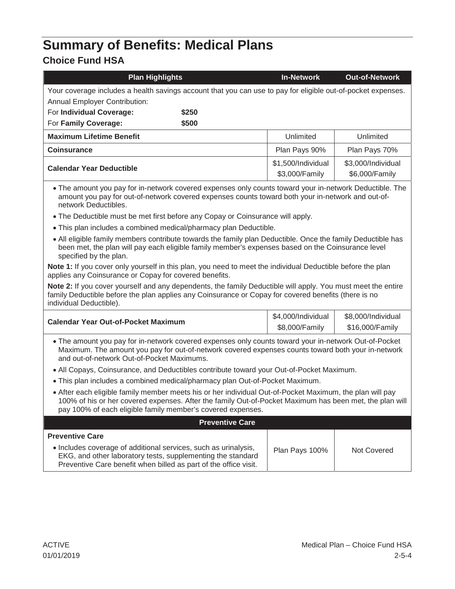| <b>Plan Highlights</b>                                                                                                                                                                                                                                                             | <b>In-Network</b>                    | <b>Out-of-Network</b>                 |
|------------------------------------------------------------------------------------------------------------------------------------------------------------------------------------------------------------------------------------------------------------------------------------|--------------------------------------|---------------------------------------|
| Your coverage includes a health savings account that you can use to pay for eligible out-of-pocket expenses.                                                                                                                                                                       |                                      |                                       |
| Annual Employer Contribution:                                                                                                                                                                                                                                                      |                                      |                                       |
| For Individual Coverage:<br>\$250                                                                                                                                                                                                                                                  |                                      |                                       |
| For Family Coverage:<br>\$500                                                                                                                                                                                                                                                      |                                      |                                       |
| <b>Maximum Lifetime Benefit</b>                                                                                                                                                                                                                                                    | Unlimited                            | Unlimited                             |
| <b>Coinsurance</b>                                                                                                                                                                                                                                                                 | Plan Pays 90%                        | Plan Pays 70%                         |
| <b>Calendar Year Deductible</b>                                                                                                                                                                                                                                                    | \$1,500/Individual<br>\$3,000/Family | \$3,000/Individual<br>\$6,000/Family  |
| . The amount you pay for in-network covered expenses only counts toward your in-network Deductible. The<br>amount you pay for out-of-network covered expenses counts toward both your in-network and out-of-<br>network Deductibles.                                               |                                      |                                       |
| • The Deductible must be met first before any Copay or Coinsurance will apply.                                                                                                                                                                                                     |                                      |                                       |
| . This plan includes a combined medical/pharmacy plan Deductible.                                                                                                                                                                                                                  |                                      |                                       |
| • All eligible family members contribute towards the family plan Deductible. Once the family Deductible has<br>been met, the plan will pay each eligible family member's expenses based on the Coinsurance level<br>specified by the plan.                                         |                                      |                                       |
| Note 1: If you cover only yourself in this plan, you need to meet the individual Deductible before the plan<br>applies any Coinsurance or Copay for covered benefits.                                                                                                              |                                      |                                       |
| Note 2: If you cover yourself and any dependents, the family Deductible will apply. You must meet the entire<br>family Deductible before the plan applies any Coinsurance or Copay for covered benefits (there is no<br>individual Deductible).                                    |                                      |                                       |
| <b>Calendar Year Out-of-Pocket Maximum</b>                                                                                                                                                                                                                                         | \$4,000/Individual<br>\$8,000/Family | \$8,000/Individual<br>\$16,000/Family |
| . The amount you pay for in-network covered expenses only counts toward your in-network Out-of-Pocket<br>Maximum. The amount you pay for out-of-network covered expenses counts toward both your in-network<br>and out-of-network Out-of-Pocket Maximums.                          |                                      |                                       |
| . All Copays, Coinsurance, and Deductibles contribute toward your Out-of-Pocket Maximum.                                                                                                                                                                                           |                                      |                                       |
| . This plan includes a combined medical/pharmacy plan Out-of-Pocket Maximum.                                                                                                                                                                                                       |                                      |                                       |
| • After each eligible family member meets his or her individual Out-of-Pocket Maximum, the plan will pay<br>100% of his or her covered expenses. After the family Out-of-Pocket Maximum has been met, the plan will<br>pay 100% of each eligible family member's covered expenses. |                                      |                                       |
| <b>Preventive Care</b>                                                                                                                                                                                                                                                             |                                      |                                       |
| <b>Preventive Care</b>                                                                                                                                                                                                                                                             |                                      |                                       |
| • Includes coverage of additional services, such as urinalysis,<br>EKG, and other laboratory tests, supplementing the standard<br>Preventive Care benefit when billed as part of the office visit.                                                                                 | Plan Pays 100%                       | Not Covered                           |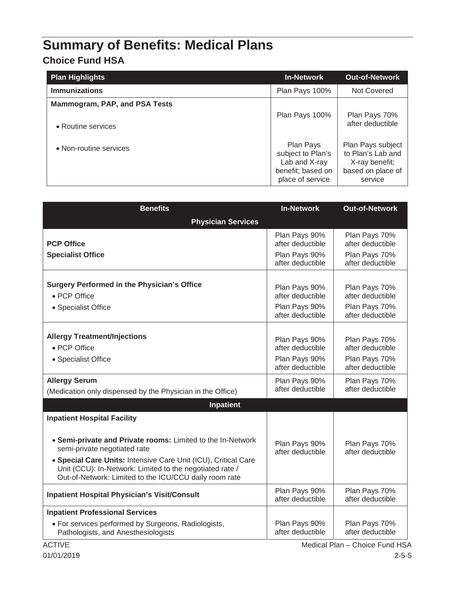| <b>Plan Highlights</b>                              | <b>In-Network</b>                                                                        | <b>Out-of-Network</b>                                                                    |
|-----------------------------------------------------|------------------------------------------------------------------------------------------|------------------------------------------------------------------------------------------|
| <b>Immunizations</b>                                | Plan Pays 100%                                                                           | Not Covered                                                                              |
| Mammogram, PAP, and PSA Tests<br>• Routine services | Plan Pays 100%                                                                           | Plan Pays 70%<br>after deductible                                                        |
| • Non-routine services                              | Plan Pays<br>subject to Plan's<br>Lab and X-ray<br>benefit; based on<br>place of service | Plan Pays subject<br>to Plan's Lab and<br>X-ray benefit;<br>based on place of<br>service |

| <b>Benefits</b>                                                                                                                                                                                                                                                                                                           | <b>In-Network</b>                                                      | <b>Out-of-Network</b>                                                  |
|---------------------------------------------------------------------------------------------------------------------------------------------------------------------------------------------------------------------------------------------------------------------------------------------------------------------------|------------------------------------------------------------------------|------------------------------------------------------------------------|
| <b>Physician Services</b>                                                                                                                                                                                                                                                                                                 |                                                                        |                                                                        |
| <b>PCP Office</b><br><b>Specialist Office</b>                                                                                                                                                                                                                                                                             | Plan Pays 90%<br>after deductible<br>Plan Pays 90%<br>after deductible | Plan Pays 70%<br>after deductible<br>Plan Pays 70%<br>after deductible |
| <b>Surgery Performed in the Physician's Office</b><br>• PCP Office<br>• Specialist Office                                                                                                                                                                                                                                 | Plan Pays 90%<br>after deductible<br>Plan Pays 90%<br>after deductible | Plan Pays 70%<br>after deductible<br>Plan Pays 70%<br>after deductible |
| <b>Allergy Treatment/Injections</b><br>• PCP Office<br>• Specialist Office                                                                                                                                                                                                                                                | Plan Pays 90%<br>after deductible<br>Plan Pays 90%<br>after deductible | Plan Pays 70%<br>after deductible<br>Plan Pays 70%<br>after deductible |
| <b>Allergy Serum</b><br>(Medication only dispensed by the Physician in the Office)                                                                                                                                                                                                                                        | Plan Pays 90%<br>after deductible                                      | Plan Pays 70%<br>after deductible                                      |
| Inpatient                                                                                                                                                                                                                                                                                                                 |                                                                        |                                                                        |
| <b>Inpatient Hospital Facility</b><br>• Semi-private and Private rooms: Limited to the In-Network<br>semi-private negotiated rate<br>· Special Care Units: Intensive Care Unit (ICU), Critical Care<br>Unit (CCU): In-Network: Limited to the negotiated rate /<br>Out-of-Network: Limited to the ICU/CCU daily room rate | Plan Pays 90%<br>after deductible                                      | Plan Pays 70%<br>after deductible                                      |
| <b>Inpatient Hospital Physician's Visit/Consult</b>                                                                                                                                                                                                                                                                       | Plan Pays 90%<br>after deductible                                      | Plan Pays 70%<br>after deductible                                      |
| <b>Inpatient Professional Services</b><br>• For services performed by Surgeons, Radiologists,<br>Pathologists, and Anesthesiologists                                                                                                                                                                                      | Plan Pays 90%<br>after deductible                                      | Plan Pays 70%<br>after deductible                                      |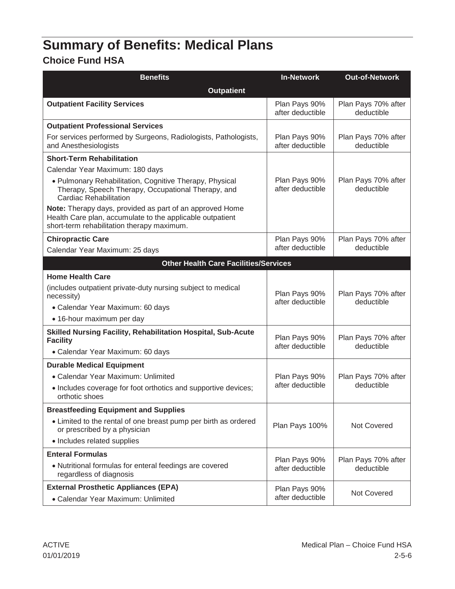| <b>Benefits</b>                                                                                                                                                     | <b>In-Network</b>                 | <b>Out-of-Network</b>             |  |
|---------------------------------------------------------------------------------------------------------------------------------------------------------------------|-----------------------------------|-----------------------------------|--|
| <b>Outpatient</b>                                                                                                                                                   |                                   |                                   |  |
| <b>Outpatient Facility Services</b>                                                                                                                                 | Plan Pays 90%<br>after deductible | Plan Pays 70% after<br>deductible |  |
| <b>Outpatient Professional Services</b>                                                                                                                             |                                   |                                   |  |
| For services performed by Surgeons, Radiologists, Pathologists,<br>and Anesthesiologists                                                                            | Plan Pays 90%<br>after deductible | Plan Pays 70% after<br>deductible |  |
| <b>Short-Term Rehabilitation</b>                                                                                                                                    |                                   |                                   |  |
| Calendar Year Maximum: 180 days                                                                                                                                     |                                   |                                   |  |
| • Pulmonary Rehabilitation, Cognitive Therapy, Physical<br>Therapy, Speech Therapy, Occupational Therapy, and<br><b>Cardiac Rehabilitation</b>                      | Plan Pays 90%<br>after deductible | Plan Pays 70% after<br>deductible |  |
| Note: Therapy days, provided as part of an approved Home<br>Health Care plan, accumulate to the applicable outpatient<br>short-term rehabilitation therapy maximum. |                                   |                                   |  |
| <b>Chiropractic Care</b>                                                                                                                                            | Plan Pays 90%                     | Plan Pays 70% after               |  |
| Calendar Year Maximum: 25 days                                                                                                                                      | after deductible                  | deductible                        |  |
| <b>Other Health Care Facilities/Services</b>                                                                                                                        |                                   |                                   |  |
| <b>Home Health Care</b>                                                                                                                                             |                                   |                                   |  |
| (includes outpatient private-duty nursing subject to medical<br>necessity)                                                                                          | Plan Pays 90%<br>after deductible | Plan Pays 70% after<br>deductible |  |
| • Calendar Year Maximum: 60 days                                                                                                                                    |                                   |                                   |  |
| • 16-hour maximum per day                                                                                                                                           |                                   |                                   |  |
| Skilled Nursing Facility, Rehabilitation Hospital, Sub-Acute<br><b>Facility</b>                                                                                     | Plan Pays 90%<br>after deductible | Plan Pays 70% after<br>deductible |  |
| • Calendar Year Maximum: 60 days                                                                                                                                    |                                   |                                   |  |
| <b>Durable Medical Equipment</b>                                                                                                                                    | Plan Pays 90%                     | Plan Pays 70% after               |  |
| • Calendar Year Maximum: Unlimited                                                                                                                                  |                                   |                                   |  |
| • Includes coverage for foot orthotics and supportive devices;<br>orthotic shoes                                                                                    | after deductible                  | deductible                        |  |
| <b>Breastfeeding Equipment and Supplies</b>                                                                                                                         |                                   |                                   |  |
| • Limited to the rental of one breast pump per birth as ordered<br>or prescribed by a physician                                                                     | Plan Pays 100%                    | Not Covered                       |  |
| • Includes related supplies                                                                                                                                         |                                   |                                   |  |
| <b>Enteral Formulas</b>                                                                                                                                             | Plan Pays 90%                     |                                   |  |
| • Nutritional formulas for enteral feedings are covered<br>regardless of diagnosis                                                                                  | after deductible                  | Plan Pays 70% after<br>deductible |  |
| <b>External Prosthetic Appliances (EPA)</b>                                                                                                                         | Plan Pays 90%                     | Not Covered                       |  |
| • Calendar Year Maximum: Unlimited                                                                                                                                  | after deductible                  |                                   |  |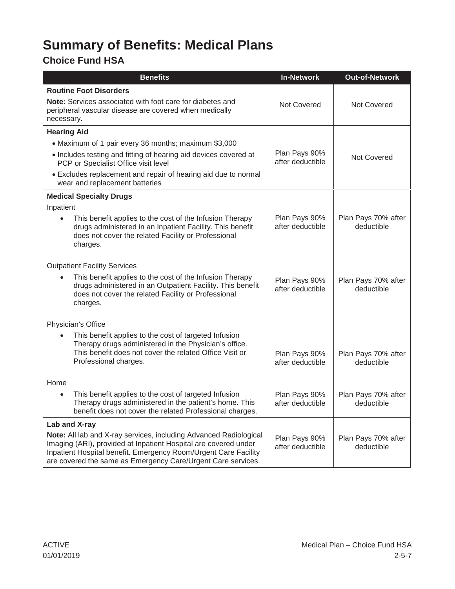| <b>Benefits</b>                                                                                                                                                                                                                                                         | <b>In-Network</b>                 | <b>Out-of-Network</b>             |
|-------------------------------------------------------------------------------------------------------------------------------------------------------------------------------------------------------------------------------------------------------------------------|-----------------------------------|-----------------------------------|
| <b>Routine Foot Disorders</b>                                                                                                                                                                                                                                           |                                   |                                   |
| Note: Services associated with foot care for diabetes and<br>peripheral vascular disease are covered when medically<br>necessary.                                                                                                                                       | <b>Not Covered</b>                | Not Covered                       |
| <b>Hearing Aid</b>                                                                                                                                                                                                                                                      |                                   |                                   |
| • Maximum of 1 pair every 36 months; maximum \$3,000                                                                                                                                                                                                                    |                                   |                                   |
| • Includes testing and fitting of hearing aid devices covered at<br>PCP or Specialist Office visit level                                                                                                                                                                | Plan Pays 90%<br>after deductible | Not Covered                       |
| • Excludes replacement and repair of hearing aid due to normal<br>wear and replacement batteries                                                                                                                                                                        |                                   |                                   |
| <b>Medical Specialty Drugs</b>                                                                                                                                                                                                                                          |                                   |                                   |
| Inpatient                                                                                                                                                                                                                                                               |                                   |                                   |
| This benefit applies to the cost of the Infusion Therapy<br>drugs administered in an Inpatient Facility. This benefit<br>does not cover the related Facility or Professional<br>charges.                                                                                | Plan Pays 90%<br>after deductible | Plan Pays 70% after<br>deductible |
| <b>Outpatient Facility Services</b>                                                                                                                                                                                                                                     |                                   |                                   |
| This benefit applies to the cost of the Infusion Therapy<br>$\bullet$<br>drugs administered in an Outpatient Facility. This benefit<br>does not cover the related Facility or Professional<br>charges.                                                                  | Plan Pays 90%<br>after deductible | Plan Pays 70% after<br>deductible |
| Physician's Office                                                                                                                                                                                                                                                      |                                   |                                   |
| This benefit applies to the cost of targeted Infusion<br>$\bullet$<br>Therapy drugs administered in the Physician's office.<br>This benefit does not cover the related Office Visit or<br>Professional charges.                                                         | Plan Pays 90%<br>after deductible | Plan Pays 70% after<br>deductible |
| Home                                                                                                                                                                                                                                                                    |                                   |                                   |
| This benefit applies to the cost of targeted Infusion<br>$\bullet$<br>Therapy drugs administered in the patient's home. This<br>benefit does not cover the related Professional charges.                                                                                | Plan Pays 90%<br>after deductible | Plan Pays 70% after<br>deductible |
| Lab and X-ray                                                                                                                                                                                                                                                           |                                   |                                   |
| Note: All lab and X-ray services, including Advanced Radiological<br>Imaging (ARI), provided at Inpatient Hospital are covered under<br>Inpatient Hospital benefit. Emergency Room/Urgent Care Facility<br>are covered the same as Emergency Care/Urgent Care services. | Plan Pays 90%<br>after deductible | Plan Pays 70% after<br>deductible |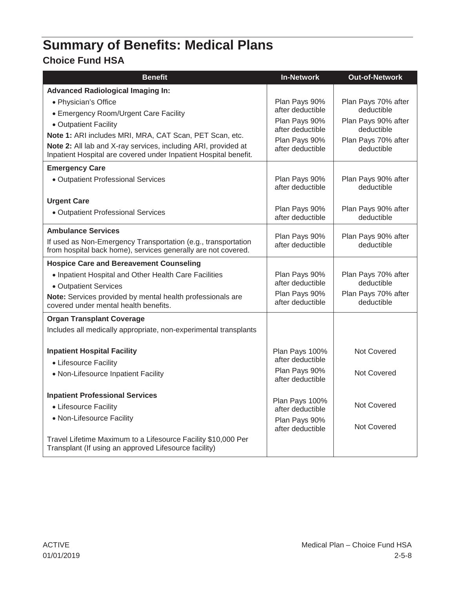| <b>Benefit</b>                                                                                                                     | <b>In-Network</b>                  | <b>Out-of-Network</b>             |
|------------------------------------------------------------------------------------------------------------------------------------|------------------------------------|-----------------------------------|
| <b>Advanced Radiological Imaging In:</b>                                                                                           |                                    |                                   |
| • Physician's Office                                                                                                               | Plan Pays 90%                      | Plan Pays 70% after               |
| • Emergency Room/Urgent Care Facility                                                                                              | after deductible                   | deductible                        |
| • Outpatient Facility                                                                                                              | Plan Pays 90%<br>after deductible  | Plan Pays 90% after<br>deductible |
| Note 1: ARI includes MRI, MRA, CAT Scan, PET Scan, etc.                                                                            | Plan Pays 90%                      | Plan Pays 70% after               |
| Note 2: All lab and X-ray services, including ARI, provided at<br>Inpatient Hospital are covered under Inpatient Hospital benefit. | after deductible                   | deductible                        |
| <b>Emergency Care</b>                                                                                                              |                                    |                                   |
| • Outpatient Professional Services                                                                                                 | Plan Pays 90%<br>after deductible  | Plan Pays 90% after<br>deductible |
| <b>Urgent Care</b>                                                                                                                 |                                    |                                   |
| • Outpatient Professional Services                                                                                                 | Plan Pays 90%<br>after deductible  | Plan Pays 90% after<br>deductible |
| <b>Ambulance Services</b>                                                                                                          | Plan Pays 90%                      | Plan Pays 90% after               |
| If used as Non-Emergency Transportation (e.g., transportation<br>from hospital back home), services generally are not covered.     | after deductible                   | deductible                        |
| <b>Hospice Care and Bereavement Counseling</b>                                                                                     |                                    |                                   |
| • Inpatient Hospital and Other Health Care Facilities                                                                              | Plan Pays 90%                      | Plan Pays 70% after               |
| • Outpatient Services                                                                                                              | after deductible                   | deductible                        |
| Note: Services provided by mental health professionals are<br>covered under mental health benefits.                                | Plan Pays 90%<br>after deductible  | Plan Pays 70% after<br>deductible |
| <b>Organ Transplant Coverage</b>                                                                                                   |                                    |                                   |
| Includes all medically appropriate, non-experimental transplants                                                                   |                                    |                                   |
| <b>Inpatient Hospital Facility</b>                                                                                                 | Plan Pays 100%                     | <b>Not Covered</b>                |
| • Lifesource Facility                                                                                                              | after deductible<br>Plan Pays 90%  |                                   |
| • Non-Lifesource Inpatient Facility                                                                                                | after deductible                   | Not Covered                       |
| <b>Inpatient Professional Services</b>                                                                                             |                                    |                                   |
| • Lifesource Facility                                                                                                              | Plan Pays 100%<br>after deductible | <b>Not Covered</b>                |
| • Non-Lifesource Facility                                                                                                          | Plan Pays 90%<br>after deductible  | <b>Not Covered</b>                |
| Travel Lifetime Maximum to a Lifesource Facility \$10,000 Per<br>Transplant (If using an approved Lifesource facility)             |                                    |                                   |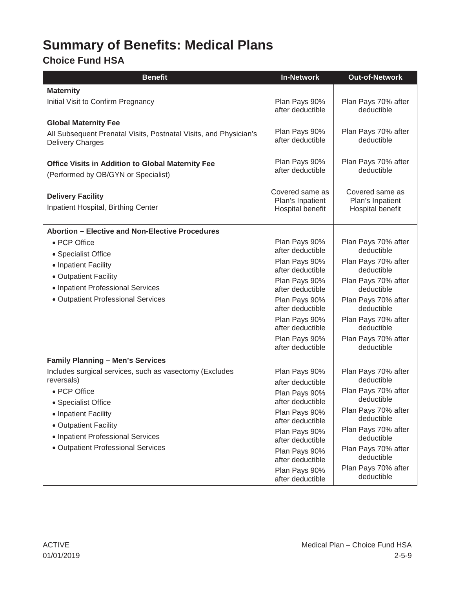| <b>Benefit</b>                                                                                  | <b>In-Network</b>                                       | <b>Out-of-Network</b>                                   |
|-------------------------------------------------------------------------------------------------|---------------------------------------------------------|---------------------------------------------------------|
| <b>Maternity</b>                                                                                |                                                         |                                                         |
| Initial Visit to Confirm Pregnancy                                                              | Plan Pays 90%<br>after deductible                       | Plan Pays 70% after<br>deductible                       |
| <b>Global Maternity Fee</b>                                                                     |                                                         |                                                         |
| All Subsequent Prenatal Visits, Postnatal Visits, and Physician's<br><b>Delivery Charges</b>    | Plan Pays 90%<br>after deductible                       | Plan Pays 70% after<br>deductible                       |
| <b>Office Visits in Addition to Global Maternity Fee</b><br>(Performed by OB/GYN or Specialist) | Plan Pays 90%<br>after deductible                       | Plan Pays 70% after<br>deductible                       |
| <b>Delivery Facility</b><br>Inpatient Hospital, Birthing Center                                 | Covered same as<br>Plan's Inpatient<br>Hospital benefit | Covered same as<br>Plan's Inpatient<br>Hospital benefit |
| <b>Abortion - Elective and Non-Elective Procedures</b>                                          |                                                         |                                                         |
| • PCP Office<br>• Specialist Office                                                             | Plan Pays 90%<br>after deductible                       | Plan Pays 70% after<br>deductible                       |
| • Inpatient Facility                                                                            | Plan Pays 90%<br>after deductible                       | Plan Pays 70% after<br>deductible                       |
| • Outpatient Facility<br>• Inpatient Professional Services                                      | Plan Pays 90%<br>after deductible                       | Plan Pays 70% after<br>deductible                       |
| • Outpatient Professional Services                                                              | Plan Pays 90%<br>after deductible                       | Plan Pays 70% after<br>deductible                       |
|                                                                                                 | Plan Pays 90%<br>after deductible                       | Plan Pays 70% after<br>deductible                       |
|                                                                                                 | Plan Pays 90%<br>after deductible                       | Plan Pays 70% after<br>deductible                       |
| <b>Family Planning - Men's Services</b>                                                         |                                                         |                                                         |
| Includes surgical services, such as vasectomy (Excludes                                         | Plan Pays 90%                                           | Plan Pays 70% after                                     |
| reversals)                                                                                      | after deductible                                        | deductible                                              |
| • PCP Office<br>• Specialist Office                                                             | Plan Pays 90%<br>after deductible                       | Plan Pays 70% after<br>deductible                       |
| • Inpatient Facility                                                                            | Plan Pays 90%<br>after deductible                       | Plan Pays 70% after<br>deductible                       |
| • Outpatient Facility<br>• Inpatient Professional Services                                      | Plan Pays 90%<br>after deductible                       | Plan Pays 70% after<br>deductible                       |
| • Outpatient Professional Services                                                              | Plan Pays 90%<br>after deductible                       | Plan Pays 70% after<br>deductible                       |
|                                                                                                 | Plan Pays 90%<br>after deductible                       | Plan Pays 70% after<br>deductible                       |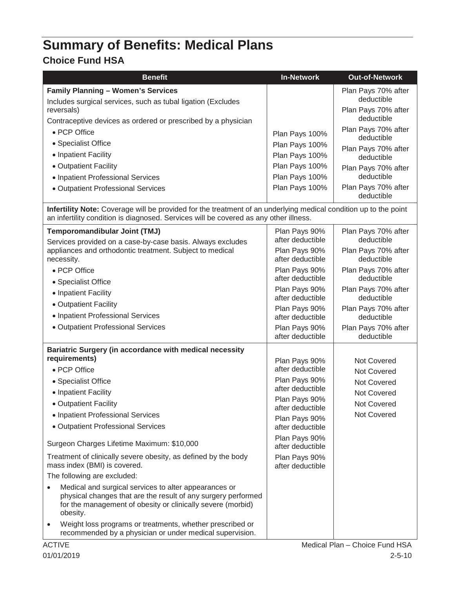| <b>Benefit</b>                                                                                                                                                                                            | <b>In-Network</b>                 | <b>Out-of-Network</b>             |
|-----------------------------------------------------------------------------------------------------------------------------------------------------------------------------------------------------------|-----------------------------------|-----------------------------------|
| <b>Family Planning - Women's Services</b>                                                                                                                                                                 |                                   | Plan Pays 70% after               |
| Includes surgical services, such as tubal ligation (Excludes                                                                                                                                              |                                   | deductible                        |
| reversals)                                                                                                                                                                                                |                                   | Plan Pays 70% after<br>deductible |
| Contraceptive devices as ordered or prescribed by a physician<br>• PCP Office                                                                                                                             |                                   | Plan Pays 70% after               |
| • Specialist Office                                                                                                                                                                                       | Plan Pays 100%                    | deductible                        |
| • Inpatient Facility                                                                                                                                                                                      | Plan Pays 100%<br>Plan Pays 100%  | Plan Pays 70% after               |
| • Outpatient Facility                                                                                                                                                                                     | Plan Pays 100%                    | deductible<br>Plan Pays 70% after |
| • Inpatient Professional Services                                                                                                                                                                         | Plan Pays 100%                    | deductible                        |
| • Outpatient Professional Services                                                                                                                                                                        | Plan Pays 100%                    | Plan Pays 70% after<br>deductible |
| Infertility Note: Coverage will be provided for the treatment of an underlying medical condition up to the point<br>an infertility condition is diagnosed. Services will be covered as any other illness. |                                   |                                   |
| Temporomandibular Joint (TMJ)                                                                                                                                                                             | Plan Pays 90%                     | Plan Pays 70% after               |
| Services provided on a case-by-case basis. Always excludes                                                                                                                                                | after deductible                  | deductible                        |
| appliances and orthodontic treatment. Subject to medical<br>necessity.                                                                                                                                    | Plan Pays 90%<br>after deductible | Plan Pays 70% after<br>deductible |
| • PCP Office                                                                                                                                                                                              | Plan Pays 90%                     | Plan Pays 70% after               |
| • Specialist Office                                                                                                                                                                                       | after deductible<br>Plan Pays 90% | deductible<br>Plan Pays 70% after |
| • Inpatient Facility                                                                                                                                                                                      | after deductible                  | deductible                        |
| • Outpatient Facility                                                                                                                                                                                     | Plan Pays 90%                     | Plan Pays 70% after               |
| • Inpatient Professional Services                                                                                                                                                                         | after deductible                  | deductible                        |
| • Outpatient Professional Services                                                                                                                                                                        | Plan Pays 90%<br>after deductible | Plan Pays 70% after<br>deductible |
| Bariatric Surgery (in accordance with medical necessity                                                                                                                                                   |                                   |                                   |
| requirements)                                                                                                                                                                                             | Plan Pays 90%                     | <b>Not Covered</b>                |
| • PCP Office                                                                                                                                                                                              | after deductible<br>Plan Pays 90% | <b>Not Covered</b>                |
| • Specialist Office                                                                                                                                                                                       | after deductible                  | Not Covered                       |
| • Inpatient Facility<br>• Outpatient Facility                                                                                                                                                             | Plan Pays 90%                     | Not Covered<br>Not Covered        |
| • Inpatient Professional Services                                                                                                                                                                         | after deductible                  | <b>Not Covered</b>                |
| • Outpatient Professional Services                                                                                                                                                                        | Plan Pays 90%<br>after deductible |                                   |
|                                                                                                                                                                                                           | Plan Pays 90%                     |                                   |
| Surgeon Charges Lifetime Maximum: \$10,000                                                                                                                                                                | after deductible                  |                                   |
| Treatment of clinically severe obesity, as defined by the body<br>mass index (BMI) is covered.                                                                                                            | Plan Pays 90%<br>after deductible |                                   |
| The following are excluded:                                                                                                                                                                               |                                   |                                   |
| Medical and surgical services to alter appearances or<br>physical changes that are the result of any surgery performed<br>for the management of obesity or clinically severe (morbid)<br>obesity.         |                                   |                                   |
| Weight loss programs or treatments, whether prescribed or<br>$\bullet$<br>recommended by a physician or under medical supervision.                                                                        |                                   |                                   |
| <b>ACTIVE</b>                                                                                                                                                                                             |                                   | Medical Plan - Choice Fund HSA    |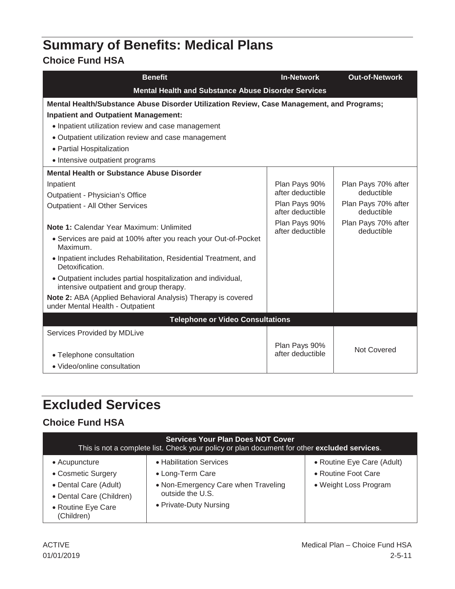#### **Choice Fund HSA**

| <b>Benefit</b>                                                                                           | <b>In-Network</b>                 | <b>Out-of-Network</b>             |  |
|----------------------------------------------------------------------------------------------------------|-----------------------------------|-----------------------------------|--|
| <b>Mental Health and Substance Abuse Disorder Services</b>                                               |                                   |                                   |  |
| Mental Health/Substance Abuse Disorder Utilization Review, Case Management, and Programs;                |                                   |                                   |  |
| <b>Inpatient and Outpatient Management:</b>                                                              |                                   |                                   |  |
| • Inpatient utilization review and case management                                                       |                                   |                                   |  |
| • Outpatient utilization review and case management                                                      |                                   |                                   |  |
| • Partial Hospitalization                                                                                |                                   |                                   |  |
| • Intensive outpatient programs                                                                          |                                   |                                   |  |
| <b>Mental Health or Substance Abuse Disorder</b>                                                         |                                   |                                   |  |
| Inpatient                                                                                                | Plan Pays 90%                     | Plan Pays 70% after               |  |
| Outpatient - Physician's Office                                                                          | after deductible                  | deductible                        |  |
| Outpatient - All Other Services                                                                          | Plan Pays 90%<br>after deductible | Plan Pays 70% after<br>deductible |  |
| Note 1: Calendar Year Maximum: Unlimited                                                                 | Plan Pays 90%<br>after deductible | Plan Pays 70% after<br>deductible |  |
| • Services are paid at 100% after you reach your Out-of-Pocket<br>Maximum.                               |                                   |                                   |  |
| • Inpatient includes Rehabilitation, Residential Treatment, and<br>Detoxification.                       |                                   |                                   |  |
| • Outpatient includes partial hospitalization and individual,<br>intensive outpatient and group therapy. |                                   |                                   |  |
| Note 2: ABA (Applied Behavioral Analysis) Therapy is covered<br>under Mental Health - Outpatient         |                                   |                                   |  |
| <b>Telephone or Video Consultations</b>                                                                  |                                   |                                   |  |
| Services Provided by MDLive                                                                              |                                   |                                   |  |
|                                                                                                          | Plan Pays 90%                     | Not Covered                       |  |
| • Telephone consultation                                                                                 | after deductible                  |                                   |  |
| · Video/online consultation                                                                              |                                   |                                   |  |

### **Excluded Services**

| <b>Services Your Plan Does NOT Cover</b><br>This is not a complete list. Check your policy or plan document for other excluded services. |                                                                                   |                                                   |  |
|------------------------------------------------------------------------------------------------------------------------------------------|-----------------------------------------------------------------------------------|---------------------------------------------------|--|
| • Acupuncture<br>• Cosmetic Surgery                                                                                                      | • Habilitation Services<br>• Long-Term Care                                       | • Routine Eye Care (Adult)<br>• Routine Foot Care |  |
| • Dental Care (Adult)<br>• Dental Care (Children)<br>• Routine Eye Care                                                                  | • Non-Emergency Care when Traveling<br>outside the U.S.<br>• Private-Duty Nursing | • Weight Loss Program                             |  |
| (Children)                                                                                                                               |                                                                                   |                                                   |  |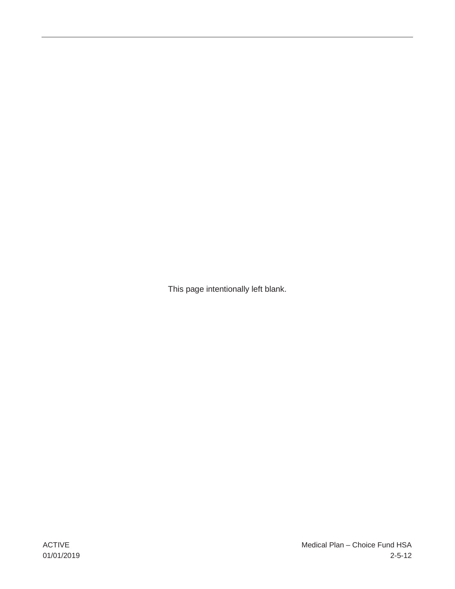This page intentionally left blank.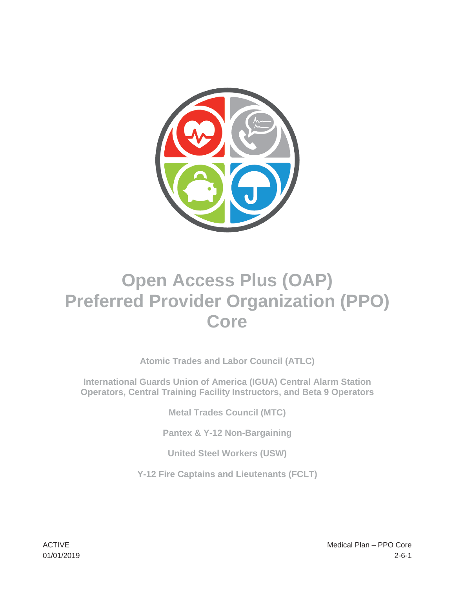

# **Open Access Plus (OAP) Preferred Provider Organization (PPO) Core**

**Atomic Trades and Labor Council (ATLC)**

**International Guards Union of America (IGUA) Central Alarm Station Operators, Central Training Facility Instructors, and Beta 9 Operators**

**Metal Trades Council (MTC)**

**Pantex & Y-12 Non-Bargaining**

**United Steel Workers (USW)**

**Y-12 Fire Captains and Lieutenants (FCLT)**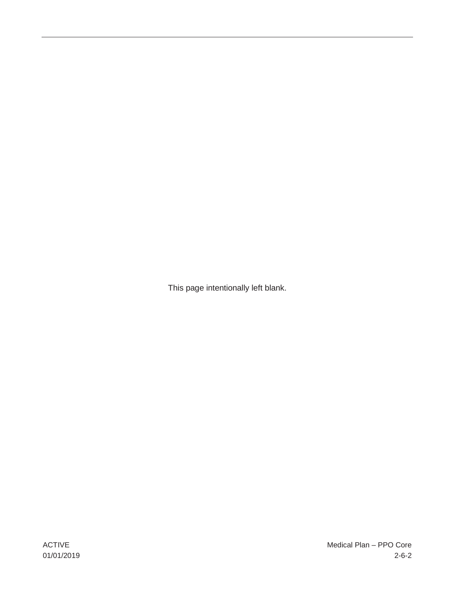This page intentionally left blank.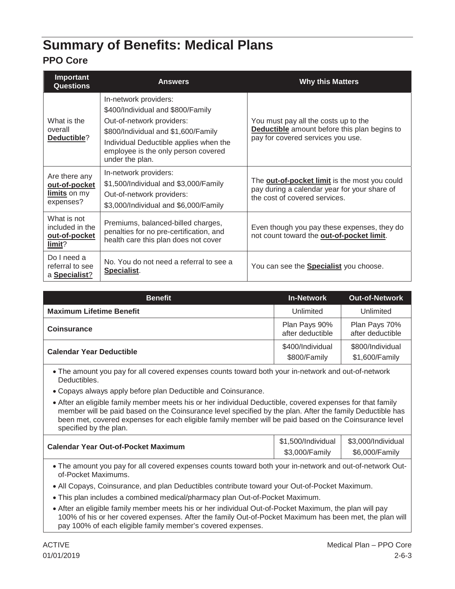#### **PPO Core**

| <b>Important</b><br><b>Questions</b>                        | <b>Answers</b>                                                                                                                                                                                                                     | <b>Why this Matters</b>                                                                                                               |
|-------------------------------------------------------------|------------------------------------------------------------------------------------------------------------------------------------------------------------------------------------------------------------------------------------|---------------------------------------------------------------------------------------------------------------------------------------|
| What is the<br>overall<br>Deductible?                       | In-network providers:<br>\$400/Individual and \$800/Family<br>Out-of-network providers:<br>\$800/Individual and \$1,600/Family<br>Individual Deductible applies when the<br>employee is the only person covered<br>under the plan. | You must pay all the costs up to the<br><b>Deductible</b> amount before this plan begins to<br>pay for covered services you use.      |
| Are there any<br>out-of-pocket<br>limits on my<br>expenses? | In-network providers:<br>\$1,500/Individual and \$3,000/Family<br>Out-of-network providers:<br>\$3,000/Individual and \$6,000/Family                                                                                               | The <b>out-of-pocket limit</b> is the most you could<br>pay during a calendar year for your share of<br>the cost of covered services. |
| What is not<br>included in the<br>out-of-pocket<br>limit?   | Premiums, balanced-billed charges,<br>penalties for no pre-certification, and<br>health care this plan does not cover                                                                                                              | Even though you pay these expenses, they do<br>not count toward the out-of-pocket limit.                                              |
| Do I need a<br>referral to see<br>a Specialist?             | No. You do not need a referral to see a<br>Specialist.                                                                                                                                                                             | You can see the <b>Specialist</b> you choose.                                                                                         |

| <b>Benefit</b>                  | <b>In-Network</b>                 | <b>Out-of-Network</b>              |
|---------------------------------|-----------------------------------|------------------------------------|
| <b>Maximum Lifetime Benefit</b> | Unlimited                         | Unlimited                          |
| <b>Coinsurance</b>              | Plan Pays 90%<br>after deductible | Plan Pays 70%<br>after deductible  |
| <b>Calendar Year Deductible</b> | \$400/Individual<br>\$800/Family  | \$800/Individual<br>\$1,600/Family |

• The amount you pay for all covered expenses counts toward both your in-network and out-of-network Deductibles.

• Copays always apply before plan Deductible and Coinsurance.

• After an eligible family member meets his or her individual Deductible, covered expenses for that family member will be paid based on the Coinsurance level specified by the plan. After the family Deductible has been met, covered expenses for each eligible family member will be paid based on the Coinsurance level specified by the plan.

| Calendar Year Out-of-Pocket Maximum | \$1,500/Individual | \$3,000/Individual |
|-------------------------------------|--------------------|--------------------|
|                                     | \$3,000/Family     | \$6,000/Family     |

• The amount you pay for all covered expenses counts toward both your in-network and out-of-network Outof-Pocket Maximums.

• All Copays, Coinsurance, and plan Deductibles contribute toward your Out-of-Pocket Maximum.

• This plan includes a combined medical/pharmacy plan Out-of-Pocket Maximum.

• After an eligible family member meets his or her individual Out-of-Pocket Maximum, the plan will pay 100% of his or her covered expenses. After the family Out-of-Pocket Maximum has been met, the plan will pay 100% of each eligible family member's covered expenses.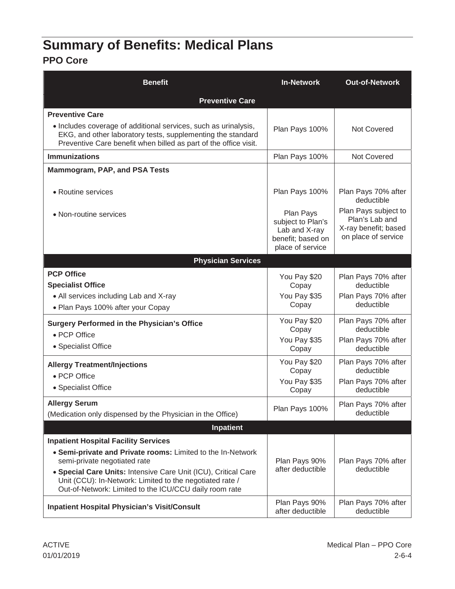| <b>Benefit</b>                                                                                                                                                                                                                                                                                                                     | <b>In-Network</b>                                                                        | <b>Out-of-Network</b>                                                                 |
|------------------------------------------------------------------------------------------------------------------------------------------------------------------------------------------------------------------------------------------------------------------------------------------------------------------------------------|------------------------------------------------------------------------------------------|---------------------------------------------------------------------------------------|
| <b>Preventive Care</b>                                                                                                                                                                                                                                                                                                             |                                                                                          |                                                                                       |
| <b>Preventive Care</b><br>• Includes coverage of additional services, such as urinalysis,<br>EKG, and other laboratory tests, supplementing the standard<br>Preventive Care benefit when billed as part of the office visit.                                                                                                       | Plan Pays 100%                                                                           | <b>Not Covered</b>                                                                    |
| <b>Immunizations</b>                                                                                                                                                                                                                                                                                                               | Plan Pays 100%                                                                           | Not Covered                                                                           |
| <b>Mammogram, PAP, and PSA Tests</b>                                                                                                                                                                                                                                                                                               |                                                                                          |                                                                                       |
| • Routine services                                                                                                                                                                                                                                                                                                                 | Plan Pays 100%                                                                           | Plan Pays 70% after<br>deductible                                                     |
| • Non-routine services                                                                                                                                                                                                                                                                                                             | Plan Pays<br>subject to Plan's<br>Lab and X-ray<br>benefit; based on<br>place of service | Plan Pays subject to<br>Plan's Lab and<br>X-ray benefit; based<br>on place of service |
| <b>Physician Services</b>                                                                                                                                                                                                                                                                                                          |                                                                                          |                                                                                       |
| <b>PCP Office</b><br><b>Specialist Office</b><br>• All services including Lab and X-ray<br>• Plan Pays 100% after your Copay                                                                                                                                                                                                       | You Pay \$20<br>Copay<br>You Pay \$35<br>Copay                                           | Plan Pays 70% after<br>deductible<br>Plan Pays 70% after<br>deductible                |
| <b>Surgery Performed in the Physician's Office</b><br>• PCP Office<br>• Specialist Office                                                                                                                                                                                                                                          | You Pay \$20<br>Copay<br>You Pay \$35<br>Copay                                           | Plan Pays 70% after<br>deductible<br>Plan Pays 70% after<br>deductible                |
| <b>Allergy Treatment/Injections</b><br>• PCP Office<br>• Specialist Office                                                                                                                                                                                                                                                         | You Pay \$20<br>Copay<br>You Pay \$35<br>Copay                                           | Plan Pays 70% after<br>deductible<br>Plan Pays 70% after<br>deductible                |
| <b>Allergy Serum</b><br>(Medication only dispensed by the Physician in the Office)                                                                                                                                                                                                                                                 | Plan Pays 100%                                                                           | Plan Pays 70% after<br>deductible                                                     |
| Inpatient                                                                                                                                                                                                                                                                                                                          |                                                                                          |                                                                                       |
| <b>Inpatient Hospital Facility Services</b><br>• Semi-private and Private rooms: Limited to the In-Network<br>semi-private negotiated rate<br>· Special Care Units: Intensive Care Unit (ICU), Critical Care<br>Unit (CCU): In-Network: Limited to the negotiated rate /<br>Out-of-Network: Limited to the ICU/CCU daily room rate | Plan Pays 90%<br>after deductible                                                        | Plan Pays 70% after<br>deductible                                                     |
| <b>Inpatient Hospital Physician's Visit/Consult</b>                                                                                                                                                                                                                                                                                | Plan Pays 90%<br>after deductible                                                        | Plan Pays 70% after<br>deductible                                                     |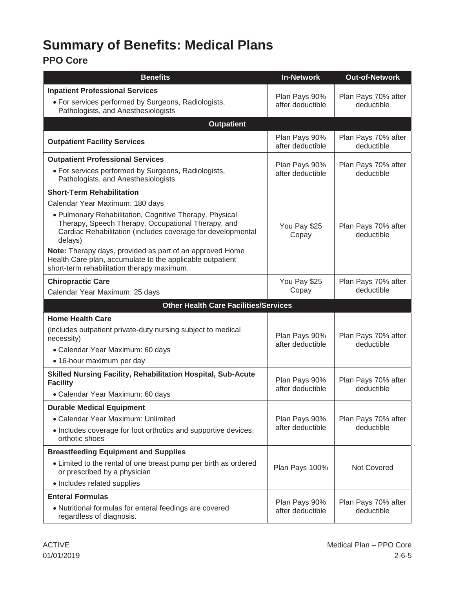| <b>Benefits</b>                                                                                                                                                                         | <b>In-Network</b>                 | Out-of-Network                    |  |
|-----------------------------------------------------------------------------------------------------------------------------------------------------------------------------------------|-----------------------------------|-----------------------------------|--|
| <b>Inpatient Professional Services</b><br>• For services performed by Surgeons, Radiologists,<br>Pathologists, and Anesthesiologists                                                    | Plan Pays 90%<br>after deductible | Plan Pays 70% after<br>deductible |  |
| <b>Outpatient</b>                                                                                                                                                                       |                                   |                                   |  |
| <b>Outpatient Facility Services</b>                                                                                                                                                     | Plan Pays 90%<br>after deductible | Plan Pays 70% after<br>deductible |  |
| <b>Outpatient Professional Services</b><br>• For services performed by Surgeons, Radiologists,<br>Pathologists, and Anesthesiologists                                                   | Plan Pays 90%<br>after deductible | Plan Pays 70% after<br>deductible |  |
| <b>Short-Term Rehabilitation</b>                                                                                                                                                        |                                   |                                   |  |
| Calendar Year Maximum: 180 days                                                                                                                                                         |                                   |                                   |  |
| • Pulmonary Rehabilitation, Cognitive Therapy, Physical<br>Therapy, Speech Therapy, Occupational Therapy, and<br>Cardiac Rehabilitation (includes coverage for developmental<br>delays) | You Pay \$25<br>Copay             | Plan Pays 70% after<br>deductible |  |
| Note: Therapy days, provided as part of an approved Home<br>Health Care plan, accumulate to the applicable outpatient<br>short-term rehabilitation therapy maximum.                     |                                   |                                   |  |
| <b>Chiropractic Care</b>                                                                                                                                                                | You Pay \$25                      | Plan Pays 70% after               |  |
| Calendar Year Maximum: 25 days                                                                                                                                                          | Copay                             | deductible                        |  |
| <b>Other Health Care Facilities/Services</b>                                                                                                                                            |                                   |                                   |  |
| <b>Home Health Care</b>                                                                                                                                                                 |                                   |                                   |  |
| (includes outpatient private-duty nursing subject to medical<br>necessity)                                                                                                              | Plan Pays 90%<br>after deductible | Plan Pays 70% after<br>deductible |  |
| · Calendar Year Maximum: 60 days                                                                                                                                                        |                                   |                                   |  |
| • 16-hour maximum per day                                                                                                                                                               |                                   |                                   |  |
| <b>Skilled Nursing Facility, Rehabilitation Hospital, Sub-Acute</b><br><b>Facility</b>                                                                                                  | Plan Pays 90%<br>after deductible | Plan Pays 70% after<br>deductible |  |
| • Calendar Year Maximum: 60 days                                                                                                                                                        |                                   |                                   |  |
| <b>Durable Medical Equipment</b>                                                                                                                                                        |                                   |                                   |  |
| • Calendar Year Maximum: Unlimited                                                                                                                                                      | Plan Pays 90%                     | Plan Pays 70% after               |  |
| • Includes coverage for foot orthotics and supportive devices;<br>orthotic shoes                                                                                                        | after deductible                  | deductible                        |  |
| <b>Breastfeeding Equipment and Supplies</b>                                                                                                                                             |                                   |                                   |  |
| • Limited to the rental of one breast pump per birth as ordered<br>or prescribed by a physician                                                                                         | Plan Pays 100%                    | <b>Not Covered</b>                |  |
| · Includes related supplies                                                                                                                                                             |                                   |                                   |  |
| <b>Enteral Formulas</b>                                                                                                                                                                 | Plan Pays 90%                     | Plan Pays 70% after               |  |
| · Nutritional formulas for enteral feedings are covered<br>regardless of diagnosis.                                                                                                     | after deductible                  | deductible                        |  |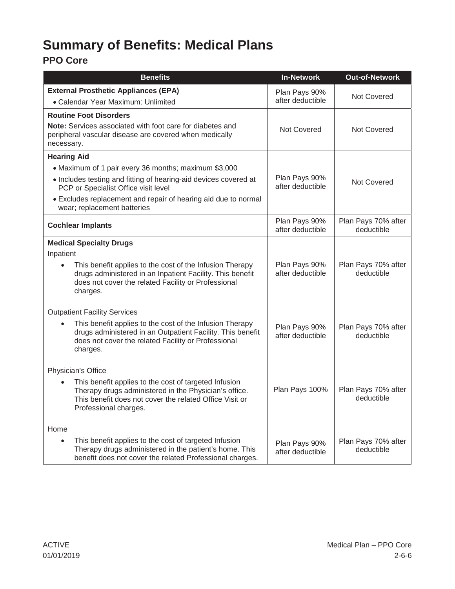| <b>Benefits</b>                                                                                                                                                                                    | <b>In-Network</b>                 | <b>Out-of-Network</b>             |
|----------------------------------------------------------------------------------------------------------------------------------------------------------------------------------------------------|-----------------------------------|-----------------------------------|
| <b>External Prosthetic Appliances (EPA)</b>                                                                                                                                                        | Plan Pays 90%                     | Not Covered                       |
| • Calendar Year Maximum: Unlimited                                                                                                                                                                 | after deductible                  |                                   |
| <b>Routine Foot Disorders</b>                                                                                                                                                                      |                                   |                                   |
| Note: Services associated with foot care for diabetes and<br>peripheral vascular disease are covered when medically<br>necessary.                                                                  | Not Covered                       | <b>Not Covered</b>                |
| <b>Hearing Aid</b>                                                                                                                                                                                 |                                   |                                   |
| • Maximum of 1 pair every 36 months; maximum \$3,000                                                                                                                                               |                                   |                                   |
| • Includes testing and fitting of hearing-aid devices covered at<br>PCP or Specialist Office visit level                                                                                           | Plan Pays 90%<br>after deductible | Not Covered                       |
| • Excludes replacement and repair of hearing aid due to normal<br>wear; replacement batteries                                                                                                      |                                   |                                   |
| <b>Cochlear Implants</b>                                                                                                                                                                           | Plan Pays 90%<br>after deductible | Plan Pays 70% after<br>deductible |
| <b>Medical Specialty Drugs</b>                                                                                                                                                                     |                                   |                                   |
| Inpatient                                                                                                                                                                                          |                                   |                                   |
| This benefit applies to the cost of the Infusion Therapy<br>drugs administered in an Inpatient Facility. This benefit<br>does not cover the related Facility or Professional<br>charges.           | Plan Pays 90%<br>after deductible | Plan Pays 70% after<br>deductible |
| <b>Outpatient Facility Services</b>                                                                                                                                                                |                                   |                                   |
| This benefit applies to the cost of the Infusion Therapy<br>drugs administered in an Outpatient Facility. This benefit<br>does not cover the related Facility or Professional<br>charges.          | Plan Pays 90%<br>after deductible | Plan Pays 70% after<br>deductible |
| Physician's Office                                                                                                                                                                                 |                                   |                                   |
| This benefit applies to the cost of targeted Infusion<br>Therapy drugs administered in the Physician's office.<br>This benefit does not cover the related Office Visit or<br>Professional charges. | Plan Pays 100%                    | Plan Pays 70% after<br>deductible |
| Home                                                                                                                                                                                               |                                   |                                   |
| This benefit applies to the cost of targeted Infusion<br>$\bullet$<br>Therapy drugs administered in the patient's home. This<br>benefit does not cover the related Professional charges.           | Plan Pays 90%<br>after deductible | Plan Pays 70% after<br>deductible |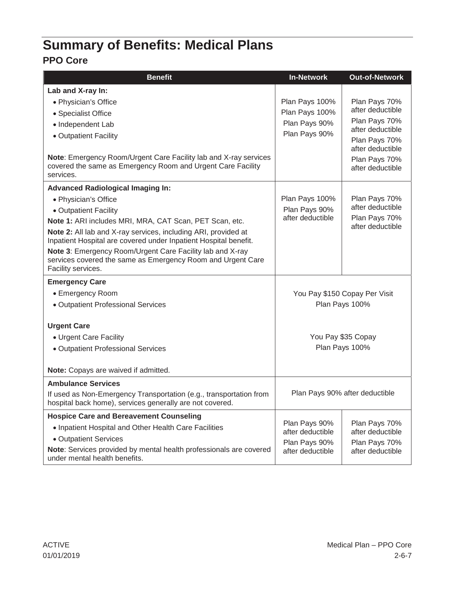| <b>Benefit</b>                                                                                                                                                                                                                                                                                                                                                                                                                               | <b>In-Network</b>                                                                       | <b>Out-of-Network</b>                                                                                                                            |
|----------------------------------------------------------------------------------------------------------------------------------------------------------------------------------------------------------------------------------------------------------------------------------------------------------------------------------------------------------------------------------------------------------------------------------------------|-----------------------------------------------------------------------------------------|--------------------------------------------------------------------------------------------------------------------------------------------------|
| Lab and X-ray In:<br>• Physician's Office<br>• Specialist Office<br>• Independent Lab<br>• Outpatient Facility<br>Note: Emergency Room/Urgent Care Facility lab and X-ray services<br>covered the same as Emergency Room and Urgent Care Facility<br>services.                                                                                                                                                                               | Plan Pays 100%<br>Plan Pays 100%<br>Plan Pays 90%<br>Plan Pays 90%                      | Plan Pays 70%<br>after deductible<br>Plan Pays 70%<br>after deductible<br>Plan Pays 70%<br>after deductible<br>Plan Pays 70%<br>after deductible |
| <b>Advanced Radiological Imaging In:</b><br>• Physician's Office<br>• Outpatient Facility<br>Note 1: ARI includes MRI, MRA, CAT Scan, PET Scan, etc.<br>Note 2: All lab and X-ray services, including ARI, provided at<br>Inpatient Hospital are covered under Inpatient Hospital benefit.<br>Note 3: Emergency Room/Urgent Care Facility lab and X-ray<br>services covered the same as Emergency Room and Urgent Care<br>Facility services. | Plan Pays 100%<br>Plan Pays 90%<br>after deductible                                     | Plan Pays 70%<br>after deductible<br>Plan Pays 70%<br>after deductible                                                                           |
| <b>Emergency Care</b><br>• Emergency Room<br>• Outpatient Professional Services<br><b>Urgent Care</b><br>• Urgent Care Facility<br>• Outpatient Professional Services<br>Note: Copays are waived if admitted.                                                                                                                                                                                                                                | You Pay \$150 Copay Per Visit<br>Plan Pays 100%<br>You Pay \$35 Copay<br>Plan Pays 100% |                                                                                                                                                  |
| <b>Ambulance Services</b><br>If used as Non-Emergency Transportation (e.g., transportation from<br>hospital back home), services generally are not covered.                                                                                                                                                                                                                                                                                  | Plan Pays 90% after deductible                                                          |                                                                                                                                                  |
| <b>Hospice Care and Bereavement Counseling</b><br>• Inpatient Hospital and Other Health Care Facilities<br>• Outpatient Services<br>Note: Services provided by mental health professionals are covered<br>under mental health benefits.                                                                                                                                                                                                      | Plan Pays 90%<br>after deductible<br>Plan Pays 90%<br>after deductible                  | Plan Pays 70%<br>after deductible<br>Plan Pays 70%<br>after deductible                                                                           |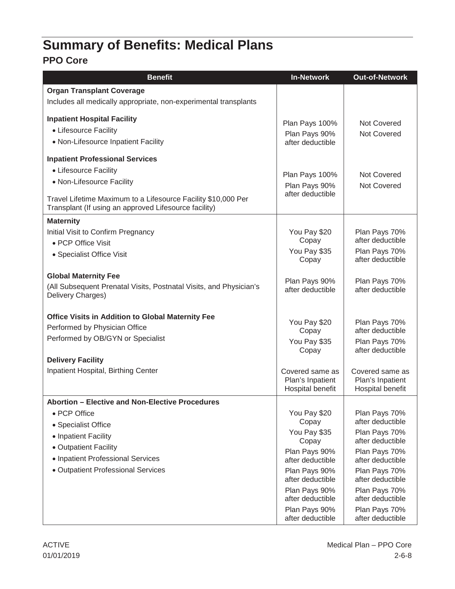| <b>Benefit</b>                                                                                                         | <b>In-Network</b>                    | <b>Out-of-Network</b>                |
|------------------------------------------------------------------------------------------------------------------------|--------------------------------------|--------------------------------------|
| <b>Organ Transplant Coverage</b>                                                                                       |                                      |                                      |
| Includes all medically appropriate, non-experimental transplants                                                       |                                      |                                      |
| <b>Inpatient Hospital Facility</b>                                                                                     | Plan Pays 100%                       | <b>Not Covered</b>                   |
| • Lifesource Facility                                                                                                  | Plan Pays 90%                        | <b>Not Covered</b>                   |
| • Non-Lifesource Inpatient Facility                                                                                    | after deductible                     |                                      |
| <b>Inpatient Professional Services</b>                                                                                 |                                      |                                      |
| • Lifesource Facility                                                                                                  | Plan Pays 100%                       | <b>Not Covered</b>                   |
| • Non-Lifesource Facility                                                                                              | Plan Pays 90%                        | <b>Not Covered</b>                   |
|                                                                                                                        | after deductible                     |                                      |
| Travel Lifetime Maximum to a Lifesource Facility \$10,000 Per<br>Transplant (If using an approved Lifesource facility) |                                      |                                      |
| <b>Maternity</b>                                                                                                       |                                      |                                      |
| Initial Visit to Confirm Pregnancy                                                                                     | You Pay \$20                         | Plan Pays 70%                        |
| • PCP Office Visit                                                                                                     | Copay                                | after deductible                     |
| • Specialist Office Visit                                                                                              | You Pay \$35<br>Copay                | Plan Pays 70%<br>after deductible    |
| <b>Global Maternity Fee</b>                                                                                            |                                      |                                      |
| (All Subsequent Prenatal Visits, Postnatal Visits, and Physician's                                                     | Plan Pays 90%                        | Plan Pays 70%                        |
| Delivery Charges)                                                                                                      | after deductible                     | after deductible                     |
|                                                                                                                        |                                      |                                      |
| <b>Office Visits in Addition to Global Maternity Fee</b>                                                               | You Pay \$20                         | Plan Pays 70%                        |
| Performed by Physician Office                                                                                          | Copay                                | after deductible                     |
| Performed by OB/GYN or Specialist                                                                                      | You Pay \$35                         | Plan Pays 70%                        |
|                                                                                                                        | Copay                                | after deductible                     |
| <b>Delivery Facility</b>                                                                                               |                                      |                                      |
| Inpatient Hospital, Birthing Center                                                                                    | Covered same as                      | Covered same as                      |
|                                                                                                                        | Plan's Inpatient<br>Hospital benefit | Plan's Inpatient<br>Hospital benefit |
| <b>Abortion - Elective and Non-Elective Procedures</b>                                                                 |                                      |                                      |
| • PCP Office                                                                                                           | You Pay \$20                         | Plan Pays 70%                        |
| • Specialist Office                                                                                                    | Copay                                | after deductible                     |
| • Inpatient Facility                                                                                                   | You Pay \$35                         | Plan Pays 70%                        |
| • Outpatient Facility                                                                                                  | Copay                                | after deductible                     |
|                                                                                                                        | Plan Pays 90%                        | Plan Pays 70%                        |
| • Inpatient Professional Services                                                                                      | after deductible                     | after deductible                     |
| • Outpatient Professional Services                                                                                     | Plan Pays 90%<br>after deductible    | Plan Pays 70%<br>after deductible    |
|                                                                                                                        | Plan Pays 90%                        | Plan Pays 70%                        |
|                                                                                                                        | after deductible                     | after deductible                     |
|                                                                                                                        | Plan Pays 90%                        | Plan Pays 70%                        |
|                                                                                                                        | after deductible                     | after deductible                     |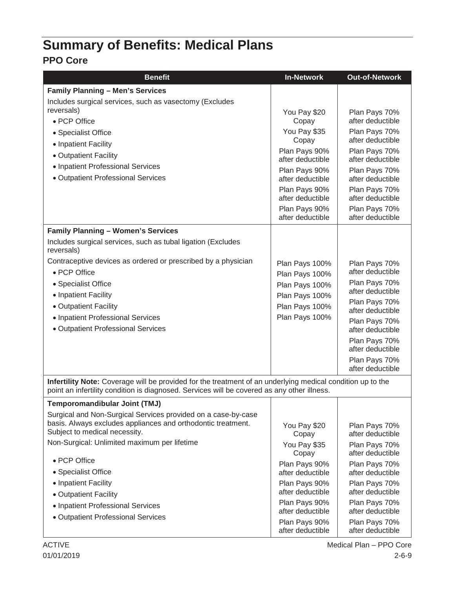| <b>Benefit</b>                                                                                             | <b>In-Network</b>                 | <b>Out-of-Network</b>             |
|------------------------------------------------------------------------------------------------------------|-----------------------------------|-----------------------------------|
| <b>Family Planning - Men's Services</b>                                                                    |                                   |                                   |
| Includes surgical services, such as vasectomy (Excludes                                                    |                                   |                                   |
| reversals)                                                                                                 | You Pay \$20                      | Plan Pays 70%                     |
| • PCP Office                                                                                               | Copay                             | after deductible                  |
| • Specialist Office                                                                                        | You Pay \$35<br>Copay             | Plan Pays 70%<br>after deductible |
| • Inpatient Facility                                                                                       | Plan Pays 90%                     | Plan Pays 70%                     |
| • Outpatient Facility                                                                                      | after deductible                  | after deductible                  |
| • Inpatient Professional Services                                                                          | Plan Pays 90%                     | Plan Pays 70%                     |
| • Outpatient Professional Services                                                                         | after deductible                  | after deductible                  |
|                                                                                                            | Plan Pays 90%<br>after deductible | Plan Pays 70%<br>after deductible |
|                                                                                                            | Plan Pays 90%                     | Plan Pays 70%                     |
|                                                                                                            | after deductible                  | after deductible                  |
| <b>Family Planning - Women's Services</b>                                                                  |                                   |                                   |
| Includes surgical services, such as tubal ligation (Excludes<br>reversals)                                 |                                   |                                   |
| Contraceptive devices as ordered or prescribed by a physician                                              | Plan Pays 100%                    | Plan Pays 70%                     |
| • PCP Office                                                                                               | Plan Pays 100%                    | after deductible                  |
| • Specialist Office                                                                                        | Plan Pays 100%                    | Plan Pays 70%                     |
| • Inpatient Facility                                                                                       | Plan Pays 100%                    | after deductible                  |
| • Outpatient Facility                                                                                      | Plan Pays 100%                    | Plan Pays 70%<br>after deductible |
| • Inpatient Professional Services                                                                          | Plan Pays 100%                    | Plan Pays 70%                     |
| • Outpatient Professional Services                                                                         |                                   | after deductible                  |
|                                                                                                            |                                   | Plan Pays 70%                     |
|                                                                                                            |                                   | after deductible                  |
|                                                                                                            |                                   | Plan Pays 70%<br>after deductible |
| Infertility Note: Coverage will be provided for the treatment of an underlying medical condition up to the |                                   |                                   |
| point an infertility condition is diagnosed. Services will be covered as any other illness.                |                                   |                                   |
| Temporomandibular Joint (TMJ)                                                                              |                                   |                                   |
| Surgical and Non-Surgical Services provided on a case-by-case                                              |                                   |                                   |
| basis. Always excludes appliances and orthodontic treatment.<br>Subject to medical necessity.              | You Pay \$20                      | Plan Pays 70%                     |
| Non-Surgical: Unlimited maximum per lifetime                                                               | Copay                             | after deductible                  |
|                                                                                                            | You Pay \$35<br>Copay             | Plan Pays 70%<br>after deductible |
| • PCP Office                                                                                               | Plan Pays 90%                     | Plan Pays 70%                     |
| • Specialist Office                                                                                        | after deductible                  | after deductible                  |
| • Inpatient Facility                                                                                       | Plan Pays 90%                     | Plan Pays 70%                     |
| • Outpatient Facility                                                                                      | after deductible                  | after deductible                  |
| • Inpatient Professional Services                                                                          | Plan Pays 90%<br>after deductible | Plan Pays 70%<br>after deductible |
| • Outpatient Professional Services                                                                         | Plan Pays 90%                     | Plan Pays 70%                     |
|                                                                                                            | after deductible                  | after deductible                  |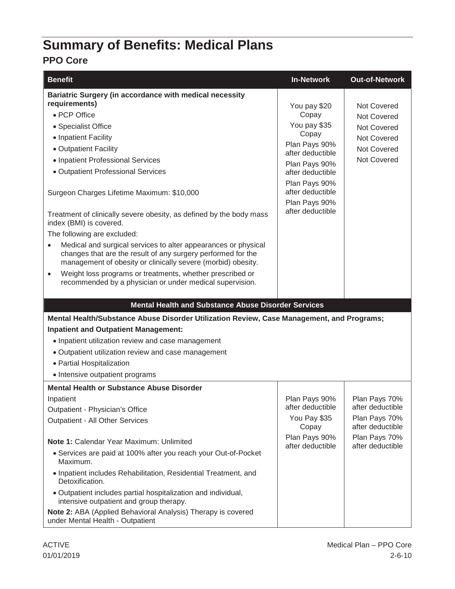| <b>Benefit</b>                                                                                                                                                                                                                                                                                                                                                                                                                                                                                                                                                                                                                                                                                                                                                     | <b>In-Network</b>                                                                                                                                                                                  | <b>Out-of-Network</b>                                                                                              |
|--------------------------------------------------------------------------------------------------------------------------------------------------------------------------------------------------------------------------------------------------------------------------------------------------------------------------------------------------------------------------------------------------------------------------------------------------------------------------------------------------------------------------------------------------------------------------------------------------------------------------------------------------------------------------------------------------------------------------------------------------------------------|----------------------------------------------------------------------------------------------------------------------------------------------------------------------------------------------------|--------------------------------------------------------------------------------------------------------------------|
| Bariatric Surgery (in accordance with medical necessity<br>requirements)<br>• PCP Office<br>• Specialist Office<br>• Inpatient Facility<br>• Outpatient Facility<br>• Inpatient Professional Services<br>• Outpatient Professional Services<br>Surgeon Charges Lifetime Maximum: \$10,000<br>Treatment of clinically severe obesity, as defined by the body mass<br>index (BMI) is covered.<br>The following are excluded:<br>Medical and surgical services to alter appearances or physical<br>changes that are the result of any surgery performed for the<br>management of obesity or clinically severe (morbid) obesity.<br>Weight loss programs or treatments, whether prescribed or<br>$\bullet$<br>recommended by a physician or under medical supervision. | You pay \$20<br>Copay<br>You pay \$35<br>Copay<br>Plan Pays 90%<br>after deductible<br>Plan Pays 90%<br>after deductible<br>Plan Pays 90%<br>after deductible<br>Plan Pays 90%<br>after deductible | <b>Not Covered</b><br>Not Covered<br>Not Covered<br><b>Not Covered</b><br><b>Not Covered</b><br><b>Not Covered</b> |
| <b>Mental Health and Substance Abuse Disorder Services</b>                                                                                                                                                                                                                                                                                                                                                                                                                                                                                                                                                                                                                                                                                                         |                                                                                                                                                                                                    |                                                                                                                    |
| Mental Health/Substance Abuse Disorder Utilization Review, Case Management, and Programs;<br><b>Inpatient and Outpatient Management:</b><br>• Inpatient utilization review and case management<br>• Outpatient utilization review and case management<br>• Partial Hospitalization<br>• Intensive outpatient programs                                                                                                                                                                                                                                                                                                                                                                                                                                              |                                                                                                                                                                                                    |                                                                                                                    |
| <b>Mental Health or Substance Abuse Disorder</b>                                                                                                                                                                                                                                                                                                                                                                                                                                                                                                                                                                                                                                                                                                                   |                                                                                                                                                                                                    |                                                                                                                    |
| Inpatient<br>Outpatient - Physician's Office<br>Outpatient - All Other Services                                                                                                                                                                                                                                                                                                                                                                                                                                                                                                                                                                                                                                                                                    | Plan Pays 90%<br>after deductible<br>You Pay \$35<br>Copay<br>Plan Pays 90%                                                                                                                        | Plan Pays 70%<br>after deductible<br>Plan Pays 70%<br>after deductible<br>Plan Pays 70%                            |
| Note 1: Calendar Year Maximum: Unlimited<br>• Services are paid at 100% after you reach your Out-of-Pocket<br>Maximum.                                                                                                                                                                                                                                                                                                                                                                                                                                                                                                                                                                                                                                             | after deductible                                                                                                                                                                                   | after deductible                                                                                                   |
| • Inpatient includes Rehabilitation, Residential Treatment, and<br>Detoxification.                                                                                                                                                                                                                                                                                                                                                                                                                                                                                                                                                                                                                                                                                 |                                                                                                                                                                                                    |                                                                                                                    |
| . Outpatient includes partial hospitalization and individual,<br>intensive outpatient and group therapy.                                                                                                                                                                                                                                                                                                                                                                                                                                                                                                                                                                                                                                                           |                                                                                                                                                                                                    |                                                                                                                    |
| Note 2: ABA (Applied Behavioral Analysis) Therapy is covered<br>under Mental Health - Outpatient                                                                                                                                                                                                                                                                                                                                                                                                                                                                                                                                                                                                                                                                   |                                                                                                                                                                                                    |                                                                                                                    |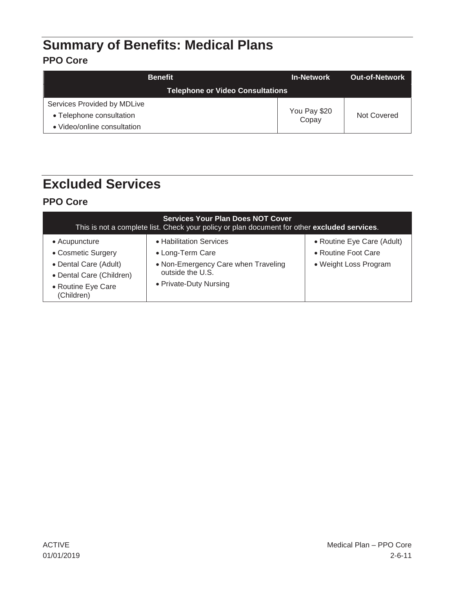### **Summary of Benefits: Medical Plans PPO Core**

| <b>Benefit</b>                                                                         | <b>In-Network</b>     | <b>Out-of-Network</b> |
|----------------------------------------------------------------------------------------|-----------------------|-----------------------|
| <b>Telephone or Video Consultations</b>                                                |                       |                       |
| Services Provided by MDLive<br>• Telephone consultation<br>• Video/online consultation | You Pay \$20<br>Copay | Not Covered           |

### **Excluded Services**

| <b>Services Your Plan Does NOT Cover</b><br>This is not a complete list. Check your policy or plan document for other excluded services. |                                                                                                                                  |                                                                            |  |
|------------------------------------------------------------------------------------------------------------------------------------------|----------------------------------------------------------------------------------------------------------------------------------|----------------------------------------------------------------------------|--|
| • Acupuncture<br>• Cosmetic Surgery<br>• Dental Care (Adult)<br>• Dental Care (Children)<br>• Routine Eye Care<br>(Children)             | • Habilitation Services<br>• Long-Term Care<br>• Non-Emergency Care when Traveling<br>outside the U.S.<br>• Private-Duty Nursing | • Routine Eye Care (Adult)<br>• Routine Foot Care<br>• Weight Loss Program |  |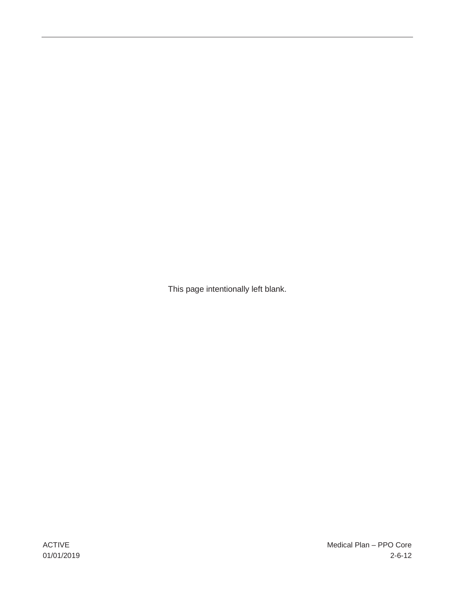This page intentionally left blank.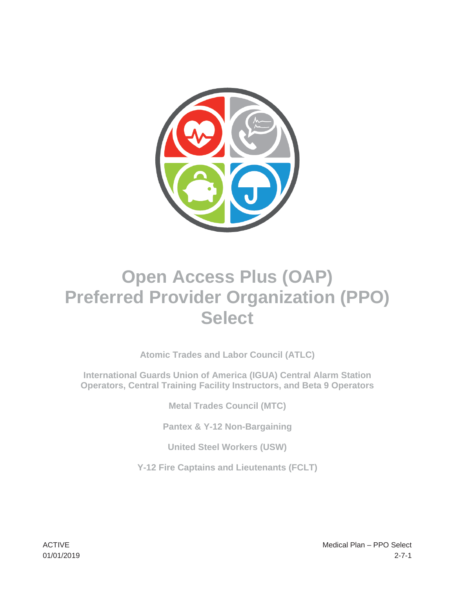

# **Open Access Plus (OAP) Preferred Provider Organization (PPO) Select**

**Atomic Trades and Labor Council (ATLC)**

**International Guards Union of America (IGUA) Central Alarm Station Operators, Central Training Facility Instructors, and Beta 9 Operators**

**Metal Trades Council (MTC)**

**Pantex & Y-12 Non-Bargaining**

**United Steel Workers (USW)**

**Y-12 Fire Captains and Lieutenants (FCLT)**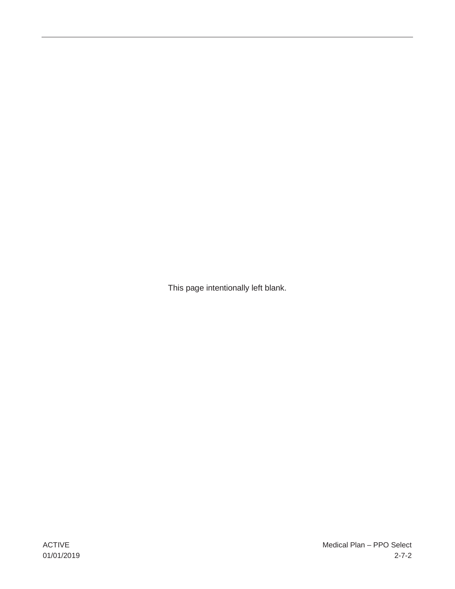This page intentionally left blank.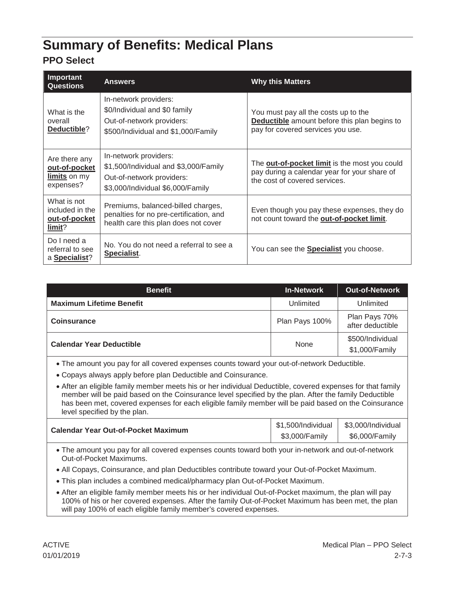#### **PPO Select**

| Important<br><b>Questions</b>                               | <b>Answers</b>                                                                                                                   | <b>Why this Matters</b>                                                                                                               |
|-------------------------------------------------------------|----------------------------------------------------------------------------------------------------------------------------------|---------------------------------------------------------------------------------------------------------------------------------------|
| What is the<br>overall<br>Deductible?                       | In-network providers:<br>\$0/Individual and \$0 family<br>Out-of-network providers:<br>\$500/Individual and \$1,000/Family       | You must pay all the costs up to the<br>Deductible amount before this plan begins to<br>pay for covered services you use.             |
| Are there any<br>out-of-pocket<br>limits on my<br>expenses? | In-network providers:<br>\$1,500/Individual and \$3,000/Family<br>Out-of-network providers:<br>\$3,000/Individual \$6,000/Family | The <b>out-of-pocket limit</b> is the most you could<br>pay during a calendar year for your share of<br>the cost of covered services. |
| What is not<br>included in the<br>out-of-pocket<br>limit?   | Premiums, balanced-billed charges,<br>penalties for no pre-certification, and<br>health care this plan does not cover            | Even though you pay these expenses, they do<br>not count toward the out-of-pocket limit.                                              |
| Do I need a<br>referral to see<br>a Specialist?             | No. You do not need a referral to see a<br>Specialist.                                                                           | You can see the <b>Specialist</b> you choose.                                                                                         |

| <b>Benefit</b>                          | <b>In-Network</b> | Out-of-Network                     |
|-----------------------------------------|-------------------|------------------------------------|
| <b>Maximum Lifetime Benefit</b>         | Unlimited         | Unlimited                          |
| <b>Coinsurance</b>                      | Plan Pays 100%    | Plan Pays 70%<br>after deductible  |
| <b>Calendar Year Deductible</b><br>None |                   | \$500/Individual<br>\$1,000/Family |

• The amount you pay for all covered expenses counts toward your out-of-network Deductible.

• Copays always apply before plan Deductible and Coinsurance.

• After an eligible family member meets his or her individual Deductible, covered expenses for that family member will be paid based on the Coinsurance level specified by the plan. After the family Deductible has been met, covered expenses for each eligible family member will be paid based on the Coinsurance level specified by the plan.

|                                     | $\frac{1}{2}$ \$1,500/Individual $\frac{1}{2}$ \$3,000/Individual |                |
|-------------------------------------|-------------------------------------------------------------------|----------------|
| Calendar Year Out-of-Pocket Maximum | \$3,000/Family                                                    | \$6,000/Family |

- The amount you pay for all covered expenses counts toward both your in-network and out-of-network Out-of-Pocket Maximums.
- All Copays, Coinsurance, and plan Deductibles contribute toward your Out-of-Pocket Maximum.
- This plan includes a combined medical/pharmacy plan Out-of-Pocket Maximum.
- After an eligible family member meets his or her individual Out-of-Pocket maximum, the plan will pay 100% of his or her covered expenses. After the family Out-of-Pocket Maximum has been met, the plan will pay 100% of each eligible family member's covered expenses.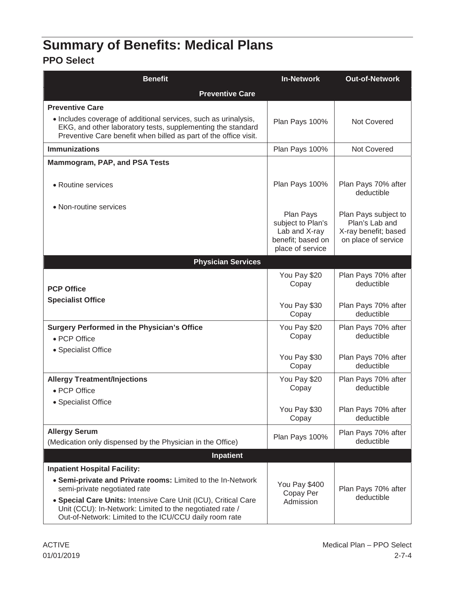| <b>Benefit</b>                                                                                                                                                                                     | <b>In-Network</b>                                                                        | <b>Out-of-Network</b>                                                                 |  |
|----------------------------------------------------------------------------------------------------------------------------------------------------------------------------------------------------|------------------------------------------------------------------------------------------|---------------------------------------------------------------------------------------|--|
| <b>Preventive Care</b>                                                                                                                                                                             |                                                                                          |                                                                                       |  |
| <b>Preventive Care</b>                                                                                                                                                                             |                                                                                          |                                                                                       |  |
| • Includes coverage of additional services, such as urinalysis,<br>EKG, and other laboratory tests, supplementing the standard<br>Preventive Care benefit when billed as part of the office visit. | Plan Pays 100%                                                                           | <b>Not Covered</b>                                                                    |  |
| <b>Immunizations</b>                                                                                                                                                                               | Plan Pays 100%                                                                           | Not Covered                                                                           |  |
| Mammogram, PAP, and PSA Tests                                                                                                                                                                      |                                                                                          |                                                                                       |  |
| • Routine services                                                                                                                                                                                 | Plan Pays 100%                                                                           | Plan Pays 70% after<br>deductible                                                     |  |
| • Non-routine services                                                                                                                                                                             | Plan Pays<br>subject to Plan's<br>Lab and X-ray<br>benefit; based on<br>place of service | Plan Pays subject to<br>Plan's Lab and<br>X-ray benefit; based<br>on place of service |  |
| <b>Physician Services</b>                                                                                                                                                                          |                                                                                          |                                                                                       |  |
| <b>PCP Office</b>                                                                                                                                                                                  | You Pay \$20<br>Copay                                                                    | Plan Pays 70% after<br>deductible                                                     |  |
| <b>Specialist Office</b>                                                                                                                                                                           | You Pay \$30<br>Copay                                                                    | Plan Pays 70% after<br>deductible                                                     |  |
| <b>Surgery Performed in the Physician's Office</b>                                                                                                                                                 | You Pay \$20                                                                             | Plan Pays 70% after                                                                   |  |
| • PCP Office                                                                                                                                                                                       | Copay                                                                                    | deductible                                                                            |  |
| • Specialist Office                                                                                                                                                                                | You Pay \$30<br>Copay                                                                    | Plan Pays 70% after<br>deductible                                                     |  |
| <b>Allergy Treatment/Injections</b><br>• PCP Office                                                                                                                                                | You Pay \$20<br>Copay                                                                    | Plan Pays 70% after<br>deductible                                                     |  |
| • Specialist Office                                                                                                                                                                                | You Pay \$30<br>Copay                                                                    | Plan Pays 70% after<br>deductible                                                     |  |
| <b>Allergy Serum</b><br>(Medication only dispensed by the Physician in the Office)                                                                                                                 | Plan Pays 100%                                                                           | Plan Pays 70% after<br>deductible                                                     |  |
| Inpatient                                                                                                                                                                                          |                                                                                          |                                                                                       |  |
| <b>Inpatient Hospital Facility:</b>                                                                                                                                                                |                                                                                          |                                                                                       |  |
| • Semi-private and Private rooms: Limited to the In-Network<br>semi-private negotiated rate                                                                                                        | You Pay \$400<br>Copay Per                                                               | Plan Pays 70% after                                                                   |  |
| • Special Care Units: Intensive Care Unit (ICU), Critical Care<br>Unit (CCU): In-Network: Limited to the negotiated rate /<br>Out-of-Network: Limited to the ICU/CCU daily room rate               | Admission                                                                                | deductible                                                                            |  |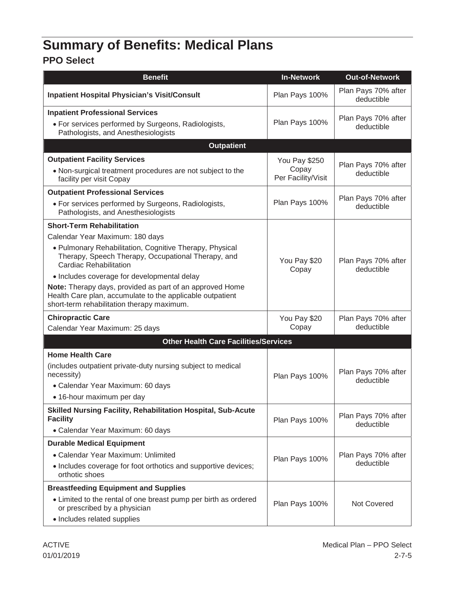| <b>Benefit</b>                                                                                                                                                      | <b>In-Network</b>           | <b>Out-of-Network</b>             |  |
|---------------------------------------------------------------------------------------------------------------------------------------------------------------------|-----------------------------|-----------------------------------|--|
| <b>Inpatient Hospital Physician's Visit/Consult</b>                                                                                                                 | Plan Pays 100%              | Plan Pays 70% after<br>deductible |  |
| <b>Inpatient Professional Services</b><br>• For services performed by Surgeons, Radiologists,<br>Pathologists, and Anesthesiologists                                | Plan Pays 100%              | Plan Pays 70% after<br>deductible |  |
| <b>Outpatient</b>                                                                                                                                                   |                             |                                   |  |
| <b>Outpatient Facility Services</b>                                                                                                                                 | You Pay \$250               |                                   |  |
| • Non-surgical treatment procedures are not subject to the<br>facility per visit Copay                                                                              | Copay<br>Per Facility/Visit | Plan Pays 70% after<br>deductible |  |
| <b>Outpatient Professional Services</b>                                                                                                                             |                             | Plan Pays 70% after               |  |
| • For services performed by Surgeons, Radiologists,<br>Pathologists, and Anesthesiologists                                                                          | Plan Pays 100%              | deductible                        |  |
| <b>Short-Term Rehabilitation</b>                                                                                                                                    |                             |                                   |  |
| Calendar Year Maximum: 180 days                                                                                                                                     |                             | Plan Pays 70% after<br>deductible |  |
| · Pulmonary Rehabilitation, Cognitive Therapy, Physical<br>Therapy, Speech Therapy, Occupational Therapy, and<br><b>Cardiac Rehabilitation</b>                      | You Pay \$20<br>Copay       |                                   |  |
| • Includes coverage for developmental delay                                                                                                                         |                             |                                   |  |
| Note: Therapy days, provided as part of an approved Home<br>Health Care plan, accumulate to the applicable outpatient<br>short-term rehabilitation therapy maximum. |                             |                                   |  |
| <b>Chiropractic Care</b>                                                                                                                                            | You Pay \$20                | Plan Pays 70% after               |  |
| Calendar Year Maximum: 25 days                                                                                                                                      | Copay                       | deductible                        |  |
| <b>Other Health Care Facilities/Services</b>                                                                                                                        |                             |                                   |  |
| <b>Home Health Care</b>                                                                                                                                             |                             |                                   |  |
| (includes outpatient private-duty nursing subject to medical                                                                                                        |                             | Plan Pays 70% after<br>deductible |  |
| necessity)<br>• Calendar Year Maximum: 60 days                                                                                                                      | Plan Pays 100%              |                                   |  |
| • 16-hour maximum per day                                                                                                                                           |                             |                                   |  |
| <b>Skilled Nursing Facility, Rehabilitation Hospital, Sub-Acute</b>                                                                                                 |                             |                                   |  |
| <b>Facility</b>                                                                                                                                                     | Plan Pays 100%              | Plan Pays 70% after<br>deductible |  |
| • Calendar Year Maximum: 60 days                                                                                                                                    |                             |                                   |  |
| <b>Durable Medical Equipment</b>                                                                                                                                    |                             |                                   |  |
| • Calendar Year Maximum: Unlimited                                                                                                                                  | Plan Pays 100%              | Plan Pays 70% after               |  |
| • Includes coverage for foot orthotics and supportive devices;<br>orthotic shoes                                                                                    |                             | deductible                        |  |
| <b>Breastfeeding Equipment and Supplies</b>                                                                                                                         |                             |                                   |  |
| • Limited to the rental of one breast pump per birth as ordered<br>or prescribed by a physician                                                                     | Plan Pays 100%              | <b>Not Covered</b>                |  |
| • Includes related supplies                                                                                                                                         |                             |                                   |  |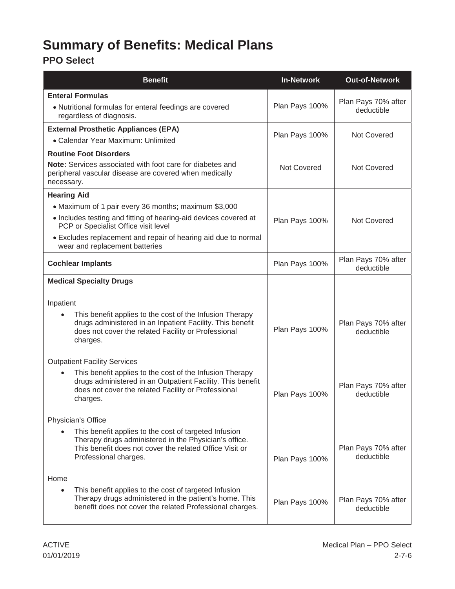| <b>Benefit</b>                                                                                                                                                                                     | <b>In-Network</b> | <b>Out-of-Network</b>             |  |
|----------------------------------------------------------------------------------------------------------------------------------------------------------------------------------------------------|-------------------|-----------------------------------|--|
| <b>Enteral Formulas</b>                                                                                                                                                                            |                   |                                   |  |
| • Nutritional formulas for enteral feedings are covered<br>regardless of diagnosis.                                                                                                                | Plan Pays 100%    | Plan Pays 70% after<br>deductible |  |
| <b>External Prosthetic Appliances (EPA)</b>                                                                                                                                                        | Plan Pays 100%    | Not Covered                       |  |
| • Calendar Year Maximum: Unlimited                                                                                                                                                                 |                   |                                   |  |
| <b>Routine Foot Disorders</b>                                                                                                                                                                      |                   |                                   |  |
| Note: Services associated with foot care for diabetes and<br>peripheral vascular disease are covered when medically<br>necessary.                                                                  | Not Covered       | <b>Not Covered</b>                |  |
| <b>Hearing Aid</b>                                                                                                                                                                                 |                   |                                   |  |
| • Maximum of 1 pair every 36 months; maximum \$3,000                                                                                                                                               |                   |                                   |  |
| • Includes testing and fitting of hearing-aid devices covered at<br>PCP or Specialist Office visit level                                                                                           | Plan Pays 100%    | <b>Not Covered</b>                |  |
| • Excludes replacement and repair of hearing aid due to normal<br>wear and replacement batteries                                                                                                   |                   |                                   |  |
| <b>Cochlear Implants</b>                                                                                                                                                                           | Plan Pays 100%    | Plan Pays 70% after<br>deductible |  |
| <b>Medical Specialty Drugs</b>                                                                                                                                                                     |                   |                                   |  |
|                                                                                                                                                                                                    |                   |                                   |  |
| Inpatient                                                                                                                                                                                          |                   |                                   |  |
| This benefit applies to the cost of the Infusion Therapy<br>drugs administered in an Inpatient Facility. This benefit<br>does not cover the related Facility or Professional<br>charges.           | Plan Pays 100%    | Plan Pays 70% after<br>deductible |  |
| <b>Outpatient Facility Services</b>                                                                                                                                                                |                   |                                   |  |
| This benefit applies to the cost of the Infusion Therapy<br>drugs administered in an Outpatient Facility. This benefit<br>does not cover the related Facility or Professional<br>charges.          | Plan Pays 100%    | Plan Pays 70% after<br>deductible |  |
| Physician's Office                                                                                                                                                                                 |                   |                                   |  |
| This benefit applies to the cost of targeted Infusion<br>Therapy drugs administered in the Physician's office.<br>This benefit does not cover the related Office Visit or<br>Professional charges. | Plan Pays 100%    | Plan Pays 70% after<br>deductible |  |
| Home                                                                                                                                                                                               |                   |                                   |  |
| This benefit applies to the cost of targeted Infusion<br>Therapy drugs administered in the patient's home. This<br>benefit does not cover the related Professional charges.                        | Plan Pays 100%    | Plan Pays 70% after<br>deductible |  |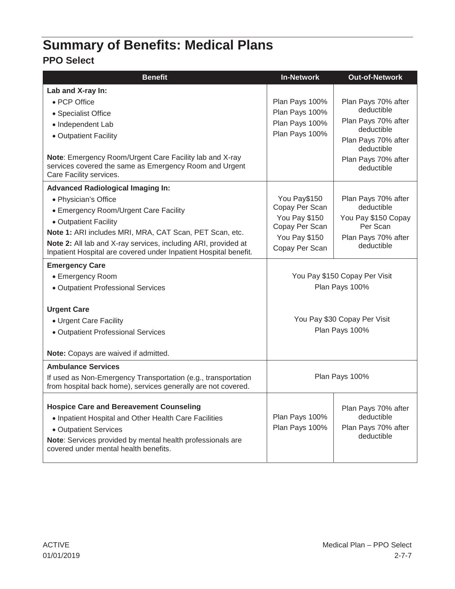| <b>Benefit</b>                                                                                                                                                                                                                                                                                                                      | <b>In-Network</b>                                                                                    | <b>Out-of-Network</b>                                                                                                                            |
|-------------------------------------------------------------------------------------------------------------------------------------------------------------------------------------------------------------------------------------------------------------------------------------------------------------------------------------|------------------------------------------------------------------------------------------------------|--------------------------------------------------------------------------------------------------------------------------------------------------|
| Lab and X-ray In:<br>• PCP Office<br>• Specialist Office<br>• Independent Lab<br>• Outpatient Facility<br>Note: Emergency Room/Urgent Care Facility lab and X-ray<br>services covered the same as Emergency Room and Urgent<br>Care Facility services.                                                                              | Plan Pays 100%<br>Plan Pays 100%<br>Plan Pays 100%<br>Plan Pays 100%                                 | Plan Pays 70% after<br>deductible<br>Plan Pays 70% after<br>deductible<br>Plan Pays 70% after<br>deductible<br>Plan Pays 70% after<br>deductible |
| <b>Advanced Radiological Imaging In:</b><br>• Physician's Office<br>• Emergency Room/Urgent Care Facility<br>• Outpatient Facility<br>Note 1: ARI includes MRI, MRA, CAT Scan, PET Scan, etc.<br>Note 2: All lab and X-ray services, including ARI, provided at<br>Inpatient Hospital are covered under Inpatient Hospital benefit. | You Pay\$150<br>Copay Per Scan<br>You Pay \$150<br>Copay Per Scan<br>You Pay \$150<br>Copay Per Scan | Plan Pays 70% after<br>deductible<br>You Pay \$150 Copay<br>Per Scan<br>Plan Pays 70% after<br>deductible                                        |
| <b>Emergency Care</b><br>• Emergency Room<br>• Outpatient Professional Services<br><b>Urgent Care</b><br>• Urgent Care Facility<br>• Outpatient Professional Services<br>Note: Copays are waived if admitted.                                                                                                                       | You Pay \$150 Copay Per Visit<br>Plan Pays 100%<br>You Pay \$30 Copay Per Visit<br>Plan Pays 100%    |                                                                                                                                                  |
| <b>Ambulance Services</b><br>If used as Non-Emergency Transportation (e.g., transportation<br>from hospital back home), services generally are not covered.                                                                                                                                                                         | Plan Pays 100%                                                                                       |                                                                                                                                                  |
| <b>Hospice Care and Bereavement Counseling</b><br>• Inpatient Hospital and Other Health Care Facilities<br>• Outpatient Services<br>Note: Services provided by mental health professionals are<br>covered under mental health benefits.                                                                                             | Plan Pays 100%<br>Plan Pays 100%                                                                     | Plan Pays 70% after<br>deductible<br>Plan Pays 70% after<br>deductible                                                                           |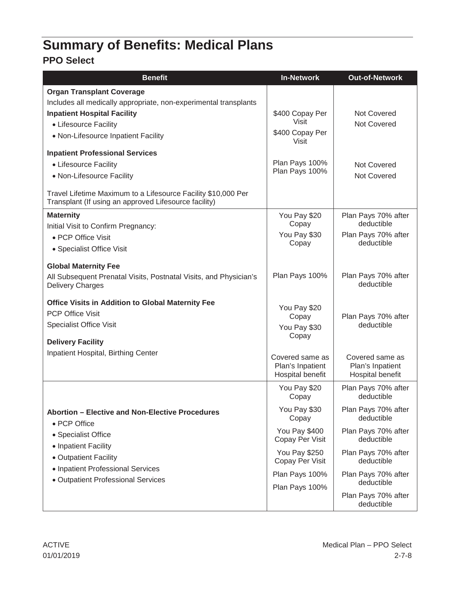| <b>Benefit</b>                                                                                                         | <b>In-Network</b>                                       | <b>Out-of-Network</b>                                   |
|------------------------------------------------------------------------------------------------------------------------|---------------------------------------------------------|---------------------------------------------------------|
| <b>Organ Transplant Coverage</b><br>Includes all medically appropriate, non-experimental transplants                   |                                                         |                                                         |
| <b>Inpatient Hospital Facility</b>                                                                                     | \$400 Copay Per<br>Visit                                | Not Covered<br><b>Not Covered</b>                       |
| • Lifesource Facility<br>• Non-Lifesource Inpatient Facility                                                           | \$400 Copay Per<br>Visit                                |                                                         |
| <b>Inpatient Professional Services</b>                                                                                 |                                                         |                                                         |
| • Lifesource Facility                                                                                                  | Plan Pays 100%                                          | <b>Not Covered</b>                                      |
| • Non-Lifesource Facility                                                                                              | Plan Pays 100%                                          | <b>Not Covered</b>                                      |
| Travel Lifetime Maximum to a Lifesource Facility \$10,000 Per<br>Transplant (If using an approved Lifesource facility) |                                                         |                                                         |
| <b>Maternity</b><br>Initial Visit to Confirm Pregnancy:                                                                | You Pay \$20<br>Copay                                   | Plan Pays 70% after<br>deductible                       |
| • PCP Office Visit                                                                                                     | You Pay \$30                                            | Plan Pays 70% after                                     |
| • Specialist Office Visit                                                                                              | Copay                                                   | deductible                                              |
| <b>Global Maternity Fee</b>                                                                                            |                                                         |                                                         |
| All Subsequent Prenatal Visits, Postnatal Visits, and Physician's<br><b>Delivery Charges</b>                           | Plan Pays 100%                                          | Plan Pays 70% after<br>deductible                       |
| <b>Office Visits in Addition to Global Maternity Fee</b>                                                               | You Pay \$20                                            |                                                         |
| <b>PCP Office Visit</b>                                                                                                | Copay                                                   | Plan Pays 70% after                                     |
| <b>Specialist Office Visit</b>                                                                                         | You Pay \$30                                            | deductible                                              |
| <b>Delivery Facility</b>                                                                                               | Copay                                                   |                                                         |
| Inpatient Hospital, Birthing Center                                                                                    | Covered same as<br>Plan's Inpatient<br>Hospital benefit | Covered same as<br>Plan's Inpatient<br>Hospital benefit |
|                                                                                                                        | You Pay \$20<br>Copay                                   | Plan Pays 70% after<br>deductible                       |
| <b>Abortion - Elective and Non-Elective Procedures</b><br>• PCP Office                                                 | You Pay \$30<br>Copay                                   | Plan Pays 70% after<br>deductible                       |
| • Specialist Office                                                                                                    | You Pay \$400<br>Copay Per Visit                        | Plan Pays 70% after<br>deductible                       |
| • Inpatient Facility<br>• Outpatient Facility                                                                          | You Pay \$250<br>Copay Per Visit                        | Plan Pays 70% after<br>deductible                       |
| • Inpatient Professional Services                                                                                      | Plan Pays 100%                                          | Plan Pays 70% after                                     |
| • Outpatient Professional Services                                                                                     | Plan Pays 100%                                          | deductible                                              |
|                                                                                                                        |                                                         | Plan Pays 70% after<br>deductible                       |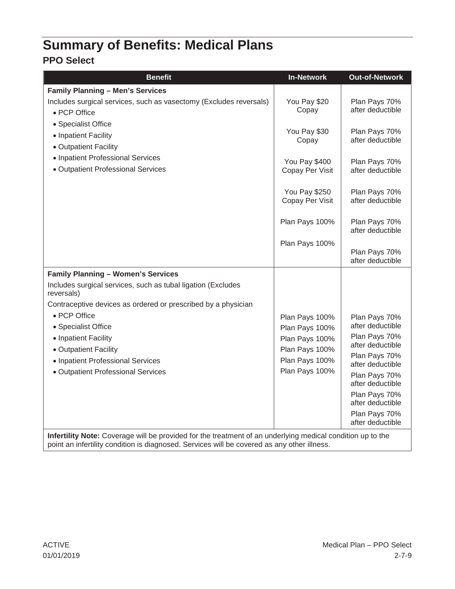| <b>Benefit</b>                                                                                                                                                                                            | <b>In-Network</b>                | <b>Out-of-Network</b>             |
|-----------------------------------------------------------------------------------------------------------------------------------------------------------------------------------------------------------|----------------------------------|-----------------------------------|
| <b>Family Planning - Men's Services</b>                                                                                                                                                                   |                                  |                                   |
| Includes surgical services, such as vasectomy (Excludes reversals)<br>• PCP Office                                                                                                                        | You Pay \$20<br>Copay            | Plan Pays 70%<br>after deductible |
| • Specialist Office<br>• Inpatient Facility<br>• Outpatient Facility                                                                                                                                      | You Pay \$30<br>Copay            | Plan Pays 70%<br>after deductible |
| • Inpatient Professional Services<br>• Outpatient Professional Services                                                                                                                                   | You Pay \$400<br>Copay Per Visit | Plan Pays 70%<br>after deductible |
|                                                                                                                                                                                                           | You Pay \$250<br>Copay Per Visit | Plan Pays 70%<br>after deductible |
|                                                                                                                                                                                                           | Plan Pays 100%                   | Plan Pays 70%<br>after deductible |
|                                                                                                                                                                                                           | Plan Pays 100%                   | Plan Pays 70%<br>after deductible |
| <b>Family Planning - Women's Services</b>                                                                                                                                                                 |                                  |                                   |
| Includes surgical services, such as tubal ligation (Excludes<br>reversals)                                                                                                                                |                                  |                                   |
| Contraceptive devices as ordered or prescribed by a physician                                                                                                                                             |                                  |                                   |
| • PCP Office                                                                                                                                                                                              | Plan Pays 100%                   | Plan Pays 70%                     |
| • Specialist Office                                                                                                                                                                                       | Plan Pays 100%                   | after deductible                  |
| • Inpatient Facility                                                                                                                                                                                      | Plan Pays 100%                   | Plan Pays 70%                     |
| • Outpatient Facility                                                                                                                                                                                     | Plan Pays 100%                   | after deductible                  |
| • Inpatient Professional Services                                                                                                                                                                         | Plan Pays 100%                   | Plan Pays 70%<br>after deductible |
| • Outpatient Professional Services                                                                                                                                                                        | Plan Pays 100%                   | Plan Pays 70%<br>after deductible |
|                                                                                                                                                                                                           |                                  | Plan Pays 70%<br>after deductible |
|                                                                                                                                                                                                           |                                  | Plan Pays 70%<br>after deductible |
| Infertility Note: Coverage will be provided for the treatment of an underlying medical condition up to the<br>point an infertility condition is diagnosed. Services will be covered as any other illness. |                                  |                                   |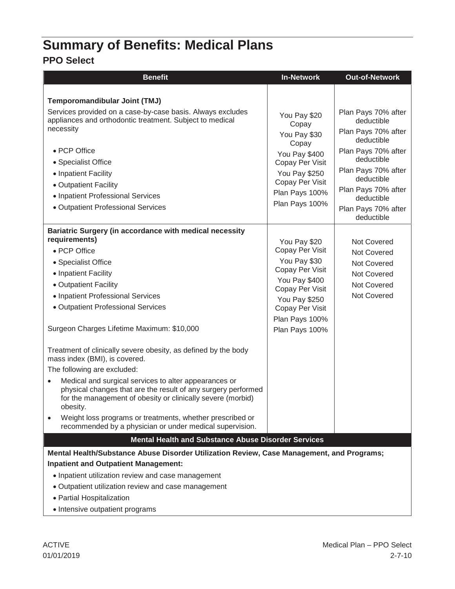| <b>Benefit</b>                                                                                                                                                                                                 | <b>In-Network</b>                     | <b>Out-of-Network</b>                                                  |
|----------------------------------------------------------------------------------------------------------------------------------------------------------------------------------------------------------------|---------------------------------------|------------------------------------------------------------------------|
|                                                                                                                                                                                                                |                                       |                                                                        |
| <b>Temporomandibular Joint (TMJ)</b>                                                                                                                                                                           |                                       |                                                                        |
| Services provided on a case-by-case basis. Always excludes<br>appliances and orthodontic treatment. Subject to medical<br>necessity                                                                            | You Pay \$20<br>Copay<br>You Pay \$30 | Plan Pays 70% after<br>deductible<br>Plan Pays 70% after<br>deductible |
| • PCP Office                                                                                                                                                                                                   | Copay                                 | Plan Pays 70% after                                                    |
| • Specialist Office                                                                                                                                                                                            | You Pay \$400<br>Copay Per Visit      | deductible                                                             |
| • Inpatient Facility                                                                                                                                                                                           | You Pay \$250                         | Plan Pays 70% after                                                    |
| • Outpatient Facility                                                                                                                                                                                          | Copay Per Visit                       | deductible                                                             |
| • Inpatient Professional Services                                                                                                                                                                              | Plan Pays 100%                        | Plan Pays 70% after<br>deductible                                      |
| · Outpatient Professional Services                                                                                                                                                                             | Plan Pays 100%                        | Plan Pays 70% after<br>deductible                                      |
| Bariatric Surgery (in accordance with medical necessity                                                                                                                                                        |                                       |                                                                        |
| requirements)                                                                                                                                                                                                  | You Pay \$20                          | <b>Not Covered</b>                                                     |
| • PCP Office                                                                                                                                                                                                   | Copay Per Visit                       | Not Covered                                                            |
| • Specialist Office                                                                                                                                                                                            | You Pay \$30<br>Copay Per Visit       | Not Covered                                                            |
| • Inpatient Facility                                                                                                                                                                                           | You Pay \$400                         | Not Covered                                                            |
| • Outpatient Facility                                                                                                                                                                                          | Copay Per Visit                       | Not Covered                                                            |
| • Inpatient Professional Services                                                                                                                                                                              | You Pay \$250                         | Not Covered                                                            |
| • Outpatient Professional Services                                                                                                                                                                             | Copay Per Visit                       |                                                                        |
|                                                                                                                                                                                                                | Plan Pays 100%                        |                                                                        |
| Surgeon Charges Lifetime Maximum: \$10,000                                                                                                                                                                     | Plan Pays 100%                        |                                                                        |
| Treatment of clinically severe obesity, as defined by the body<br>mass index (BMI), is covered.                                                                                                                |                                       |                                                                        |
| The following are excluded:                                                                                                                                                                                    |                                       |                                                                        |
| Medical and surgical services to alter appearances or<br>$\bullet$<br>physical changes that are the result of any surgery performed<br>for the management of obesity or clinically severe (morbid)<br>obesity. |                                       |                                                                        |
| Weight loss programs or treatments, whether prescribed or<br>recommended by a physician or under medical supervision.                                                                                          |                                       |                                                                        |
| <b>Mental Health and Substance Abuse Disorder Services</b>                                                                                                                                                     |                                       |                                                                        |
| Mental Health/Substance Abuse Disorder Utilization Review, Case Management, and Programs;                                                                                                                      |                                       |                                                                        |
| <b>Inpatient and Outpatient Management:</b>                                                                                                                                                                    |                                       |                                                                        |
| • Inpatient utilization review and case management                                                                                                                                                             |                                       |                                                                        |
| · Outpatient utilization review and case management                                                                                                                                                            |                                       |                                                                        |
| • Partial Hospitalization                                                                                                                                                                                      |                                       |                                                                        |
| • Intensive outpatient programs                                                                                                                                                                                |                                       |                                                                        |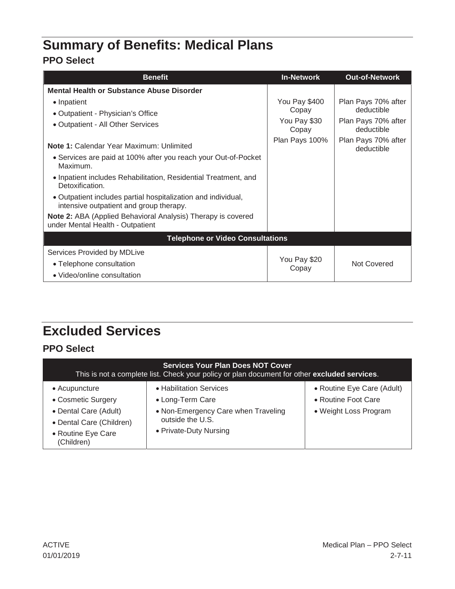### **PPO Select**

| <b>Benefit</b>                                                                                           | <b>In-Network</b>                               | <b>Out-of-Network</b>                                                  |  |
|----------------------------------------------------------------------------------------------------------|-------------------------------------------------|------------------------------------------------------------------------|--|
| <b>Mental Health or Substance Abuse Disorder</b>                                                         |                                                 |                                                                        |  |
| • Inpatient<br>• Outpatient - Physician's Office<br>• Outpatient - All Other Services                    | You Pay \$400<br>Copay<br>You Pay \$30<br>Copay | Plan Pays 70% after<br>deductible<br>Plan Pays 70% after<br>deductible |  |
| Note 1: Calendar Year Maximum: Unlimited                                                                 | Plan Pays 100%                                  | Plan Pays 70% after<br>deductible                                      |  |
| • Services are paid at 100% after you reach your Out-of-Pocket<br>Maximum.                               |                                                 |                                                                        |  |
| • Inpatient includes Rehabilitation, Residential Treatment, and<br>Detoxification.                       |                                                 |                                                                        |  |
| • Outpatient includes partial hospitalization and individual,<br>intensive outpatient and group therapy. |                                                 |                                                                        |  |
| <b>Note 2: ABA (Applied Behavioral Analysis) Therapy is covered</b><br>under Mental Health - Outpatient  |                                                 |                                                                        |  |
| <b>Telephone or Video Consultations</b>                                                                  |                                                 |                                                                        |  |
| Services Provided by MDLive<br>• Telephone consultation<br>• Video/online consultation                   | You Pay \$20<br>Copay                           | Not Covered                                                            |  |

### **Excluded Services**

| <b>Services Your Plan Does NOT Cover</b><br>This is not a complete list. Check your policy or plan document for other excluded services. |                                                                                   |                                                   |  |
|------------------------------------------------------------------------------------------------------------------------------------------|-----------------------------------------------------------------------------------|---------------------------------------------------|--|
| • Acupuncture<br>• Cosmetic Surgery                                                                                                      | • Habilitation Services<br>• Long-Term Care                                       | • Routine Eye Care (Adult)<br>• Routine Foot Care |  |
| • Dental Care (Adult)<br>• Dental Care (Children)<br>• Routine Eye Care<br>(Children)                                                    | • Non-Emergency Care when Traveling<br>outside the U.S.<br>• Private-Duty Nursing | • Weight Loss Program                             |  |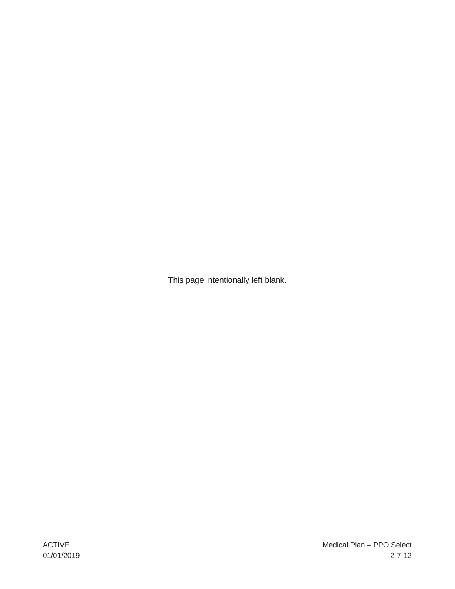This page intentionally left blank.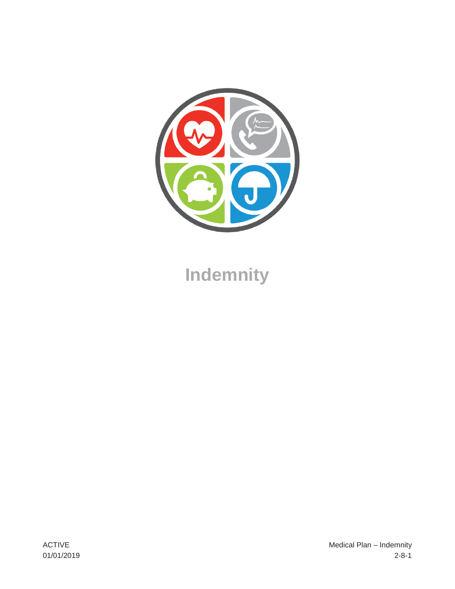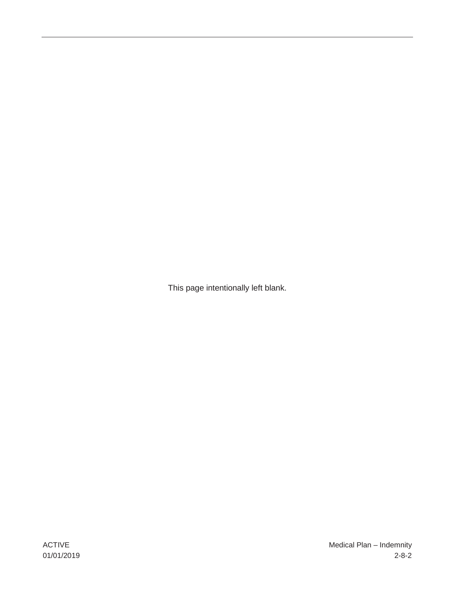This page intentionally left blank.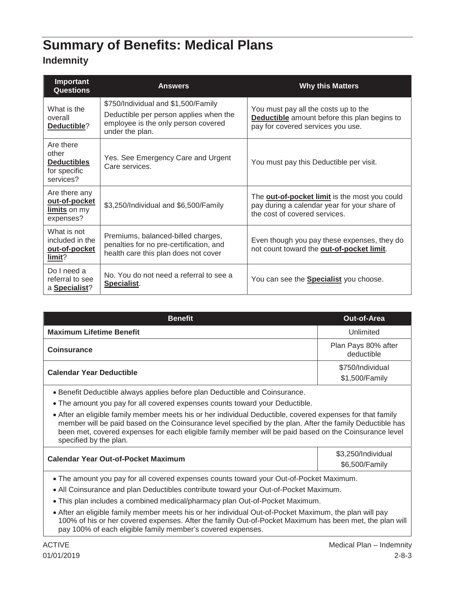| Important<br><b>Questions</b>                                         | <b>Answers</b>                                                                                                                          | <b>Why this Matters</b>                                                                                                               |
|-----------------------------------------------------------------------|-----------------------------------------------------------------------------------------------------------------------------------------|---------------------------------------------------------------------------------------------------------------------------------------|
| What is the<br>overall<br>Deductible?                                 | \$750/Individual and \$1,500/Family<br>Deductible per person applies when the<br>employee is the only person covered<br>under the plan. | You must pay all the costs up to the<br>Deductible amount before this plan begins to<br>pay for covered services you use.             |
| Are there<br>other<br><b>Deductibles</b><br>for specific<br>services? | Yes. See Emergency Care and Urgent<br>Care services.                                                                                    | You must pay this Deductible per visit.                                                                                               |
| Are there any<br>out-of-pocket<br>limits on my<br>expenses?           | \$3,250/Individual and \$6,500/Family                                                                                                   | The <b>out-of-pocket limit</b> is the most you could<br>pay during a calendar year for your share of<br>the cost of covered services. |
| What is not<br>included in the<br>out-of-pocket<br>limit?             | Premiums, balanced-billed charges,<br>penalties for no pre-certification, and<br>health care this plan does not cover                   | Even though you pay these expenses, they do<br>not count toward the out-of-pocket limit.                                              |
| Do I need a<br>referral to see<br>a Specialist?                       | No. You do not need a referral to see a<br><b>Specialist.</b>                                                                           | You can see the <b>Specialist</b> you choose.                                                                                         |

| <b>Benefit</b>                  | Out-of-Area                        |
|---------------------------------|------------------------------------|
| <b>Maximum Lifetime Benefit</b> | Unlimited                          |
| <b>Coinsurance</b>              | Plan Pays 80% after<br>deductible  |
| <b>Calendar Year Deductible</b> | \$750/Individual<br>\$1,500/Family |

- **Benefit Deductible always applies before plan Deductible and Coinsurance.**
- The amount you pay for all covered expenses counts toward your Deductible.
- After an eligible family member meets his or her individual Deductible, covered expenses for that family member will be paid based on the Coinsurance level specified by the plan. After the family Deductible has been met, covered expenses for each eligible family member will be paid based on the Coinsurance level specified by the plan.

| Calendar Year Out-of-Pocket Maximum | \$3,250/Individual |
|-------------------------------------|--------------------|
|                                     | \$6,500/Family     |

- The amount you pay for all covered expenses counts toward your Out-of-Pocket Maximum.
- All Coinsurance and plan Deductibles contribute toward your Out-of-Pocket Maximum.
- This plan includes a combined medical/pharmacy plan Out-of-Pocket Maximum.
- After an eligible family member meets his or her individual Out-of-Pocket Maximum, the plan will pay 100% of his or her covered expenses. After the family Out-of-Pocket Maximum has been met, the plan will pay 100% of each eligible family member's covered expenses.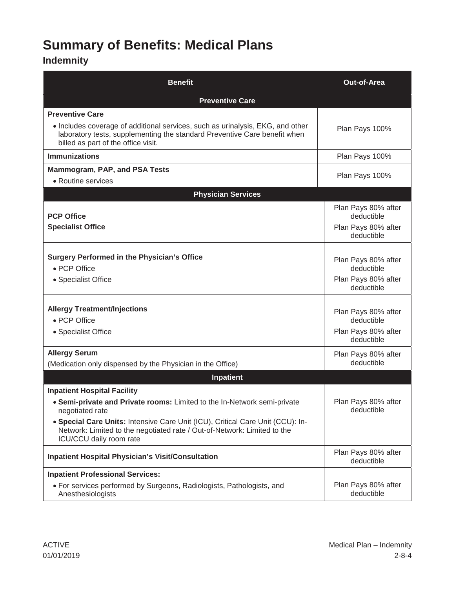| <b>Benefit</b>                                                                                                                                                                                     | <b>Out-of-Area</b>                |
|----------------------------------------------------------------------------------------------------------------------------------------------------------------------------------------------------|-----------------------------------|
| <b>Preventive Care</b>                                                                                                                                                                             |                                   |
| <b>Preventive Care</b>                                                                                                                                                                             |                                   |
| • Includes coverage of additional services, such as urinalysis, EKG, and other<br>laboratory tests, supplementing the standard Preventive Care benefit when<br>billed as part of the office visit. | Plan Pays 100%                    |
| <b>Immunizations</b>                                                                                                                                                                               | Plan Pays 100%                    |
| <b>Mammogram, PAP, and PSA Tests</b>                                                                                                                                                               | Plan Pays 100%                    |
| • Routine services                                                                                                                                                                                 |                                   |
| <b>Physician Services</b>                                                                                                                                                                          |                                   |
| <b>PCP Office</b>                                                                                                                                                                                  | Plan Pays 80% after<br>deductible |
| <b>Specialist Office</b>                                                                                                                                                                           | Plan Pays 80% after<br>deductible |
| <b>Surgery Performed in the Physician's Office</b><br>• PCP Office                                                                                                                                 | Plan Pays 80% after<br>deductible |
| • Specialist Office                                                                                                                                                                                | Plan Pays 80% after<br>deductible |
| <b>Allergy Treatment/Injections</b><br>• PCP Office                                                                                                                                                | Plan Pays 80% after<br>deductible |
| • Specialist Office                                                                                                                                                                                | Plan Pays 80% after<br>deductible |
| <b>Allergy Serum</b><br>(Medication only dispensed by the Physician in the Office)                                                                                                                 | Plan Pays 80% after<br>deductible |
| Inpatient                                                                                                                                                                                          |                                   |
| <b>Inpatient Hospital Facility</b>                                                                                                                                                                 |                                   |
| • Semi-private and Private rooms: Limited to the In-Network semi-private<br>negotiated rate                                                                                                        | Plan Pays 80% after<br>deductible |
| • Special Care Units: Intensive Care Unit (ICU), Critical Care Unit (CCU): In-<br>Network: Limited to the negotiated rate / Out-of-Network: Limited to the<br>ICU/CCU daily room rate              |                                   |
| <b>Inpatient Hospital Physician's Visit/Consultation</b>                                                                                                                                           | Plan Pays 80% after<br>deductible |
| <b>Inpatient Professional Services:</b>                                                                                                                                                            |                                   |
| • For services performed by Surgeons, Radiologists, Pathologists, and<br>Anesthesiologists                                                                                                         | Plan Pays 80% after<br>deductible |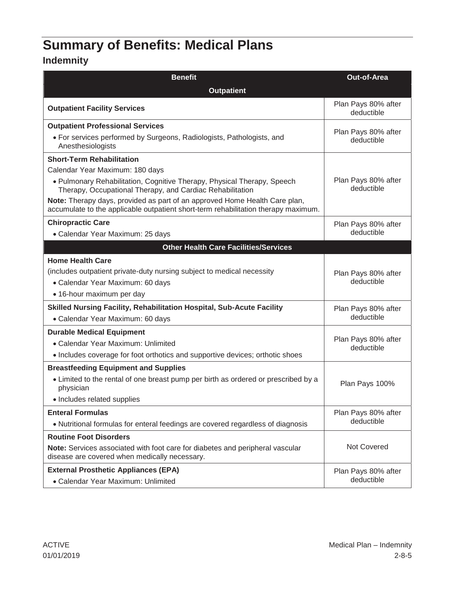| <b>Benefit</b>                                                                                                                                                   | <b>Out-of-Area</b>                |
|------------------------------------------------------------------------------------------------------------------------------------------------------------------|-----------------------------------|
| <b>Outpatient</b>                                                                                                                                                |                                   |
| <b>Outpatient Facility Services</b>                                                                                                                              | Plan Pays 80% after<br>deductible |
| <b>Outpatient Professional Services</b>                                                                                                                          | Plan Pays 80% after               |
| • For services performed by Surgeons, Radiologists, Pathologists, and<br>Anesthesiologists                                                                       | deductible                        |
| <b>Short-Term Rehabilitation</b>                                                                                                                                 |                                   |
| Calendar Year Maximum: 180 days                                                                                                                                  |                                   |
| · Pulmonary Rehabilitation, Cognitive Therapy, Physical Therapy, Speech<br>Therapy, Occupational Therapy, and Cardiac Rehabilitation                             | Plan Pays 80% after<br>deductible |
| Note: Therapy days, provided as part of an approved Home Health Care plan,<br>accumulate to the applicable outpatient short-term rehabilitation therapy maximum. |                                   |
| <b>Chiropractic Care</b>                                                                                                                                         | Plan Pays 80% after               |
| • Calendar Year Maximum: 25 days                                                                                                                                 | deductible                        |
| <b>Other Health Care Facilities/Services</b>                                                                                                                     |                                   |
| <b>Home Health Care</b>                                                                                                                                          |                                   |
| (includes outpatient private-duty nursing subject to medical necessity                                                                                           | Plan Pays 80% after               |
| • Calendar Year Maximum: 60 days                                                                                                                                 | deductible                        |
| · 16-hour maximum per day                                                                                                                                        |                                   |
| Skilled Nursing Facility, Rehabilitation Hospital, Sub-Acute Facility                                                                                            | Plan Pays 80% after               |
| • Calendar Year Maximum: 60 days                                                                                                                                 | deductible                        |
| <b>Durable Medical Equipment</b>                                                                                                                                 |                                   |
| • Calendar Year Maximum: Unlimited                                                                                                                               | Plan Pays 80% after<br>deductible |
| • Includes coverage for foot orthotics and supportive devices; orthotic shoes                                                                                    |                                   |
| <b>Breastfeeding Equipment and Supplies</b>                                                                                                                      |                                   |
| • Limited to the rental of one breast pump per birth as ordered or prescribed by a<br>physician                                                                  | Plan Pays 100%                    |
| • Includes related supplies                                                                                                                                      |                                   |
| <b>Enteral Formulas</b>                                                                                                                                          | Plan Pays 80% after               |
| • Nutritional formulas for enteral feedings are covered regardless of diagnosis                                                                                  | deductible                        |
| <b>Routine Foot Disorders</b>                                                                                                                                    |                                   |
| Note: Services associated with foot care for diabetes and peripheral vascular<br>disease are covered when medically necessary.                                   | <b>Not Covered</b>                |
| <b>External Prosthetic Appliances (EPA)</b>                                                                                                                      | Plan Pays 80% after               |
| • Calendar Year Maximum: Unlimited                                                                                                                               | deductible                        |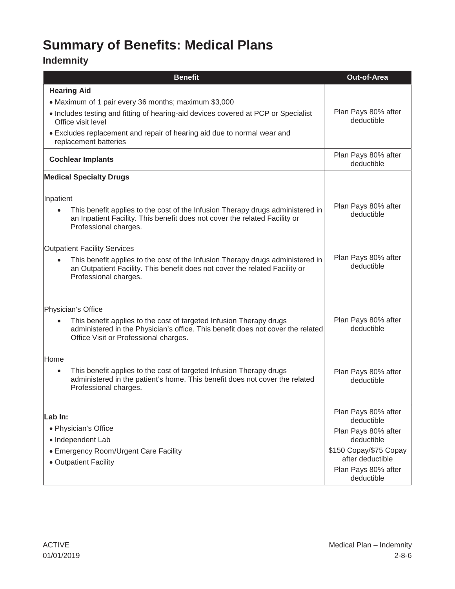| <b>Benefit</b>                                                                                                                                                                                               | Out-of-Area                       |
|--------------------------------------------------------------------------------------------------------------------------------------------------------------------------------------------------------------|-----------------------------------|
| <b>Hearing Aid</b>                                                                                                                                                                                           |                                   |
| • Maximum of 1 pair every 36 months; maximum \$3,000                                                                                                                                                         |                                   |
| • Includes testing and fitting of hearing-aid devices covered at PCP or Specialist<br>Office visit level                                                                                                     | Plan Pays 80% after<br>deductible |
| • Excludes replacement and repair of hearing aid due to normal wear and<br>replacement batteries                                                                                                             |                                   |
| <b>Cochlear Implants</b>                                                                                                                                                                                     | Plan Pays 80% after<br>deductible |
| <b>Medical Specialty Drugs</b>                                                                                                                                                                               |                                   |
| Inpatient                                                                                                                                                                                                    |                                   |
| This benefit applies to the cost of the Infusion Therapy drugs administered in<br>$\bullet$<br>an Inpatient Facility. This benefit does not cover the related Facility or<br>Professional charges.           | Plan Pays 80% after<br>deductible |
| <b>Outpatient Facility Services</b>                                                                                                                                                                          |                                   |
| This benefit applies to the cost of the Infusion Therapy drugs administered in<br>$\bullet$<br>an Outpatient Facility. This benefit does not cover the related Facility or<br>Professional charges.          | Plan Pays 80% after<br>deductible |
| Physician's Office                                                                                                                                                                                           |                                   |
| This benefit applies to the cost of targeted Infusion Therapy drugs<br>$\bullet$<br>administered in the Physician's office. This benefit does not cover the related<br>Office Visit or Professional charges. | Plan Pays 80% after<br>deductible |
| lHome                                                                                                                                                                                                        |                                   |
| This benefit applies to the cost of targeted Infusion Therapy drugs<br>$\bullet$<br>administered in the patient's home. This benefit does not cover the related<br>Professional charges.                     | Plan Pays 80% after<br>deductible |
| Lab In:                                                                                                                                                                                                      | Plan Pays 80% after<br>deductible |
| • Physician's Office                                                                                                                                                                                         | Plan Pays 80% after<br>deductible |
| • Independent Lab<br>• Emergency Room/Urgent Care Facility                                                                                                                                                   | \$150 Copay/\$75 Copay            |
| • Outpatient Facility                                                                                                                                                                                        | after deductible                  |
|                                                                                                                                                                                                              | Plan Pays 80% after<br>deductible |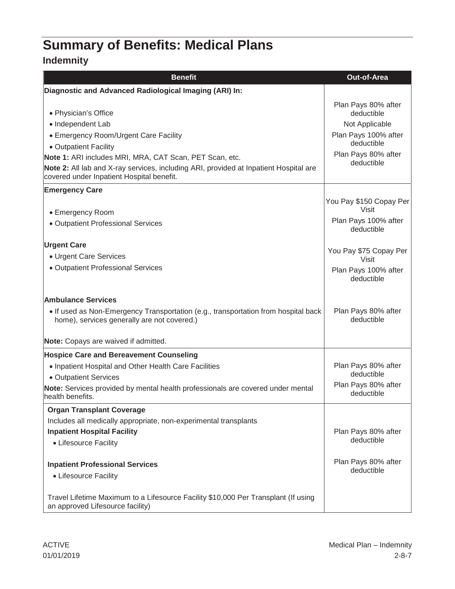| <b>Benefit</b>                                                                                                                     | Out-of-Area                        |
|------------------------------------------------------------------------------------------------------------------------------------|------------------------------------|
| Diagnostic and Advanced Radiological Imaging (ARI) In:                                                                             |                                    |
| • Physician's Office                                                                                                               | Plan Pays 80% after<br>deductible  |
| • Independent Lab                                                                                                                  | Not Applicable                     |
| • Emergency Room/Urgent Care Facility                                                                                              | Plan Pays 100% after               |
| • Outpatient Facility                                                                                                              | deductible                         |
| Note 1: ARI includes MRI, MRA, CAT Scan, PET Scan, etc.                                                                            | Plan Pays 80% after                |
| Note 2: All lab and X-ray services, including ARI, provided at Inpatient Hospital are<br>covered under Inpatient Hospital benefit. | deductible                         |
| <b>Emergency Care</b>                                                                                                              |                                    |
|                                                                                                                                    | You Pay \$150 Copay Per            |
| • Emergency Room                                                                                                                   | Visit                              |
| • Outpatient Professional Services                                                                                                 | Plan Pays 100% after<br>deductible |
| <b>Urgent Care</b>                                                                                                                 |                                    |
| • Urgent Care Services                                                                                                             | You Pay \$75 Copay Per<br>Visit    |
| • Outpatient Professional Services                                                                                                 | Plan Pays 100% after<br>deductible |
| <b>Ambulance Services</b>                                                                                                          |                                    |
| • If used as Non-Emergency Transportation (e.g., transportation from hospital back<br>home), services generally are not covered.)  | Plan Pays 80% after<br>deductible  |
| Note: Copays are waived if admitted.                                                                                               |                                    |
| <b>Hospice Care and Bereavement Counseling</b>                                                                                     |                                    |
| • Inpatient Hospital and Other Health Care Facilities                                                                              | Plan Pays 80% after                |
| • Outpatient Services                                                                                                              | deductible                         |
| Note: Services provided by mental health professionals are covered under mental<br>health benefits.                                | Plan Pays 80% after<br>deductible  |
| <b>Organ Transplant Coverage</b>                                                                                                   |                                    |
| Includes all medically appropriate, non-experimental transplants                                                                   |                                    |
| <b>Inpatient Hospital Facility</b>                                                                                                 | Plan Pays 80% after                |
| • Lifesource Facility                                                                                                              | deductible                         |
| <b>Inpatient Professional Services</b>                                                                                             | Plan Pays 80% after<br>deductible  |
| • Lifesource Facility                                                                                                              |                                    |
| Travel Lifetime Maximum to a Lifesource Facility \$10,000 Per Transplant (If using<br>an approved Lifesource facility)             |                                    |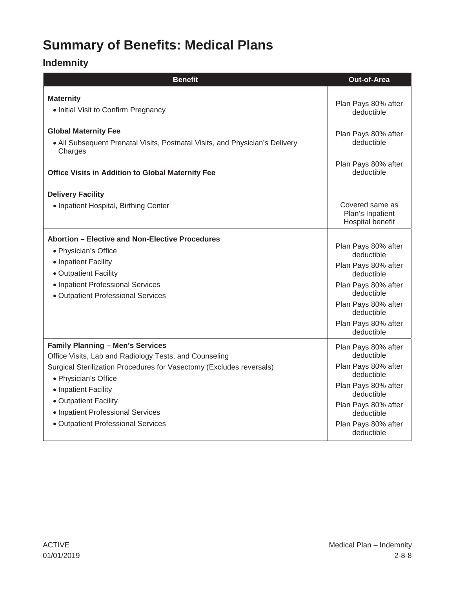| <b>Benefit</b>                                                                                                         | <b>Out-of-Area</b>                                      |
|------------------------------------------------------------------------------------------------------------------------|---------------------------------------------------------|
| <b>Maternity</b><br>• Initial Visit to Confirm Pregnancy                                                               | Plan Pays 80% after<br>deductible                       |
| <b>Global Maternity Fee</b><br>• All Subsequent Prenatal Visits, Postnatal Visits, and Physician's Delivery<br>Charges | Plan Pays 80% after<br>deductible                       |
| Office Visits in Addition to Global Maternity Fee                                                                      | Plan Pays 80% after<br>deductible                       |
| <b>Delivery Facility</b>                                                                                               |                                                         |
| • Inpatient Hospital, Birthing Center                                                                                  | Covered same as<br>Plan's Inpatient<br>Hospital benefit |
| Abortion - Elective and Non-Elective Procedures                                                                        |                                                         |
| · Physician's Office                                                                                                   | Plan Pays 80% after                                     |
| • Inpatient Facility                                                                                                   | deductible<br>Plan Pays 80% after                       |
| • Outpatient Facility                                                                                                  | deductible                                              |
| • Inpatient Professional Services<br>• Outpatient Professional Services                                                | Plan Pays 80% after<br>deductible                       |
|                                                                                                                        | Plan Pays 80% after<br>deductible                       |
|                                                                                                                        | Plan Pays 80% after<br>deductible                       |
| <b>Family Planning - Men's Services</b>                                                                                | Plan Pays 80% after                                     |
| Office Visits, Lab and Radiology Tests, and Counseling                                                                 | deductible                                              |
| Surgical Sterilization Procedures for Vasectomy (Excludes reversals)<br>· Physician's Office                           | Plan Pays 80% after<br>deductible                       |
| • Inpatient Facility                                                                                                   | Plan Pays 80% after<br>deductible                       |
| • Outpatient Facility<br>• Inpatient Professional Services                                                             | Plan Pays 80% after<br>deductible                       |
| • Outpatient Professional Services                                                                                     | Plan Pays 80% after<br>deductible                       |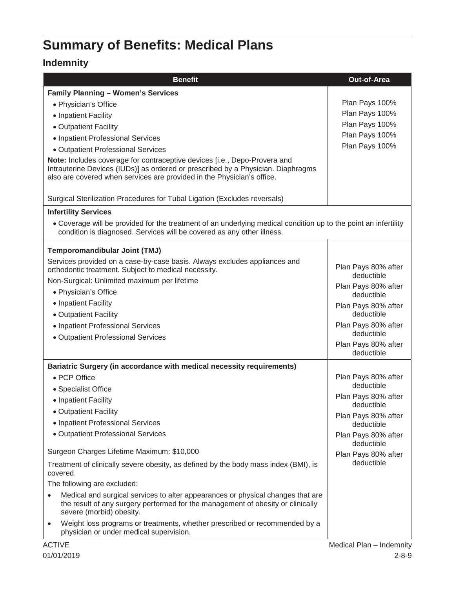| <b>Benefit</b>                                                                                                                                                                                                                          | <b>Out-of-Area</b>                |
|-----------------------------------------------------------------------------------------------------------------------------------------------------------------------------------------------------------------------------------------|-----------------------------------|
| <b>Family Planning - Women's Services</b>                                                                                                                                                                                               |                                   |
| • Physician's Office                                                                                                                                                                                                                    | Plan Pays 100%                    |
| • Inpatient Facility                                                                                                                                                                                                                    | Plan Pays 100%                    |
| • Outpatient Facility                                                                                                                                                                                                                   | Plan Pays 100%                    |
| • Inpatient Professional Services                                                                                                                                                                                                       | Plan Pays 100%                    |
| • Outpatient Professional Services                                                                                                                                                                                                      | Plan Pays 100%                    |
| Note: Includes coverage for contraceptive devices [i.e., Depo-Provera and<br>Intrauterine Devices (IUDs)] as ordered or prescribed by a Physician. Diaphragms<br>also are covered when services are provided in the Physician's office. |                                   |
| Surgical Sterilization Procedures for Tubal Ligation (Excludes reversals)                                                                                                                                                               |                                   |
| <b>Infertility Services</b>                                                                                                                                                                                                             |                                   |
| • Coverage will be provided for the treatment of an underlying medical condition up to the point an infertility<br>condition is diagnosed. Services will be covered as any other illness.                                               |                                   |
| Temporomandibular Joint (TMJ)                                                                                                                                                                                                           |                                   |
| Services provided on a case-by-case basis. Always excludes appliances and<br>orthodontic treatment. Subject to medical necessity.<br>Non-Surgical: Unlimited maximum per lifetime                                                       | Plan Pays 80% after<br>deductible |
| • Physician's Office                                                                                                                                                                                                                    | Plan Pays 80% after               |
| • Inpatient Facility                                                                                                                                                                                                                    | deductible                        |
| • Outpatient Facility                                                                                                                                                                                                                   | Plan Pays 80% after<br>deductible |
| • Inpatient Professional Services                                                                                                                                                                                                       | Plan Pays 80% after               |
| • Outpatient Professional Services                                                                                                                                                                                                      | deductible                        |
|                                                                                                                                                                                                                                         | Plan Pays 80% after<br>deductible |
| Bariatric Surgery (in accordance with medical necessity requirements)                                                                                                                                                                   |                                   |
| • PCP Office                                                                                                                                                                                                                            | Plan Pays 80% after               |
| • Specialist Office                                                                                                                                                                                                                     | deductible                        |
| • Inpatient Facility                                                                                                                                                                                                                    | Plan Pays 80% after<br>deductible |
| • Outpatient Facility                                                                                                                                                                                                                   | Plan Pays 80% after               |
| • Inpatient Professional Services                                                                                                                                                                                                       | deductible                        |
| • Outpatient Professional Services                                                                                                                                                                                                      | Plan Pays 80% after<br>deductible |
| Surgeon Charges Lifetime Maximum: \$10,000                                                                                                                                                                                              | Plan Pays 80% after               |
| Treatment of clinically severe obesity, as defined by the body mass index (BMI), is<br>covered.                                                                                                                                         | deductible                        |
| The following are excluded:                                                                                                                                                                                                             |                                   |
| Medical and surgical services to alter appearances or physical changes that are<br>$\bullet$<br>the result of any surgery performed for the management of obesity or clinically<br>severe (morbid) obesity.                             |                                   |
| Weight loss programs or treatments, whether prescribed or recommended by a<br>$\bullet$<br>physician or under medical supervision.                                                                                                      |                                   |
| <b>ACTIVE</b>                                                                                                                                                                                                                           | Medical Plan - Indemnity          |